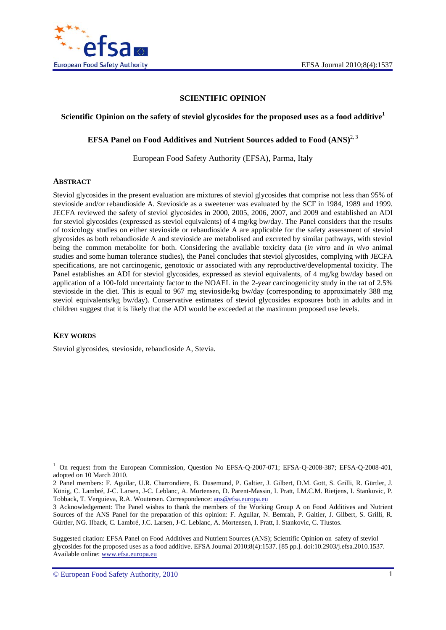

### **SCIENTIFIC OPINION**

#### **Scientific Opinion on the safety of steviol glycosides for the proposed uses as a food additive<sup>1</sup>**

#### **EFSA Panel on Food Additives and Nutrient Sources added to Food (ANS)<sup>2, 3</sup>**

European Food Safety Authority (EFSA), Parma, Italy

#### **ABSTRACT**

Steviol glycosides in the present evaluation are mixtures of steviol glycosides that comprise not less than 95% of stevioside and/or rebaudioside A. Stevioside as a sweetener was evaluated by the SCF in 1984, 1989 and 1999. JECFA reviewed the safety of steviol glycosides in 2000, 2005, 2006, 2007, and 2009 and established an ADI for steviol glycosides (expressed as steviol equivalents) of 4 mg/kg bw/day. The Panel considers that the results of toxicology studies on either stevioside or rebaudioside A are applicable for the safety assessment of steviol glycosides as both rebaudioside A and stevioside are metabolised and excreted by similar pathways, with steviol being the common metabolite for both. Considering the available toxicity data (*in vitro* and *in vivo* animal studies and some human tolerance studies), the Panel concludes that steviol glycosides, complying with JECFA specifications, are not carcinogenic, genotoxic or associated with any reproductive/developmental toxicity. The Panel establishes an ADI for steviol glycosides, expressed as steviol equivalents, of 4 mg/kg bw/day based on application of a 100-fold uncertainty factor to the NOAEL in the 2-year carcinogenicity study in the rat of 2.5% stevioside in the diet. This is equal to 967 mg stevioside/kg bw/day (corresponding to approximately 388 mg steviol equivalents/kg bw/day). Conservative estimates of steviol glycosides exposures both in adults and in children suggest that it is likely that the ADI would be exceeded at the maximum proposed use levels.

#### **KEY WORDS**

1

Steviol glycosides, stevioside, rebaudioside A, Stevia.

<sup>&</sup>lt;sup>1</sup> On request from the European Commission, Question No EFSA-Q-2007-071; EFSA-Q-2008-387; EFSA-Q-2008-401, adopted on 10 March 2010.

<sup>2</sup> Panel members: F. Aguilar, U.R. Charrondiere, B. Dusemund, P. Galtier, J. Gilbert, D.M. Gott, S. Grilli, R. Gürtler, J. König, C. Lambré, J-C. Larsen, J-C. Leblanc, A. Mortensen, D. Parent-Massin, I. Pratt, I.M.C.M. Rietjens, I. Stankovic, P. Tobback, T. Verguieva, R.A. Woutersen. Correspondence: ans@efsa.europa.eu

<sup>3</sup> Acknowledgement: The Panel wishes to thank the members of the Working Group A on Food Additives and Nutrient Sources of the ANS Panel for the preparation of this opinion: F. Aguilar, N. Bemrah, P. Galtier, J. Gilbert, S. Grilli, R. Gürtler, NG. Ilback, C. Lambré, J.C. Larsen, J-C. Leblanc, A. Mortensen, I. Pratt, I. Stankovic, C. Tlustos.

Suggested citation: EFSA Panel on Food Additives and Nutrient Sources (ANS); Scientific Opinion on safety of steviol glycosides for the proposed uses as a food additive. EFSA Journal 2010;8(4):1537. [85 pp.]. doi:10.2903/j.efsa.2010.1537. Available online: www.efsa.europa.eu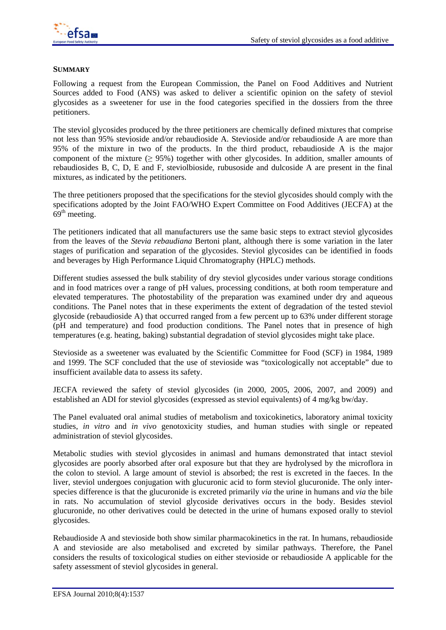

#### **SUMMARY**

Following a request from the European Commission, the Panel on Food Additives and Nutrient Sources added to Food (ANS) was asked to deliver a scientific opinion on the safety of steviol glycosides as a sweetener for use in the food categories specified in the dossiers from the three petitioners.

The steviol glycosides produced by the three petitioners are chemically defined mixtures that comprise not less than 95% stevioside and/or rebaudioside A. Stevioside and/or rebaudioside A are more than 95% of the mixture in two of the products. In the third product, rebaudioside A is the major component of the mixture  $(≥ 95%)$  together with other glycosides. In addition, smaller amounts of rebaudiosides B, C, D, E and F, steviolbioside, rubusoside and dulcoside A are present in the final mixtures, as indicated by the petitioners.

The three petitioners proposed that the specifications for the steviol glycosides should comply with the specifications adopted by the Joint FAO/WHO Expert Committee on Food Additives (JECFA) at the  $69^{\text{th}}$  meeting.

The petitioners indicated that all manufacturers use the same basic steps to extract steviol glycosides from the leaves of the *Stevia rebaudiana* Bertoni plant, although there is some variation in the later stages of purification and separation of the glycosides. Steviol glycosides can be identified in foods and beverages by High Performance Liquid Chromatography (HPLC) methods.

Different studies assessed the bulk stability of dry steviol glycosides under various storage conditions and in food matrices over a range of pH values, processing conditions, at both room temperature and elevated temperatures. The photostability of the preparation was examined under dry and aqueous conditions. The Panel notes that in these experiments the extent of degradation of the tested steviol glycoside (rebaudioside A) that occurred ranged from a few percent up to 63% under different storage (pH and temperature) and food production conditions. The Panel notes that in presence of high temperatures (e.g. heating, baking) substantial degradation of steviol glycosides might take place.

Stevioside as a sweetener was evaluated by the Scientific Committee for Food (SCF) in 1984, 1989 and 1999. The SCF concluded that the use of stevioside was "toxicologically not acceptable" due to insufficient available data to assess its safety.

JECFA reviewed the safety of steviol glycosides (in 2000, 2005, 2006, 2007, and 2009) and established an ADI for steviol glycosides (expressed as steviol equivalents) of 4 mg/kg bw/day.

The Panel evaluated oral animal studies of metabolism and toxicokinetics, laboratory animal toxicity studies, *in vitro* and *in vivo* genotoxicity studies, and human studies with single or repeated administration of steviol glycosides.

Metabolic studies with steviol glycosides in animasl and humans demonstrated that intact steviol glycosides are poorly absorbed after oral exposure but that they are hydrolysed by the microflora in the colon to steviol. A large amount of steviol is absorbed; the rest is excreted in the faeces. In the liver, steviol undergoes conjugation with glucuronic acid to form steviol glucuronide. The only interspecies difference is that the glucuronide is excreted primarily *via* the urine in humans and *via* the bile in rats. No accumulation of steviol glycoside derivatives occurs in the body. Besides steviol glucuronide, no other derivatives could be detected in the urine of humans exposed orally to steviol glycosides.

Rebaudioside A and stevioside both show similar pharmacokinetics in the rat. In humans, rebaudioside A and stevioside are also metabolised and excreted by similar pathways. Therefore, the Panel considers the results of toxicological studies on either stevioside or rebaudioside A applicable for the safety assessment of steviol glycosides in general.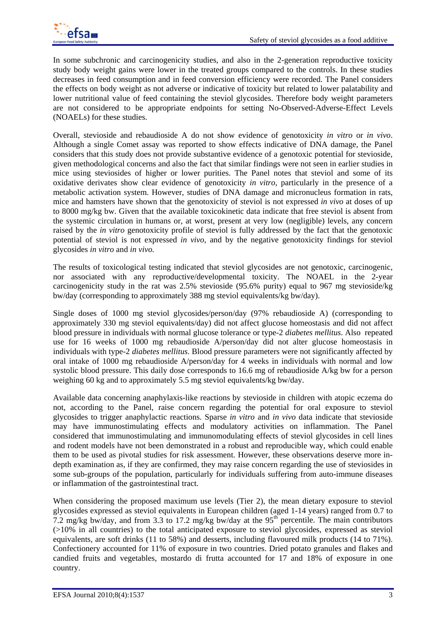In some subchronic and carcinogenicity studies, and also in the 2-generation reproductive toxicity study body weight gains were lower in the treated groups compared to the controls. In these studies decreases in feed consumption and in feed conversion efficiency were recorded. The Panel considers the effects on body weight as not adverse or indicative of toxicity but related to lower palatability and lower nutritional value of feed containing the steviol glycosides. Therefore body weight parameters are not considered to be appropriate endpoints for setting No-Observed-Adverse-Effect Levels (NOAELs) for these studies.

Overall, stevioside and rebaudioside A do not show evidence of genotoxicity *in vitro* or *in vivo*. Although a single Comet assay was reported to show effects indicative of DNA damage*,* the Panel considers that this study does not provide substantive evidence of a genotoxic potential for stevioside, given methodological concerns and also the fact that similar findings were not seen in earlier studies in mice using steviosides of higher or lower purities. The Panel notes that steviol and some of its oxidative derivates show clear evidence of genotoxicity *in vitro*, particularly in the presence of a metabolic activation system. However, studies of DNA damage and micronucleus formation in rats, mice and hamsters have shown that the genotoxicity of steviol is not expressed *in vivo* at doses of up to 8000 mg/kg bw. Given that the available toxicokinetic data indicate that free steviol is absent from the systemic circulation in humans or, at worst, present at very low (negligible) levels, any concern raised by the *in vitro* genotoxicity profile of steviol is fully addressed by the fact that the genotoxic potential of steviol is not expressed *in vivo*, and by the negative genotoxicity findings for steviol glycosides *in vitro* and *in vivo.* 

The results of toxicological testing indicated that steviol glycosides are not genotoxic, carcinogenic, nor associated with any reproductive/developmental toxicity. The NOAEL in the 2-year carcinogenicity study in the rat was 2.5% stevioside (95.6% purity) equal to 967 mg stevioside/kg bw/day (corresponding to approximately 388 mg steviol equivalents/kg bw/day).

Single doses of 1000 mg steviol glycosides/person/day (97% rebaudioside A) (corresponding to approximately 330 mg steviol equivalents/day) did not affect glucose homeostasis and did not affect blood pressure in individuals with normal glucose tolerance or type-2 *diabetes mellitus*. Also repeated use for 16 weeks of 1000 mg rebaudioside A/person/day did not alter glucose homeostasis in individuals with type-2 *diabetes mellitus*. Blood pressure parameters were not significantly affected by oral intake of 1000 mg rebaudioside A/person/day for 4 weeks in individuals with normal and low systolic blood pressure. This daily dose corresponds to 16.6 mg of rebaudioside A/kg bw for a person weighing 60 kg and to approximately 5.5 mg steviol equivalents/kg bw/day.

Available data concerning anaphylaxis-like reactions by stevioside in children with atopic eczema do not, according to the Panel, raise concern regarding the potential for oral exposure to steviol glycosides to trigger anaphylactic reactions. Sparse *in vitro* and *in vivo* data indicate that stevioside may have immunostimulating effects and modulatory activities on inflammation. The Panel considered that immunostimulating and immunomodulating effects of steviol glycosides in cell lines and rodent models have not been demonstrated in a robust and reproducible way, which could enable them to be used as pivotal studies for risk assessment. However, these observations deserve more indepth examination as, if they are confirmed, they may raise concern regarding the use of steviosides in some sub-groups of the population, particularly for individuals suffering from auto-immune diseases or inflammation of the gastrointestinal tract.

When considering the proposed maximum use levels (Tier 2), the mean dietary exposure to steviol glycosides expressed as steviol equivalents in European children (aged 1-14 years) ranged from 0.7 to 7.2 mg/kg bw/day, and from 3.3 to 17.2 mg/kg bw/day at the  $95<sup>th</sup>$  percentile. The main contributors (>10% in all countries) to the total anticipated exposure to steviol glycosides, expressed as steviol equivalents, are soft drinks (11 to 58%) and desserts, including flavoured milk products (14 to 71%). Confectionery accounted for 11% of exposure in two countries. Dried potato granules and flakes and candied fruits and vegetables, mostardo di frutta accounted for 17 and 18% of exposure in one country.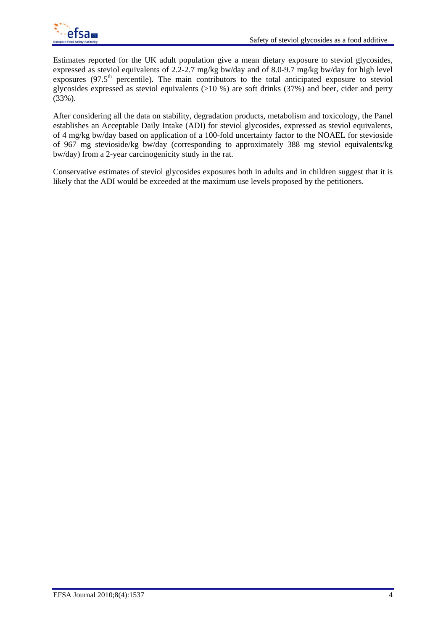

Estimates reported for the UK adult population give a mean dietary exposure to steviol glycosides, expressed as steviol equivalents of  $2.\overline{2}.\overline{2}.\overline{7}$  mg/kg bw/day and of  $8.0\overline{-9}.\overline{7}$  mg/kg bw/day for high level exposures  $(97.5<sup>th</sup>$  percentile). The main contributors to the total anticipated exposure to steviol glycosides expressed as steviol equivalents ( $>10\%$ ) are soft drinks (37%) and beer, cider and perry (33%).

After considering all the data on stability, degradation products, metabolism and toxicology, the Panel establishes an Acceptable Daily Intake (ADI) for steviol glycosides, expressed as steviol equivalents, of 4 mg/kg bw/day based on application of a 100-fold uncertainty factor to the NOAEL for stevioside of 967 mg stevioside/kg bw/day (corresponding to approximately 388 mg steviol equivalents/kg bw/day) from a 2-year carcinogenicity study in the rat.

Conservative estimates of steviol glycosides exposures both in adults and in children suggest that it is likely that the ADI would be exceeded at the maximum use levels proposed by the petitioners.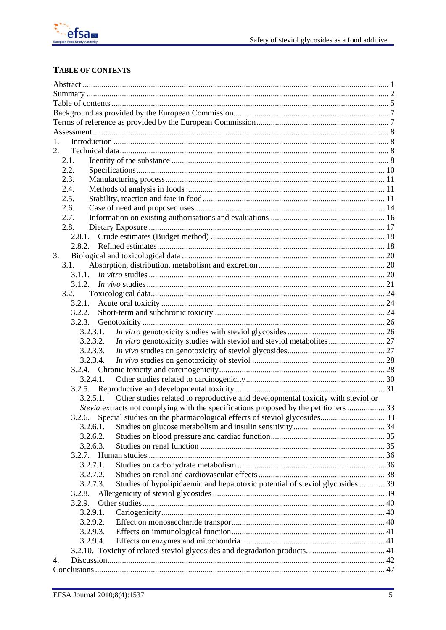

# TABLE OF CONTENTS

| $\mathbf{1}$ .                                                                               |  |
|----------------------------------------------------------------------------------------------|--|
| 2.                                                                                           |  |
| 2.1.                                                                                         |  |
| 2.2.                                                                                         |  |
| 2.3.                                                                                         |  |
| 2.4.                                                                                         |  |
| 2.5.                                                                                         |  |
| 2.6.                                                                                         |  |
| 2.7.                                                                                         |  |
| 2.8.                                                                                         |  |
|                                                                                              |  |
|                                                                                              |  |
| 3.                                                                                           |  |
| 3.1.                                                                                         |  |
| 3.1.1.                                                                                       |  |
|                                                                                              |  |
| 3.2.                                                                                         |  |
| 3.2.1.                                                                                       |  |
| 3.2.2.                                                                                       |  |
| 3.2.3.                                                                                       |  |
| 3.2.3.1.                                                                                     |  |
| 3.2.3.2.                                                                                     |  |
| 3.2.3.3.                                                                                     |  |
| 3.2.3.4.                                                                                     |  |
|                                                                                              |  |
| 3.2.4.1.                                                                                     |  |
|                                                                                              |  |
| Other studies related to reproductive and developmental toxicity with steviol or<br>3.2.5.1. |  |
| <i>Stevia</i> extracts not complying with the specifications proposed by the petitioners  33 |  |
|                                                                                              |  |
| 3.2.6.1.                                                                                     |  |
| 3.2.6.2.                                                                                     |  |
| 3.2.6.3.                                                                                     |  |
|                                                                                              |  |
| 3.2.7.1.                                                                                     |  |
| 3.2.7.2.                                                                                     |  |
| Studies of hypolipidaemic and hepatotoxic potential of steviol glycosides  39<br>3.2.7.3.    |  |
| 3.2.8.                                                                                       |  |
| 3.2.9.                                                                                       |  |
| 3.2.9.1.                                                                                     |  |
| 3.2.9.2.                                                                                     |  |
| 3.2.9.3.                                                                                     |  |
| 3.2.9.4.                                                                                     |  |
|                                                                                              |  |
| 4.                                                                                           |  |
|                                                                                              |  |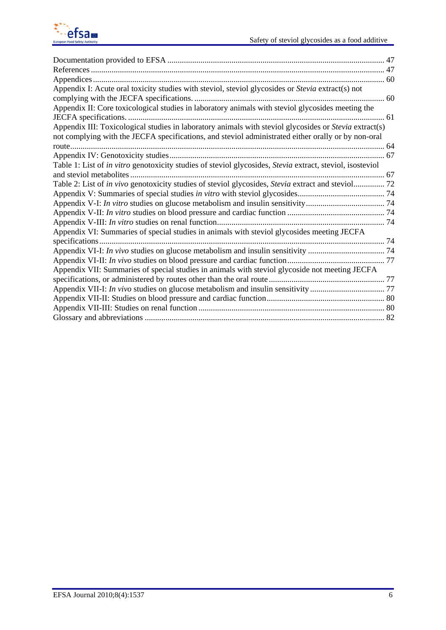

| Appendix I: Acute oral toxicity studies with steviol, steviol glycosides or Stevia extract(s) not                                                                                                             |
|---------------------------------------------------------------------------------------------------------------------------------------------------------------------------------------------------------------|
|                                                                                                                                                                                                               |
| Appendix II: Core toxicological studies in laboratory animals with steviol glycosides meeting the                                                                                                             |
|                                                                                                                                                                                                               |
| Appendix III: Toxicological studies in laboratory animals with steviol glycosides or Stevia extract(s)<br>not complying with the JECFA specifications, and steviol administrated either orally or by non-oral |
|                                                                                                                                                                                                               |
|                                                                                                                                                                                                               |
| Table 1: List of in vitro genotoxicity studies of steviol glycosides, Stevia extract, steviol, isosteviol                                                                                                     |
|                                                                                                                                                                                                               |
| Table 2: List of in vivo genotoxicity studies of steviol glycosides, Stevia extract and steviol 72                                                                                                            |
|                                                                                                                                                                                                               |
|                                                                                                                                                                                                               |
|                                                                                                                                                                                                               |
|                                                                                                                                                                                                               |
| Appendix VI: Summaries of special studies in animals with steviol glycosides meeting JECFA                                                                                                                    |
|                                                                                                                                                                                                               |
|                                                                                                                                                                                                               |
|                                                                                                                                                                                                               |
| Appendix VII: Summaries of special studies in animals with steviol glycoside not meeting JECFA                                                                                                                |
|                                                                                                                                                                                                               |
|                                                                                                                                                                                                               |
|                                                                                                                                                                                                               |
|                                                                                                                                                                                                               |
|                                                                                                                                                                                                               |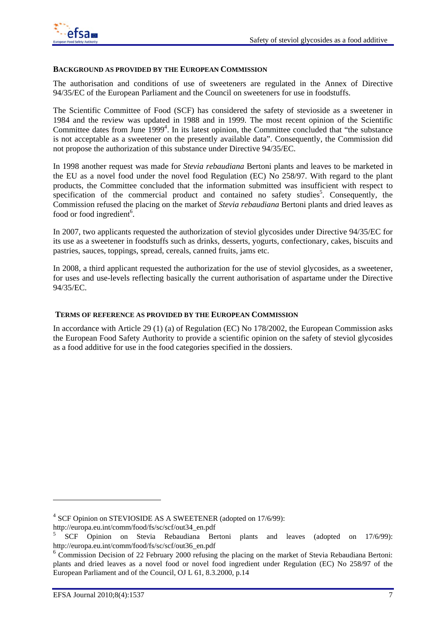#### **BACKGROUND AS PROVIDED BY THE EUROPEAN COMMISSION**

The authorisation and conditions of use of sweeteners are regulated in the Annex of Directive 94/35/EC of the European Parliament and the Council on sweeteners for use in foodstuffs.

The Scientific Committee of Food (SCF) has considered the safety of stevioside as a sweetener in 1984 and the review was updated in 1988 and in 1999. The most recent opinion of the Scientific Committee dates from June 1999<sup>4</sup>. In its latest opinion, the Committee concluded that "the substance is not acceptable as a sweetener on the presently available data". Consequently, the Commission did not propose the authorization of this substance under Directive 94/35/EC.

In 1998 another request was made for *Stevia rebaudiana* Bertoni plants and leaves to be marketed in the EU as a novel food under the novel food Regulation (EC) No 258/97. With regard to the plant products, the Committee concluded that the information submitted was insufficient with respect to specification of the commercial product and contained no safety studies<sup>5</sup>. Consequently, the Commission refused the placing on the market of *Stevia rebaudiana* Bertoni plants and dried leaves as food or food ingredient<sup>6</sup>.

In 2007, two applicants requested the authorization of steviol glycosides under Directive 94/35/EC for its use as a sweetener in foodstuffs such as drinks, desserts, yogurts, confectionary, cakes, biscuits and pastries, sauces, toppings, spread, cereals, canned fruits, jams etc.

In 2008, a third applicant requested the authorization for the use of steviol glycosides, as a sweetener, for uses and use-levels reflecting basically the current authorisation of aspartame under the Directive 94/35/EC.

#### **TERMS OF REFERENCE AS PROVIDED BY THE EUROPEAN COMMISSION**

In accordance with Article 29 (1) (a) of Regulation (EC) No 178/2002, the European Commission asks the European Food Safety Authority to provide a scientific opinion on the safety of steviol glycosides as a food additive for use in the food categories specified in the dossiers.

-

<sup>4</sup> SCF Opinion on STEVIOSIDE AS A SWEETENER (adopted on 17/6/99):

http://europa.eu.int/comm/food/fs/sc/scf/out34\_en.pdf

<sup>5</sup> SCF Opinion on Stevia Rebaudiana Bertoni plants and leaves (adopted on 17/6/99): http://europa.eu.int/comm/food/fs/sc/scf/out36\_en.pdf

 $6$  Commission Decision of 22 February 2000 refusing the placing on the market of Stevia Rebaudiana Bertoni: plants and dried leaves as a novel food or novel food ingredient under Regulation (EC) No 258/97 of the European Parliament and of the Council, OJ L 61, 8.3.2000, p.14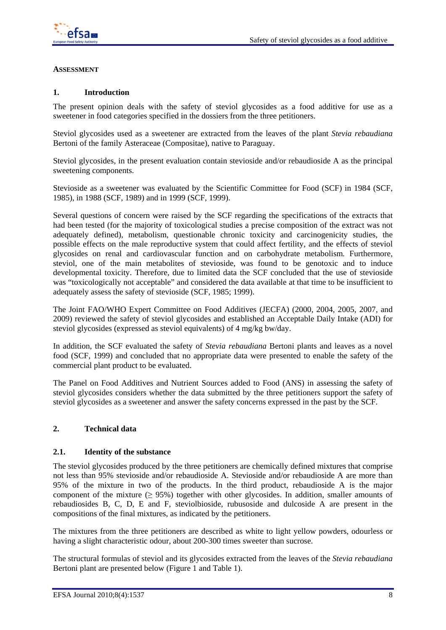

### **ASSESSMENT**

### **1. Introduction**

The present opinion deals with the safety of steviol glycosides as a food additive for use as a sweetener in food categories specified in the dossiers from the three petitioners.

Steviol glycosides used as a sweetener are extracted from the leaves of the plant *Stevia rebaudiana* Bertoni of the family Asteraceae (Compositae), native to Paraguay.

Steviol glycosides, in the present evaluation contain stevioside and/or rebaudioside A as the principal sweetening components.

Stevioside as a sweetener was evaluated by the Scientific Committee for Food (SCF) in 1984 (SCF, 1985), in 1988 (SCF, 1989) and in 1999 (SCF, 1999).

Several questions of concern were raised by the SCF regarding the specifications of the extracts that had been tested (for the majority of toxicological studies a precise composition of the extract was not adequately defined), metabolism, questionable chronic toxicity and carcinogenicity studies, the possible effects on the male reproductive system that could affect fertility, and the effects of steviol glycosides on renal and cardiovascular function and on carbohydrate metabolism*.* Furthermore, steviol, one of the main metabolites of stevioside, was found to be genotoxic and to induce developmental toxicity. Therefore, due to limited data the SCF concluded that the use of stevioside was "toxicologically not acceptable" and considered the data available at that time to be insufficient to adequately assess the safety of stevioside (SCF, 1985; 1999).

The Joint FAO/WHO Expert Committee on Food Additives (JECFA) (2000, 2004, 2005, 2007, and 2009) reviewed the safety of steviol glycosides and established an Acceptable Daily Intake (ADI) for steviol glycosides (expressed as steviol equivalents) of 4 mg/kg bw/day.

In addition, the SCF evaluated the safety of *Stevia rebaudiana* Bertoni plants and leaves as a novel food (SCF, 1999) and concluded that no appropriate data were presented to enable the safety of the commercial plant product to be evaluated.

The Panel on Food Additives and Nutrient Sources added to Food (ANS) in assessing the safety of steviol glycosides considers whether the data submitted by the three petitioners support the safety of steviol glycosides as a sweetener and answer the safety concerns expressed in the past by the SCF.

#### **2. Technical data**

#### **2.1. Identity of the substance**

The steviol glycosides produced by the three petitioners are chemically defined mixtures that comprise not less than 95% stevioside and/or rebaudioside A. Stevioside and/or rebaudioside A are more than 95% of the mixture in two of the products. In the third product, rebaudioside A is the major component of the mixture  $(≥ 95%)$  together with other glycosides. In addition, smaller amounts of rebaudiosides B, C, D, E and F, steviolbioside, rubusoside and dulcoside A are present in the compositions of the final mixtures, as indicated by the petitioners.

The mixtures from the three petitioners are described as white to light yellow powders, odourless or having a slight characteristic odour, about 200-300 times sweeter than sucrose.

The structural formulas of steviol and its glycosides extracted from the leaves of the *Stevia rebaudiana* Bertoni plant are presented below (Figure 1 and Table 1).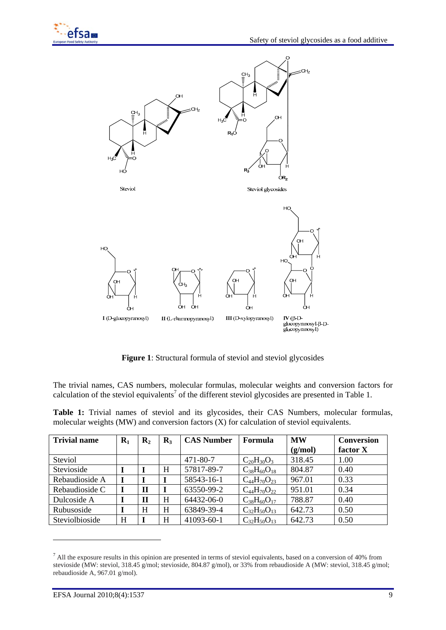

**Figure 1**: Structural formula of steviol and steviol glycosides

The trivial names, CAS numbers, molecular formulas, molecular weights and conversion factors for calculation of the steviol equivalents<sup>7</sup> of the different steviol glycosides are presented in Table 1.

**Table 1:** Trivial names of steviol and its glycosides, their CAS Numbers, molecular formulas, molecular weights (MW) and conversion factors (X) for calculation of steviol equivalents.

| <b>Trivial name</b> | $\mathbf{R}_1$ | $\mathbf{R}_2$ | $\mathbf{R}_3$ | <b>CAS Number</b> | Formula              | <b>MW</b> | Conversion |
|---------------------|----------------|----------------|----------------|-------------------|----------------------|-----------|------------|
|                     |                |                |                |                   |                      | (g/mol)   | factor X   |
| Steviol             |                |                |                | 471-80-7          | $C_{20}H_{30}O_3$    | 318.45    | 1.00       |
| Stevioside          |                |                | H              | 57817-89-7        | $C_{38}H_{60}O_{18}$ | 804.87    | 0.40       |
| Rebaudioside A      |                |                |                | 58543-16-1        | $C_{44}H_{70}O_{23}$ | 967.01    | 0.33       |
| Rebaudioside C      |                | Н              |                | 63550-99-2        | $C_{44}H_{70}O_{22}$ | 951.01    | 0.34       |
| Dulcoside A         |                | н              | H              | 64432-06-0        | $C_{38}H_{60}O_{17}$ | 788.87    | 0.40       |
| Rubusoside          |                | H              | H              | 63849-39-4        | $C_{32}H_{50}O_{13}$ | 642.73    | 0.50       |
| Steviolbioside      | H              |                | H              | 41093-60-1        | $C_{32}H_{50}O_{13}$ | 642.73    | 0.50       |

 $<sup>7</sup>$  All the exposure results in this opinion are presented in terms of steviol equivalents, based on a conversion of 40% from</sup> stevioside (MW: steviol, 318.45 g/mol; stevioside, 804.87 g/mol), or 33% from rebaudioside A (MW: steviol, 318.45 g/mol; rebaudioside A, 967.01 g/mol).

1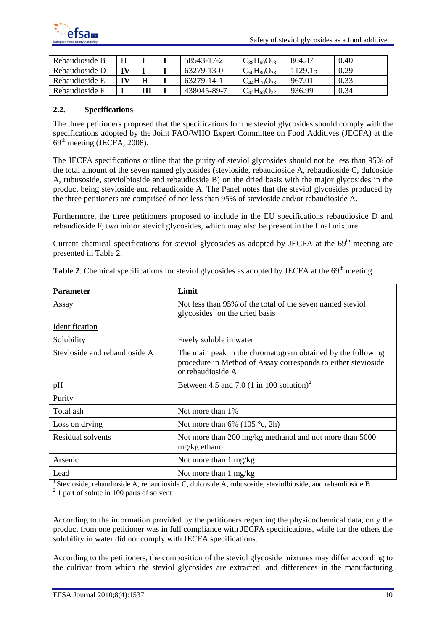

| Rebaudioside B |   | 58543-17-2  | $C_{38}H_{60}O_{18}$ | 804.87  | 0.40 |
|----------------|---|-------------|----------------------|---------|------|
| Rebaudioside D |   | 63279-13-0  | $C_{50}H_{80}O_{28}$ | 1129.15 | 0.29 |
| Rebaudioside E |   | 63279-14-1  | $C_{44}H_{70}O_{23}$ | 967.01  | 0.33 |
| Rebaudioside F | Ш | 438045-89-7 | $C_{43}H_{68}O_{22}$ | 936.99  | 0.34 |

### **2.2. Specifications**

The three petitioners proposed that the specifications for the steviol glycosides should comply with the specifications adopted by the Joint FAO/WHO Expert Committee on Food Additives (JECFA) at the  $69<sup>th</sup>$  meeting (JECFA, 2008).

The JECFA specifications outline that the purity of steviol glycosides should not be less than 95% of the total amount of the seven named glycosides (stevioside, rebaudioside A, rebaudioside C, dulcoside A, rubusoside, steviolbioside and rebaudioside B) on the dried basis with the major glycosides in the product being stevioside and rebaudioside A. The Panel notes that the steviol glycosides produced by the three petitioners are comprised of not less than 95% of stevioside and/or rebaudioside A.

Furthermore, the three petitioners proposed to include in the EU specifications rebaudioside D and rebaudioside F, two minor steviol glycosides, which may also be present in the final mixture.

Current chemical specifications for steviol glycosides as adopted by JECFA at the  $69<sup>th</sup>$  meeting are presented in Table 2.

| <b>Parameter</b>              | Limit                                                                                                                                             |
|-------------------------------|---------------------------------------------------------------------------------------------------------------------------------------------------|
| Assay                         | Not less than 95% of the total of the seven named steviol<br>glycosides <sup>1</sup> on the dried basis                                           |
| Identification                |                                                                                                                                                   |
| Solubility                    | Freely soluble in water                                                                                                                           |
| Stevioside and rebaudioside A | The main peak in the chromatogram obtained by the following<br>procedure in Method of Assay corresponds to either stevioside<br>or rebaudioside A |
| pH                            | Between 4.5 and 7.0 (1 in 100 solution) <sup>2</sup>                                                                                              |
| Purity                        |                                                                                                                                                   |
| Total ash                     | Not more than 1%                                                                                                                                  |
| Loss on drying                | Not more than 6% (105 $\degree$ c, 2h)                                                                                                            |
| Residual solvents             | Not more than 200 mg/kg methanol and not more than 5000<br>mg/kg ethanol                                                                          |
| Arsenic                       | Not more than 1 mg/kg                                                                                                                             |
| Lead                          | Not more than $1 \text{ mg/kg}$                                                                                                                   |

Table 2: Chemical specifications for steviol glycosides as adopted by JECFA at the 69<sup>th</sup> meeting.

<sup>1</sup> Stevioside, rebaudioside A, rebaudioside C, dulcoside A, rubusoside, steviolbioside, and rebaudioside B.  $2$  1 part of solute in 100 parts of solvent

According to the information provided by the petitioners regarding the physicochemical data, only the product from one petitioner was in full compliance with JECFA specifications, while for the others the solubility in water did not comply with JECFA specifications.

According to the petitioners, the composition of the steviol glycoside mixtures may differ according to the cultivar from which the steviol glycosides are extracted, and differences in the manufacturing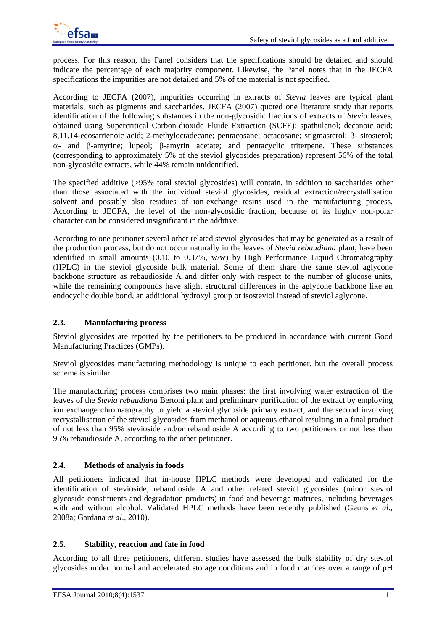process. For this reason, the Panel considers that the specifications should be detailed and should indicate the percentage of each majority component. Likewise, the Panel notes that in the JECFA specifications the impurities are not detailed and 5% of the material is not specified.

According to JECFA (2007), impurities occurring in extracts of *Stevia* leaves are typical plant materials, such as pigments and saccharides. JECFA (2007) quoted one literature study that reports identification of the following substances in the non-glycosidic fractions of extracts of *Stevia* leaves, obtained using Supercritical Carbon-dioxide Fluide Extraction (SCFE): spathulenol; decanoic acid; 8,11,14-ecosatrienoic acid; 2-methyloctadecane; pentacosane; octacosane; stigmasterol;  $\beta$ - sitosterol;  $\alpha$ - and  $\beta$ -amyrine; lupeol;  $\beta$ -amyrin acetate; and pentacyclic triterpene. These substances (corresponding to approximately 5% of the steviol glycosides preparation) represent 56% of the total non-glycosidic extracts, while 44% remain unidentified.

The specified additive (>95% total steviol glycosides) will contain, in addition to saccharides other than those associated with the individual steviol glycosides, residual extraction/recrystallisation solvent and possibly also residues of ion-exchange resins used in the manufacturing process. According to JECFA, the level of the non-glycosidic fraction, because of its highly non-polar character can be considered insignificant in the additive.

According to one petitioner several other related steviol glycosides that may be generated as a result of the production process, but do not occur naturally in the leaves of *Stevia rebaudiana* plant, have been identified in small amounts (0.10 to 0.37%, w/w) by High Performance Liquid Chromatography (HPLC) in the steviol glycoside bulk material. Some of them share the same steviol aglycone backbone structure as rebaudioside A and differ only with respect to the number of glucose units, while the remaining compounds have slight structural differences in the aglycone backbone like an endocyclic double bond, an additional hydroxyl group or isosteviol instead of steviol aglycone.

### **2.3. Manufacturing process**

Steviol glycosides are reported by the petitioners to be produced in accordance with current Good Manufacturing Practices (GMPs).

Steviol glycosides manufacturing methodology is unique to each petitioner, but the overall process scheme is similar.

The manufacturing process comprises two main phases: the first involving water extraction of the leaves of the *Stevia rebaudiana* Bertoni plant and preliminary purification of the extract by employing ion exchange chromatography to yield a steviol glycoside primary extract, and the second involving recrystallisation of the steviol glycosides from methanol or aqueous ethanol resulting in a final product of not less than 95% stevioside and/or rebaudioside A according to two petitioners or not less than 95% rebaudioside A, according to the other petitioner.

### **2.4. Methods of analysis in foods**

All petitioners indicated that in-house HPLC methods were developed and validated for the identification of stevioside, rebaudioside A and other related steviol glycosides (minor steviol glycoside constituents and degradation products) in food and beverage matrices, including beverages with and without alcohol. Validated HPLC methods have been recently published (Geuns *et al.*, 2008a; Gardana *et al*., 2010).

#### **2.5. Stability, reaction and fate in food**

According to all three petitioners, different studies have assessed the bulk stability of dry steviol glycosides under normal and accelerated storage conditions and in food matrices over a range of pH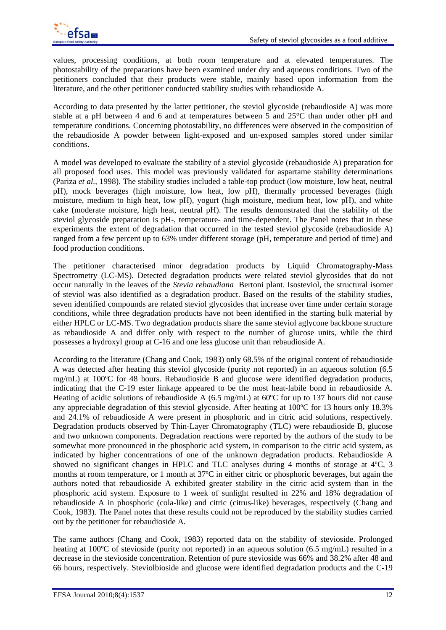values, processing conditions, at both room temperature and at elevated temperatures. The photostability of the preparations have been examined under dry and aqueous conditions. Two of the petitioners concluded that their products were stable, mainly based upon information from the literature, and the other petitioner conducted stability studies with rebaudioside A.

According to data presented by the latter petitioner, the steviol glycoside (rebaudioside A) was more stable at a pH between 4 and 6 and at temperatures between 5 and 25°C than under other pH and temperature conditions. Concerning photostability, no differences were observed in the composition of the rebaudioside A powder between light-exposed and un-exposed samples stored under similar conditions.

A model was developed to evaluate the stability of a steviol glycoside (rebaudioside A) preparation for all proposed food uses. This model was previously validated for aspartame stability determinations (Pariza *et al.*, 1998). The stability studies included a table-top product (low moisture, low heat, neutral pH), mock beverages (high moisture, low heat, low pH), thermally processed beverages (high moisture, medium to high heat, low pH), yogurt (high moisture, medium heat, low pH), and white cake (moderate moisture, high heat, neutral pH). The results demonstrated that the stability of the steviol glycoside preparation is pH-, temperature- and time-dependent. The Panel notes that in these experiments the extent of degradation that occurred in the tested steviol glycoside (rebaudioside A) ranged from a few percent up to 63% under different storage (pH, temperature and period of time) and food production conditions.

The petitioner characterised minor degradation products by Liquid Chromatography-Mass Spectrometry (LC-MS). Detected degradation products were related steviol glycosides that do not occur naturally in the leaves of the *Stevia rebaudiana* Bertoni plant. Isosteviol, the structural isomer of steviol was also identified as a degradation product. Based on the results of the stability studies, seven identified compounds are related steviol glycosides that increase over time under certain storage conditions, while three degradation products have not been identified in the starting bulk material by either HPLC or LC-MS. Two degradation products share the same steviol aglycone backbone structure as rebaudioside A and differ only with respect to the number of glucose units, while the third possesses a hydroxyl group at C-16 and one less glucose unit than rebaudioside A.

According to the literature (Chang and Cook, 1983) only 68.5% of the original content of rebaudioside A was detected after heating this steviol glycoside (purity not reported) in an aqueous solution (6.5 mg/mL) at 100ºC for 48 hours. Rebaudioside B and glucose were identified degradation products, indicating that the C-19 ester linkage appeared to be the most heat-labile bond in rebaudioside A. Heating of acidic solutions of rebaudioside A (6.5 mg/mL) at 60ºC for up to 137 hours did not cause any appreciable degradation of this steviol glycoside. After heating at 100ºC for 13 hours only 18.3% and 24.1% of rebaudioside A were present in phosphoric and in citric acid solutions, respectively. Degradation products observed by Thin-Layer Chromatography (TLC) were rebaudioside B, glucose and two unknown components. Degradation reactions were reported by the authors of the study to be somewhat more pronounced in the phosphoric acid system, in comparison to the citric acid system, as indicated by higher concentrations of one of the unknown degradation products. Rebaudioside A showed no significant changes in HPLC and TLC analyses during 4 months of storage at 4ºC, 3 months at room temperature, or 1 month at 37ºC in either citric or phosphoric beverages, but again the authors noted that rebaudioside A exhibited greater stability in the citric acid system than in the phosphoric acid system. Exposure to 1 week of sunlight resulted in 22% and 18% degradation of rebaudioside A in phosphoric (cola-like) and citric (citrus-like) beverages, respectively (Chang and Cook, 1983). The Panel notes that these results could not be reproduced by the stability studies carried out by the petitioner for rebaudioside A.

The same authors (Chang and Cook, 1983) reported data on the stability of stevioside. Prolonged heating at 100°C of stevioside (purity not reported) in an aqueous solution (6.5 mg/mL) resulted in a decrease in the stevioside concentration. Retention of pure stevioside was 66% and 38.2% after 48 and 66 hours, respectively. Steviolbioside and glucose were identified degradation products and the C-19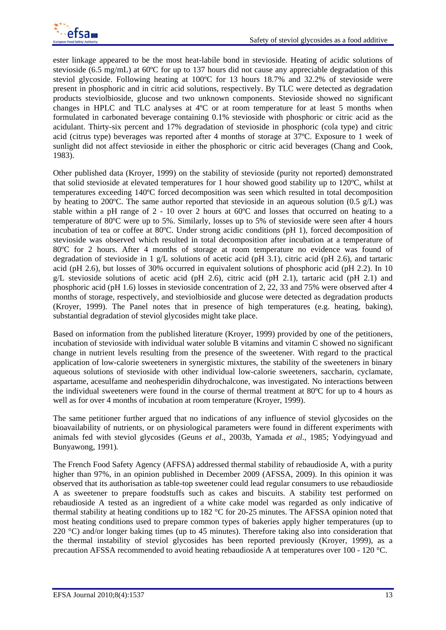ester linkage appeared to be the most heat-labile bond in stevioside. Heating of acidic solutions of stevioside (6.5 mg/mL) at 60ºC for up to 137 hours did not cause any appreciable degradation of this steviol glycoside. Following heating at 100ºC for 13 hours 18.7% and 32.2% of stevioside were present in phosphoric and in citric acid solutions, respectively. By TLC were detected as degradation products steviolbioside, glucose and two unknown components. Stevioside showed no significant changes in HPLC and TLC analyses at 4ºC or at room temperature for at least 5 months when formulated in carbonated beverage containing 0.1% stevioside with phosphoric or citric acid as the acidulant. Thirty-six percent and 17% degradation of stevioside in phosphoric (cola type) and citric acid (citrus type) beverages was reported after 4 months of storage at 37ºC. Exposure to 1 week of sunlight did not affect stevioside in either the phosphoric or citric acid beverages (Chang and Cook, 1983).

Other published data (Kroyer, 1999) on the stability of stevioside (purity not reported) demonstrated that solid stevioside at elevated temperatures for 1 hour showed good stability up to 120ºC, whilst at temperatures exceeding 140ºC forced decomposition was seen which resulted in total decomposition by heating to 200<sup>o</sup>C. The same author reported that stevioside in an aqueous solution (0.5 g/L) was stable within a pH range of 2 - 10 over 2 hours at 60ºC and losses that occurred on heating to a temperature of 80ºC were up to 5%. Similarly, losses up to 5% of stevioside were seen after 4 hours incubation of tea or coffee at 80ºC. Under strong acidic conditions (pH 1), forced decomposition of stevioside was observed which resulted in total decomposition after incubation at a temperature of 80ºC for 2 hours. After 4 months of storage at room temperature no evidence was found of degradation of stevioside in 1 g/L solutions of acetic acid (pH 3.1), citric acid (pH 2.6), and tartaric acid (pH 2.6), but losses of 30% occurred in equivalent solutions of phosphoric acid (pH 2.2). In 10 g/L stevioside solutions of acetic acid (pH 2.6), citric acid (pH 2.1), tartaric acid (pH 2.1) and phosphoric acid (pH 1.6) losses in stevioside concentration of 2, 22, 33 and 75% were observed after 4 months of storage, respectively, and steviolbioside and glucose were detected as degradation products (Kroyer, 1999). The Panel notes that in presence of high temperatures (e.g. heating, baking), substantial degradation of steviol glycosides might take place.

Based on information from the published literature (Kroyer, 1999) provided by one of the petitioners, incubation of stevioside with individual water soluble B vitamins and vitamin C showed no significant change in nutrient levels resulting from the presence of the sweetener. With regard to the practical application of low-calorie sweeteners in synergistic mixtures, the stability of the sweeteners in binary aqueous solutions of stevioside with other individual low-calorie sweeteners, saccharin, cyclamate, aspartame, acesulfame and neohesperidin dihydrochalcone, was investigated. No interactions between the individual sweeteners were found in the course of thermal treatment at 80ºC for up to 4 hours as well as for over 4 months of incubation at room temperature (Kroyer, 1999).

The same petitioner further argued that no indications of any influence of steviol glycosides on the bioavailability of nutrients, or on physiological parameters were found in different experiments with animals fed with steviol glycosides (Geuns *et al*., 2003b, Yamada *et al*., 1985; Yodyingyuad and Bunyawong, 1991)*.*

The French Food Safety Agency (AFFSA) addressed thermal stability of rebaudioside A, with a purity higher than 97%, in an opinion published in December 2009 (AFSSA, 2009). In this opinion it was observed that its authorisation as table-top sweetener could lead regular consumers to use rebaudioside A as sweetener to prepare foodstuffs such as cakes and biscuits. A stability test performed on rebaudioside A tested as an ingredient of a white cake model was regarded as only indicative of thermal stability at heating conditions up to 182 °C for 20-25 minutes. The AFSSA opinion noted that most heating conditions used to prepare common types of bakeries apply higher temperatures (up to 220 °C) and/or longer baking times (up to 45 minutes). Therefore taking also into consideration that the thermal instability of steviol glycosides has been reported previously (Kroyer, 1999), as a precaution AFSSA recommended to avoid heating rebaudioside A at temperatures over 100 - 120 °C.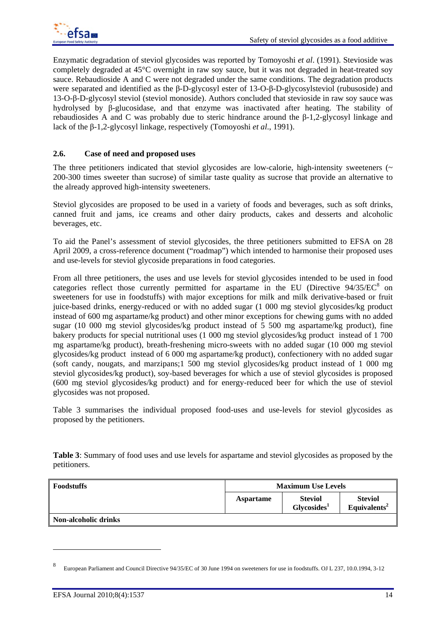Enzymatic degradation of steviol glycosides was reported by Tomoyoshi *et al*. (1991). Stevioside was completely degraded at 45°C overnight in raw soy sauce, but it was not degraded in heat-treated soy sauce. Rebaudioside A and C were not degraded under the same conditions. The degradation products were separated and identified as the β-D-glycosyl ester of 13-O-β-D-glycosylsteviol (rubusoside) and 13-O-β-D-glycosyl steviol (steviol monoside). Authors concluded that stevioside in raw soy sauce was hydrolysed by β-glucosidase, and that enzyme was inactivated after heating. The stability of rebaudiosides A and C was probably due to steric hindrance around the β-1,2-glycosyl linkage and lack of the β-1,2-glycosyl linkage, respectively (Tomoyoshi *et al*., 1991).

### **2.6. Case of need and proposed uses**

The three petitioners indicated that steviol glycosides are low-calorie, high-intensity sweeteners  $($ 200-300 times sweeter than sucrose) of similar taste quality as sucrose that provide an alternative to the already approved high-intensity sweeteners.

Steviol glycosides are proposed to be used in a variety of foods and beverages, such as soft drinks, canned fruit and jams, ice creams and other dairy products, cakes and desserts and alcoholic beverages, etc.

To aid the Panel's assessment of steviol glycosides, the three petitioners submitted to EFSA on 28 April 2009, a cross-reference document ("roadmap") which intended to harmonise their proposed uses and use-levels for steviol glycoside preparations in food categories.

From all three petitioners, the uses and use levels for steviol glycosides intended to be used in food categories reflect those currently permitted for aspartame in the EU (Directive  $94/35/EC^8$  on sweeteners for use in foodstuffs) with major exceptions for milk and milk derivative-based or fruit juice-based drinks, energy-reduced or with no added sugar (1 000 mg steviol glycosides/kg product instead of 600 mg aspartame/kg product) and other minor exceptions for chewing gums with no added sugar (10 000 mg steviol glycosides/kg product instead of 5 500 mg aspartame/kg product), fine bakery products for special nutritional uses (1 000 mg steviol glycosides/kg product instead of 1 700 mg aspartame/kg product), breath-freshening micro-sweets with no added sugar (10 000 mg steviol glycosides/kg product instead of 6 000 mg aspartame/kg product), confectionery with no added sugar (soft candy, nougats, and marzipans;1 500 mg steviol glycosides/kg product instead of 1 000 mg steviol glycosides/kg product), soy-based beverages for which a use of steviol glycosides is proposed (600 mg steviol glycosides/kg product) and for energy-reduced beer for which the use of steviol glycosides was not proposed.

Table 3 summarises the individual proposed food-uses and use-levels for steviol glycosides as proposed by the petitioners.

**Table 3**: Summary of food uses and use levels for aspartame and steviol glycosides as proposed by the petitioners.

| <b>Foodstuffs</b>           | <b>Maximum Use Levels</b> |                                           |                                            |
|-----------------------------|---------------------------|-------------------------------------------|--------------------------------------------|
|                             | <b>Aspartame</b>          | <b>Steviol</b><br>Glycosides <sup>1</sup> | <b>Steviol</b><br>Equivalents <sup>2</sup> |
| <b>Non-alcoholic drinks</b> |                           |                                           |                                            |

1

<sup>8</sup> European Parliament and Council Directive 94/35/EC of 30 June 1994 on sweeteners for use in foodstuffs. OJ L 237, 10.0.1994, 3-12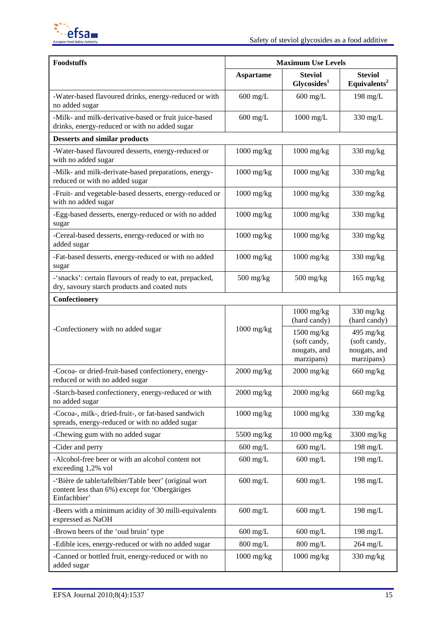

| <b>Foodstuffs</b>                                                                                                      | <b>Maximum Use Levels</b> |                                                            |                                                           |  |
|------------------------------------------------------------------------------------------------------------------------|---------------------------|------------------------------------------------------------|-----------------------------------------------------------|--|
|                                                                                                                        | <b>Aspartame</b>          | <b>Steviol</b><br>Glycosides <sup>1</sup>                  | <b>Steviol</b><br>Equivalents <sup>2</sup>                |  |
| -Water-based flavoured drinks, energy-reduced or with<br>no added sugar                                                | $600$ mg/L                | $600$ mg/L                                                 | $198$ mg/L                                                |  |
| -Milk- and milk-derivative-based or fruit juice-based<br>drinks, energy-reduced or with no added sugar                 | $600$ mg/L                | $1000$ mg/L                                                | 330 mg/L                                                  |  |
| <b>Desserts and similar products</b>                                                                                   |                           |                                                            |                                                           |  |
| -Water-based flavoured desserts, energy-reduced or<br>with no added sugar                                              | $1000$ mg/kg              | $1000$ mg/kg                                               | $330$ mg/kg                                               |  |
| -Milk- and milk-derivate-based preparations, energy-<br>reduced or with no added sugar                                 | $1000$ mg/kg              | $1000$ mg/kg                                               | $330$ mg/kg                                               |  |
| -Fruit- and vegetable-based desserts, energy-reduced or<br>with no added sugar                                         | $1000$ mg/kg              | $1000$ mg/kg                                               | $330$ mg/kg                                               |  |
| -Egg-based desserts, energy-reduced or with no added<br>sugar                                                          | $1000$ mg/kg              | $1000$ mg/kg                                               | $330$ mg/kg                                               |  |
| -Cereal-based desserts, energy-reduced or with no<br>added sugar                                                       | $1000$ mg/kg              | $1000$ mg/kg                                               | $330$ mg/kg                                               |  |
| -Fat-based desserts, energy-reduced or with no added<br>sugar                                                          | $1000$ mg/kg              | $1000$ mg/kg                                               | $330 \text{ mg/kg}$                                       |  |
| -'snacks': certain flavours of ready to eat, prepacked,<br>dry, savoury starch products and coated nuts                | $500$ mg/kg               | $500$ mg/kg                                                | $165 \text{ mg/kg}$                                       |  |
| Confectionery                                                                                                          |                           |                                                            |                                                           |  |
|                                                                                                                        |                           | $1000$ mg/kg<br>(hard candy)                               | $330$ mg/kg<br>(hard candy)                               |  |
| -Confectionery with no added sugar                                                                                     | $1000$ mg/kg              | $1500$ mg/kg<br>(soft candy,<br>nougats, and<br>marzipans) | $495$ mg/kg<br>(soft candy,<br>nougats, and<br>marzipans) |  |
| -Cocoa- or dried-fruit-based confectionery, energy-<br>reduced or with no added sugar                                  | $2000$ mg/kg              | $2000$ mg/kg                                               | $660$ mg/kg                                               |  |
| -Starch-based confectionery, energy-reduced or with<br>no added sugar                                                  | $2000$ mg/kg              | $2000$ mg/kg                                               | $660$ mg/kg                                               |  |
| -Cocoa-, milk-, dried-fruit-, or fat-based sandwich<br>spreads, energy-reduced or with no added sugar                  | $1000$ mg/kg              | $1000$ mg/kg                                               | $330$ mg/kg                                               |  |
| -Chewing gum with no added sugar                                                                                       | 5500 mg/kg                | 10 000 mg/kg                                               | 3300 mg/kg                                                |  |
| -Cider and perry                                                                                                       | $600$ mg/L                | $600$ mg/L                                                 | $198$ mg/L                                                |  |
| -Alcohol-free beer or with an alcohol content not<br>exceeding 1,2% vol                                                | $600$ mg/L                | $600$ mg/L                                                 | $198$ mg/L                                                |  |
| -'Bière de table/tafelbier/Table beer' (original wort<br>content less than 6%) except for 'Obergäriges<br>Einfachbier' | $600 \text{ mg/L}$        | $600$ mg/L                                                 | $198$ mg/L                                                |  |
| -Beers with a minimum acidity of 30 milli-equivalents<br>expressed as NaOH                                             | $600 \text{ mg/L}$        | $600$ mg/L                                                 | $198$ mg/L                                                |  |
| -Brown beers of the 'oud bruin' type                                                                                   | $600$ mg/L                | $600$ mg/L                                                 | $198$ mg/L                                                |  |
| -Edible ices, energy-reduced or with no added sugar                                                                    | $800 \text{ mg/L}$        | $800 \text{ mg/L}$                                         | $264$ mg/L                                                |  |
| -Canned or bottled fruit, energy-reduced or with no<br>added sugar                                                     | $1000$ mg/kg              | $1000$ mg/kg                                               | 330 mg/kg                                                 |  |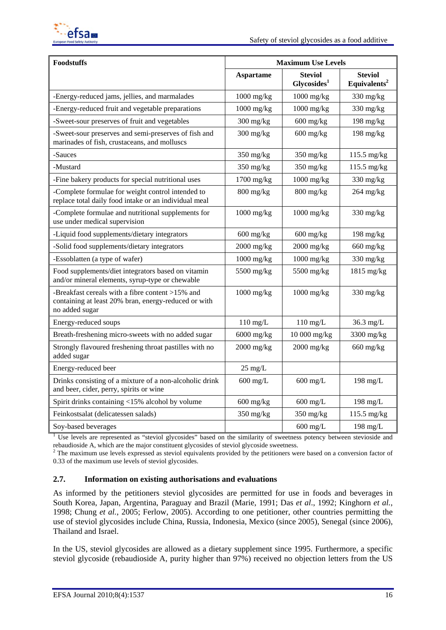

| <b>Foodstuffs</b>                                                                                                          | <b>Maximum Use Levels</b>         |                                           |                                            |  |
|----------------------------------------------------------------------------------------------------------------------------|-----------------------------------|-------------------------------------------|--------------------------------------------|--|
|                                                                                                                            | <b>Aspartame</b>                  | <b>Steviol</b><br>Glycosides <sup>1</sup> | <b>Steviol</b><br>Equivalents <sup>2</sup> |  |
| -Energy-reduced jams, jellies, and marmalades                                                                              | $1000$ mg/kg                      | $1000$ mg/kg                              | $330$ mg/kg                                |  |
| -Energy-reduced fruit and vegetable preparations                                                                           | $1000$ mg/kg                      | $1000$ mg/kg                              | $330$ mg/kg                                |  |
| -Sweet-sour preserves of fruit and vegetables                                                                              | $300$ mg/kg                       | $600$ mg/kg                               | $198$ mg/kg                                |  |
| -Sweet-sour preserves and semi-preserves of fish and<br>marinades of fish, crustaceans, and molluscs                       | $300 \frac{\text{mg}}{\text{kg}}$ | $600$ mg/kg                               | $198$ mg/kg                                |  |
| -Sauces                                                                                                                    | $350$ mg/kg                       | $350$ mg/kg                               | 115.5 mg/kg                                |  |
| -Mustard                                                                                                                   | 350 mg/kg                         | 350 mg/kg                                 | 115.5 mg/kg                                |  |
| -Fine bakery products for special nutritional uses                                                                         | $1700$ mg/kg                      | $1000$ mg/kg                              | $330 \text{ mg/kg}$                        |  |
| -Complete formulae for weight control intended to<br>replace total daily food intake or an individual meal                 | 800 mg/kg                         | $800$ mg/kg                               | $264$ mg/kg                                |  |
| -Complete formulae and nutritional supplements for<br>use under medical supervision                                        | $1000$ mg/kg                      | $1000$ mg/kg                              | $330$ mg/kg                                |  |
| -Liquid food supplements/dietary integrators                                                                               | $600$ mg/kg                       | $600$ mg/kg                               | $198$ mg/kg                                |  |
| -Solid food supplements/dietary integrators                                                                                | $2000$ mg/kg                      | $2000$ mg/kg                              | $660$ mg/kg                                |  |
| -Essoblatten (a type of wafer)                                                                                             | $1000$ mg/kg                      | $1000$ mg/kg                              | $330$ mg/kg                                |  |
| Food supplements/diet integrators based on vitamin<br>and/or mineral elements, syrup-type or chewable                      | 5500 mg/kg                        | 5500 mg/kg                                | $1815$ mg/kg                               |  |
| -Breakfast cereals with a fibre content >15% and<br>containing at least 20% bran, energy-reduced or with<br>no added sugar | $1000$ mg/kg                      | $1000$ mg/kg                              | $330$ mg/kg                                |  |
| Energy-reduced soups                                                                                                       | $110$ mg/L                        | $110 \text{ mg/L}$                        | 36.3 mg/L                                  |  |
| Breath-freshening micro-sweets with no added sugar                                                                         | $6000$ mg/kg                      | 10 000 mg/kg                              | 3300 mg/kg                                 |  |
| Strongly flavoured freshening throat pastilles with no<br>added sugar                                                      | $2000$ mg/kg                      | $2000$ mg/kg                              | $660$ mg/kg                                |  |
| Energy-reduced beer                                                                                                        | $25 \text{ mg/L}$                 |                                           |                                            |  |
| Drinks consisting of a mixture of a non-alcoholic drink<br>and beer, cider, perry, spirits or wine                         | $600$ mg/L                        | $600$ mg/L                                | $198$ mg/L                                 |  |
| Spirit drinks containing <15% alcohol by volume                                                                            | $600$ mg/kg                       | $600$ mg/L                                | $198$ mg/L                                 |  |
| Feinkostsalat (delicatessen salads)                                                                                        | $350$ mg/kg                       | $350$ mg/kg                               | $115.5$ mg/kg                              |  |
| Soy-based beverages                                                                                                        |                                   | $600$ mg/L                                | $198$ mg/L                                 |  |

<sup>1</sup> Use levels are represented as "steviol glycosides" based on the similarity of sweetness potency between stevioside and rebaudioside A, which are the major constituent glycosides of steviol glycoside sweetness. 2

<sup>2</sup> The maximum use levels expressed as steviol equivalents provided by the petitioners were based on a conversion factor of 0.33 of the maximum use levels of steviol glycosides.

### **2.7. Information on existing authorisations and evaluations**

As informed by the petitioners steviol glycosides are permitted for use in foods and beverages in South Korea, Japan, Argentina, Paraguay and Brazil (Marie, 1991; Das *et al*., 1992; Kinghorn *et al.*, 1998; Chung *et al.*, 2005; Ferlow, 2005). According to one petitioner, other countries permitting the use of steviol glycosides include China, Russia, Indonesia, Mexico (since 2005), Senegal (since 2006), Thailand and Israel.

In the US, steviol glycosides are allowed as a dietary supplement since 1995. Furthermore, a specific steviol glycoside (rebaudioside A, purity higher than 97%) received no objection letters from the US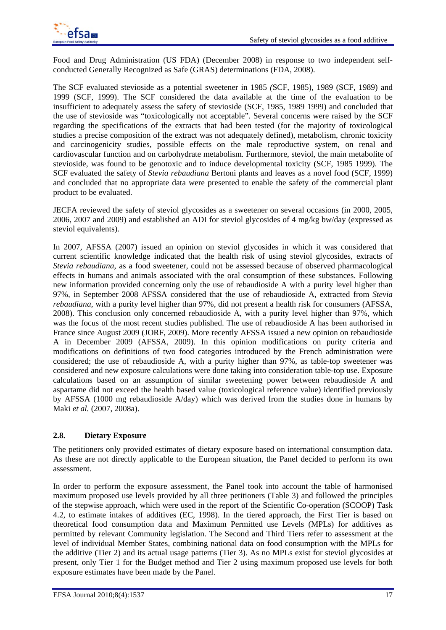

Food and Drug Administration (US FDA) (December 2008) in response to two independent selfconducted Generally Recognized as Safe (GRAS) determinations (FDA, 2008).

The SCF evaluated stevioside as a potential sweetener in 1985 *(*SCF, 1985), 1989 (SCF, 1989) and 1999 (SCF, 1999). The SCF considered the data available at the time of the evaluation to be insufficient to adequately assess the safety of stevioside (SCF, 1985, 1989 1999) and concluded that the use of stevioside was "toxicologically not acceptable". Several concerns were raised by the SCF regarding the specifications of the extracts that had been tested (for the majority of toxicological studies a precise composition of the extract was not adequately defined), metabolism, chronic toxicity and carcinogenicity studies, possible effects on the male reproductive system, on renal and cardiovascular function and on carbohydrate metabolism*.* Furthermore, steviol, the main metabolite of stevioside, was found to be genotoxic and to induce developmental toxicity (SCF, 1985 1999). The SCF evaluated the safety of *Stevia rebaudiana* Bertoni plants and leaves as a novel food (SCF, 1999) and concluded that no appropriate data were presented to enable the safety of the commercial plant product to be evaluated.

JECFA reviewed the safety of steviol glycosides as a sweetener on several occasions (in 2000, 2005, 2006, 2007 and 2009) and established an ADI for steviol glycosides of 4 mg/kg bw/day (expressed as steviol equivalents).

In 2007, AFSSA (2007) issued an opinion on steviol glycosides in which it was considered that current scientific knowledge indicated that the health risk of using steviol glycosides, extracts of *Stevia rebaudiana*, as a food sweetener, could not be assessed because of observed pharmacological effects in humans and animals associated with the oral consumption of these substances. Following new information provided concerning only the use of rebaudioside A with a purity level higher than 97%, in September 2008 AFSSA considered that the use of rebaudioside A, extracted from *Stevia rebaudiana*, with a purity level higher than 97%, did not present a health risk for consumers (AFSSA, 2008). This conclusion only concerned rebaudioside A, with a purity level higher than 97%, which was the focus of the most recent studies published. The use of rebaudioside A has been authorised in France since August 2009 (JORF, 2009). More recently AFSSA issued a new opinion on rebaudioside A in December 2009 (AFSSA, 2009). In this opinion modifications on purity criteria and modifications on definitions of two food categories introduced by the French administration were considered; the use of rebaudioside A, with a purity higher than 97%, as table-top sweetener was considered and new exposure calculations were done taking into consideration table-top use. Exposure calculations based on an assumption of similar sweetening power between rebaudioside A and aspartame did not exceed the health based value (toxicological reference value) identified previously by AFSSA (1000 mg rebaudioside A/day) which was derived from the studies done in humans by Maki *et al.* (2007, 2008a).

### **2.8. Dietary Exposure**

The petitioners only provided estimates of dietary exposure based on international consumption data. As these are not directly applicable to the European situation, the Panel decided to perform its own assessment.

In order to perform the exposure assessment, the Panel took into account the table of harmonised maximum proposed use levels provided by all three petitioners (Table 3) and followed the principles of the stepwise approach, which were used in the report of the Scientific Co-operation (SCOOP) Task 4.2, to estimate intakes of additives (EC, 1998). In the tiered approach, the First Tier is based on theoretical food consumption data and Maximum Permitted use Levels (MPLs) for additives as permitted by relevant Community legislation. The Second and Third Tiers refer to assessment at the level of individual Member States, combining national data on food consumption with the MPLs for the additive (Tier 2) and its actual usage patterns (Tier 3). As no MPLs exist for steviol glycosides at present, only Tier 1 for the Budget method and Tier 2 using maximum proposed use levels for both exposure estimates have been made by the Panel.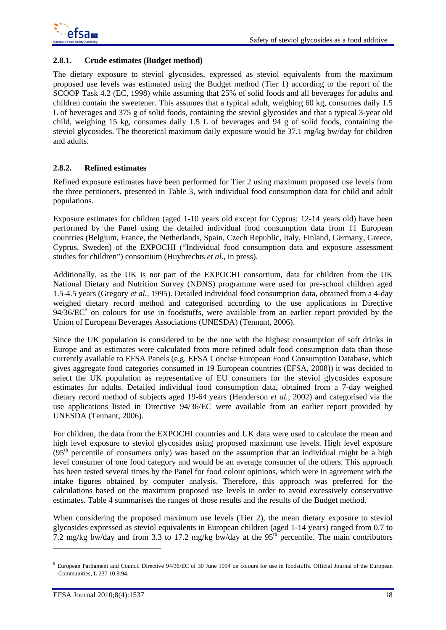

### **2.8.1. Crude estimates (Budget method)**

The dietary exposure to steviol glycosides, expressed as steviol equivalents from the maximum proposed use levels was estimated using the Budget method (Tier 1) according to the report of the SCOOP Task 4.2 (EC, 1998) while assuming that 25% of solid foods and all beverages for adults and children contain the sweetener. This assumes that a typical adult, weighing 60 kg, consumes daily 1.5 L of beverages and 375 g of solid foods, containing the steviol glycosides and that a typical 3-year old child, weighing 15 kg, consumes daily 1.5 L of beverages and 94 g of solid foods, containing the steviol glycosides. The theoretical maximum daily exposure would be 37.1 mg/kg bw/day for children and adults.

### **2.8.2. Refined estimates**

Refined exposure estimates have been performed for Tier 2 using maximum proposed use levels from the three petitioners, presented in Table 3, with individual food consumption data for child and adult populations.

Exposure estimates for children (aged 1-10 years old except for Cyprus: 12-14 years old) have been performed by the Panel using the detailed individual food consumption data from 11 European countries (Belgium, France, the Netherlands, Spain, Czech Republic, Italy, Finland, Germany, Greece, Cyprus, Sweden) of the EXPOCHI ("Individual food consumption data and exposure assessment studies for children") consortium (Huybrechts *et al*., in press).

Additionally, as the UK is not part of the EXPOCHI consortium, data for children from the UK National Dietary and Nutrition Survey (NDNS) programme were used for pre-school children aged 1.5-4.5 years (Gregory *et al.,* 1995). Detailed individual food consumption data, obtained from a 4-day weighed dietary record method and categorised according to the use applications in Directive  $94/36/EC<sup>9</sup>$  on colours for use in foodstuffs, were available from an earlier report provided by the Union of European Beverages Associations (UNESDA) (Tennant, 2006).

Since the UK population is considered to be the one with the highest consumption of soft drinks in Europe and as estimates were calculated from more refined adult food consumption data than those currently available to EFSA Panels (e.g. EFSA Concise European Food Consumption Database, which gives aggregate food categories consumed in 19 European countries (EFSA, 2008)) it was decided to select the UK population as representative of EU consumers for the steviol glycosides exposure estimates for adults. Detailed individual food consumption data, obtained from a 7-day weighed dietary record method of subjects aged 19-64 years (Henderson *et al.,* 2002) and categorised via the use applications listed in Directive 94/36/EC were available from an earlier report provided by UNESDA (Tennant, 2006).

For children, the data from the EXPOCHI countries and UK data were used to calculate the mean and high level exposure to steviol glycosides using proposed maximum use levels. High level exposure  $(95<sup>th</sup>$  percentile of consumers only) was based on the assumption that an individual might be a high level consumer of one food category and would be an average consumer of the others. This approach has been tested several times by the Panel for food colour opinions, which were in agreement with the intake figures obtained by computer analysis. Therefore, this approach was preferred for the calculations based on the maximum proposed use levels in order to avoid excessively conservative estimates. Table 4 summarises the ranges of those results and the results of the Budget method.

When considering the proposed maximum use levels (Tier 2), the mean dietary exposure to steviol glycosides expressed as steviol equivalents in European children (aged 1-14 years) ranged from 0.7 to 7.2 mg/kg bw/day and from 3.3 to 17.2 mg/kg bw/day at the  $95<sup>th</sup>$  percentile. The main contributors

1

<sup>&</sup>lt;sup>9</sup> European Parliament and Council Directive 94/36/EC of 30 June 1994 on colours for use in foodstuffs. Official Journal of the European Communities, L 237 10.9.94.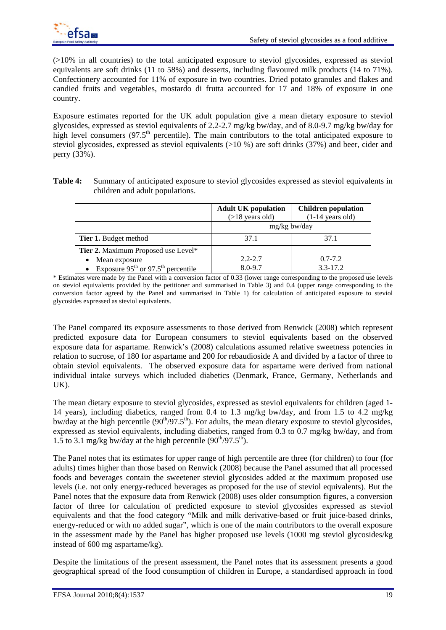(>10% in all countries) to the total anticipated exposure to steviol glycosides, expressed as steviol equivalents are soft drinks (11 to 58%) and desserts, including flavoured milk products (14 to 71%). Confectionery accounted for 11% of exposure in two countries. Dried potato granules and flakes and candied fruits and vegetables, mostardo di frutta accounted for 17 and 18% of exposure in one country.

Exposure estimates reported for the UK adult population give a mean dietary exposure to steviol glycosides, expressed as steviol equivalents of 2.2-2.7 mg/kg bw/day, and of 8.0-9.7 mg/kg bw/day for high level consumers (97.5<sup>th</sup> percentile). The main contributors to the total anticipated exposure to steviol glycosides, expressed as steviol equivalents (>10 %) are soft drinks (37%) and beer, cider and perry (33%).

**Table 4:** Summary of anticipated exposure to steviol glycosides expressed as steviol equivalents in children and adult populations.

|                                          | <b>Adult UK population</b> | <b>Children population</b> |
|------------------------------------------|----------------------------|----------------------------|
|                                          | $($ >18 years old)         | $(1-14 \text{ years old})$ |
|                                          | $mg/kg$ bw/day             |                            |
| <b>Tier 1.</b> Budget method             | 37.1                       | 37.1                       |
| Tier 2. Maximum Proposed use Level*      |                            |                            |
| Mean exposure                            | $2.2 - 2.7$                | $0.7 - 7.2$                |
| • Exposure $95th$ or $97.5th$ percentile | $8.0 - 9.7$                | $3.3 - 17.2$               |

\* Estimates were made by the Panel with a conversion factor of 0.33 (lower range corresponding to the proposed use levels on steviol equivalents provided by the petitioner and summarised in Table 3) and 0.4 (upper range corresponding to the conversion factor agreed by the Panel and summarised in Table 1) for calculation of anticipated exposure to steviol glycosides expressed as steviol equivalents.

The Panel compared its exposure assessments to those derived from Renwick (2008) which represent predicted exposure data for European consumers to steviol equivalents based on the observed exposure data for aspartame. Renwick's (2008) calculations assumed relative sweetness potencies in relation to sucrose, of 180 for aspartame and 200 for rebaudioside A and divided by a factor of three to obtain steviol equivalents. The observed exposure data for aspartame were derived from national individual intake surveys which included diabetics (Denmark, France, Germany, Netherlands and UK).

The mean dietary exposure to steviol glycosides, expressed as steviol equivalents for children (aged 1- 14 years), including diabetics, ranged from 0.4 to 1.3 mg/kg bw/day, and from 1.5 to 4.2 mg/kg bw/day at the high percentile  $(90<sup>th</sup>/97.5<sup>th</sup>)$ . For adults, the mean dietary exposure to steviol glycosides, expressed as steviol equivalents, including diabetics, ranged from 0.3 to 0.7 mg/kg bw/day, and from 1.5 to 3.1 mg/kg bw/day at the high percentile  $(90<sup>th</sup>/97.5<sup>th</sup>)$ .

The Panel notes that its estimates for upper range of high percentile are three (for children) to four (for adults) times higher than those based on Renwick (2008) because the Panel assumed that all processed foods and beverages contain the sweetener steviol glycosides added at the maximum proposed use levels (i.e. not only energy-reduced beverages as proposed for the use of steviol equivalents). But the Panel notes that the exposure data from Renwick (2008) uses older consumption figures, a conversion factor of three for calculation of predicted exposure to steviol glycosides expressed as steviol equivalents and that the food category "Milk and milk derivative-based or fruit juice-based drinks, energy-reduced or with no added sugar", which is one of the main contributors to the overall exposure in the assessment made by the Panel has higher proposed use levels (1000 mg steviol glycosides/kg instead of 600 mg aspartame/kg).

Despite the limitations of the present assessment, the Panel notes that its assessment presents a good geographical spread of the food consumption of children in Europe, a standardised approach in food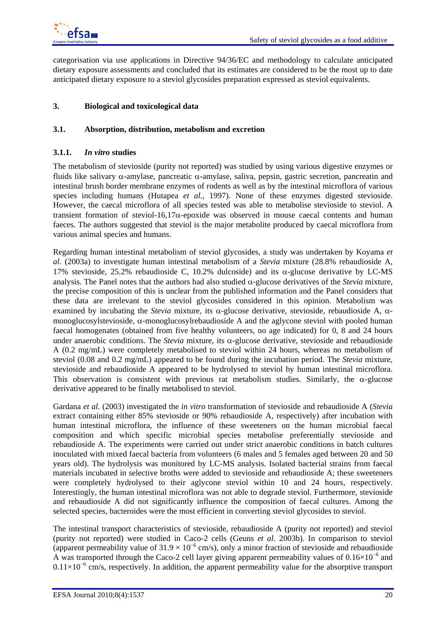

categorisation via use applications in Directive 94/36/EC and methodology to calculate anticipated dietary exposure assessments and concluded that its estimates are considered to be the most up to date anticipated dietary exposure to a steviol glycosides preparation expressed as steviol equivalents.

### **3. Biological and toxicological data**

#### **3.1. Absorption, distribution, metabolism and excretion**

#### **3.1.1.** *In vitro* **studies**

The metabolism of stevioside (purity not reported) was studied by using various digestive enzymes or fluids like salivary  $\alpha$ -amylase, pancreatic  $\alpha$ -amylase, saliva, pepsin, gastric secretion, pancreatin and intestinal brush border membrane enzymes of rodents as well as by the intestinal microflora of various species including humans (Hutapea *et al.*, 1997). None of these enzymes digested stevioside. However, the caecal microflora of all species tested was able to metabolise stevioside to steviol. A transient formation of steviol-16,17 $\alpha$ -epoxide was observed in mouse caecal contents and human faeces. The authors suggested that steviol is the major metabolite produced by caecal microflora from various animal species and humans.

Regarding human intestinal metabolism of steviol glycosides, a study was undertaken by Koyama *et al.* (2003a) to investigate human intestinal metabolism of a *Stevia* mixture (28.8% rebaudioside A, 17% stevioside, 25.2% rebaudioside C, 10.2% dulcoside) and its  $\alpha$ -glucose derivative by LC-MS analysis. The Panel notes that the authors had also studied  $\alpha$ -glucose derivatives of the *Stevia* mixture, the precise composition of this is unclear from the published information and the Panel considers that these data are irrelevant to the steviol glycosides considered in this opinion. Metabolism was examined by incubating the *Stevia* mixture, its  $\alpha$ -glucose derivative, stevioside, rebaudioside A,  $\alpha$ monoglucosylstevioside,  $\alpha$ -monoglucosylrebaudioside A and the aglycone steviol with pooled human faecal homogenates (obtained from five healthy volunteers, no age indicated) for 0, 8 and 24 hours under anaerobic conditions. The *Stevia* mixture, its  $\alpha$ -glucose derivative, stevioside and rebaudioside A (0.2 mg/mL) were completely metabolised to steviol within 24 hours, whereas no metabolism of steviol (0.08 and 0.2 mg/mL) appeared to be found during the incubation period. The *Stevia* mixture, stevioside and rebaudioside A appeared to be hydrolysed to steviol by human intestinal microflora. This observation is consistent with previous rat metabolism studies. Similarly, the  $\alpha$ -glucose derivative appeared to be finally metabolised to steviol.

Gardana *et al.* (2003) investigated the *in vitro* transformation of stevioside and rebaudioside A (*Stevia* extract containing either 85% stevioside or 90% rebaudioside A, respectively) after incubation with human intestinal microflora, the influence of these sweeteners on the human microbial faecal composition and which specific microbial species metabolise preferentially stevioside and rebaudioside A. The experiments were carried out under strict anaerobic conditions in batch cultures inoculated with mixed faecal bacteria from volunteers (6 males and 5 females aged between 20 and 50 years old). The hydrolysis was monitored by LC-MS analysis. Isolated bacterial strains from faecal materials incubated in selective broths were added to stevioside and rebaudioside A; these sweeteners were completely hydrolysed to their aglycone steviol within 10 and 24 hours, respectively. Interestingly, the human intestinal microflora was not able to degrade steviol. Furthermore, stevioside and rebaudioside A did not significantly influence the composition of faecal cultures. Among the selected species, bacteroides were the most efficient in converting steviol glycosides to steviol.

The intestinal transport characteristics of stevioside, rebaudioside A (purity not reported) and steviol (purity not reported) were studied in Caco-2 cells (Geuns *et al.* 2003b). In comparison to steviol (apparent permeability value of  $31.9 \times 10^{-6}$  cm/s), only a minor fraction of stevioside and rebaudioside A was transported through the Caco-2 cell layer giving apparent permeability values of  $0.16\times10^{-6}$  and 0.11×10<sup>-6</sup> cm/s, respectively. In addition, the apparent permeability value for the absorptive transport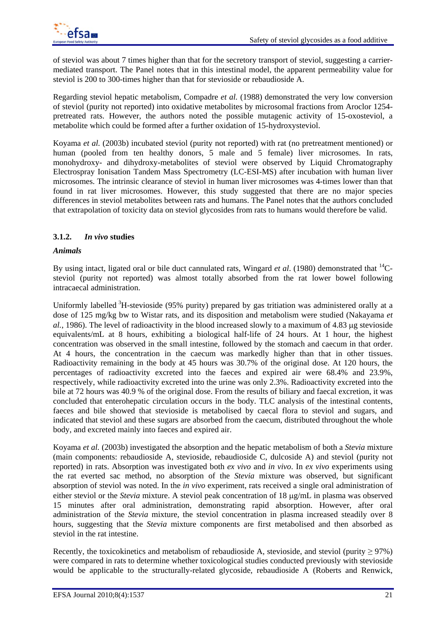of steviol was about 7 times higher than that for the secretory transport of steviol, suggesting a carriermediated transport. The Panel notes that in this intestinal model, the apparent permeability value for steviol is 200 to 300-times higher than that for stevioside or rebaudioside A.

Regarding steviol hepatic metabolism, Compadre *et al.* (1988) demonstrated the very low conversion of steviol (purity not reported) into oxidative metabolites by microsomal fractions from Aroclor 1254 pretreated rats. However, the authors noted the possible mutagenic activity of 15-oxosteviol, a metabolite which could be formed after a further oxidation of 15-hydroxysteviol.

Koyama *et al.* (2003b) incubated steviol (purity not reported) with rat (no pretreatment mentioned) or human (pooled from ten healthy donors, 5 male and 5 female) liver microsomes. In rats, monohydroxy- and dihydroxy-metabolites of steviol were observed by Liquid Chromatography Electrospray Ionisation Tandem Mass Spectrometry (LC-ESI-MS) after incubation with human liver microsomes. The intrinsic clearance of steviol in human liver microsomes was 4-times lower than that found in rat liver microsomes. However, this study suggested that there are no major species differences in steviol metabolites between rats and humans. The Panel notes that the authors concluded that extrapolation of toxicity data on steviol glycosides from rats to humans would therefore be valid.

## **3.1.2.** *In vivo* **studies**

### *Animals*

By using intact, ligated oral or bile duct cannulated rats, Wingard *et al*. (1980) demonstrated that 14Csteviol (purity not reported) was almost totally absorbed from the rat lower bowel following intracaecal administration.

Uniformly labelled <sup>3</sup>H-stevioside (95% purity) prepared by gas tritiation was administered orally at a dose of 125 mg/kg bw to Wistar rats, and its disposition and metabolism were studied (Nakayama *et al.*, 1986). The level of radioactivity in the blood increased slowly to a maximum of 4.83 ug stevioside equivalents/mL at 8 hours, exhibiting a biological half-life of 24 hours. At 1 hour, the highest concentration was observed in the small intestine, followed by the stomach and caecum in that order. At 4 hours, the concentration in the caecum was markedly higher than that in other tissues. Radioactivity remaining in the body at 45 hours was 30.7% of the original dose. At 120 hours, the percentages of radioactivity excreted into the faeces and expired air were 68.4% and 23.9%, respectively, while radioactivity excreted into the urine was only 2.3%. Radioactivity excreted into the bile at 72 hours was 40.9 % of the original dose. From the results of biliary and faecal excretion, it was concluded that enterohepatic circulation occurs in the body. TLC analysis of the intestinal contents, faeces and bile showed that stevioside is metabolised by caecal flora to steviol and sugars, and indicated that steviol and these sugars are absorbed from the caecum, distributed throughout the whole body, and excreted mainly into faeces and expired air.

Koyama *et al.* (2003b) investigated the absorption and the hepatic metabolism of both a *Stevia* mixture (main components: rebaudioside A, stevioside, rebaudioside C, dulcoside A) and steviol (purity not reported) in rats. Absorption was investigated both *ex vivo* and *in vivo*. In *ex vivo* experiments using the rat everted sac method, no absorption of the *Stevia* mixture was observed, but significant absorption of steviol was noted. In the *in vivo* experiment, rats received a single oral administration of either steviol or the *Stevia* mixture. A steviol peak concentration of 18  $\mu$ g/mL in plasma was observed 15 minutes after oral administration, demonstrating rapid absorption. However, after oral administration of the *Stevia* mixture, the steviol concentration in plasma increased steadily over 8 hours, suggesting that the *Stevia* mixture components are first metabolised and then absorbed as steviol in the rat intestine.

Recently, the toxicokinetics and metabolism of rebaudioside A, stevioside, and steviol (purity  $\geq$  97%) were compared in rats to determine whether toxicological studies conducted previously with stevioside would be applicable to the structurally-related glycoside, rebaudioside A (Roberts and Renwick,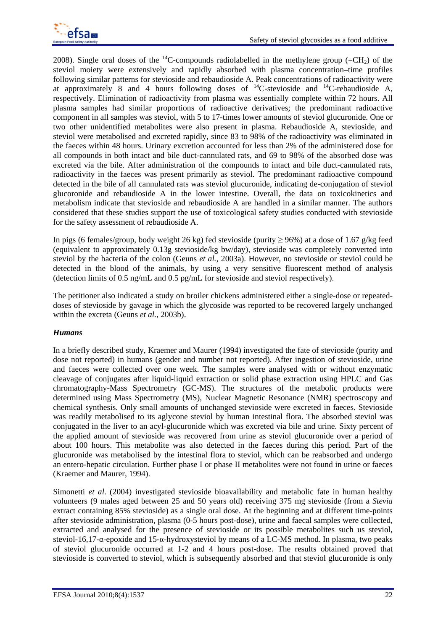

2008). Single oral doses of the <sup>14</sup>C-compounds radiolabelled in the methylene group (=CH<sub>2</sub>) of the steviol moiety were extensively and rapidly absorbed with plasma concentration–time profiles following similar patterns for stevioside and rebaudioside A. Peak concentrations of radioactivity were at approximately 8 and 4 hours following doses of  $^{14}$ C-stevioside and  $^{14}$ C-rebaudioside A, respectively. Elimination of radioactivity from plasma was essentially complete within 72 hours. All plasma samples had similar proportions of radioactive derivatives; the predominant radioactive component in all samples was steviol, with 5 to 17-times lower amounts of steviol glucuronide. One or two other unidentified metabolites were also present in plasma. Rebaudioside A, stevioside, and steviol were metabolised and excreted rapidly, since 83 to 98% of the radioactivity was eliminated in the faeces within 48 hours. Urinary excretion accounted for less than 2% of the administered dose for all compounds in both intact and bile duct-cannulated rats, and 69 to 98% of the absorbed dose was excreted via the bile. After administration of the compounds to intact and bile duct-cannulated rats, radioactivity in the faeces was present primarily as steviol. The predominant radioactive compound detected in the bile of all cannulated rats was steviol glucuronide, indicating de-conjugation of steviol glucoronide and rebaudioside A in the lower intestine. Overall, the data on toxicokinetics and metabolism indicate that stevioside and rebaudioside A are handled in a similar manner. The authors considered that these studies support the use of toxicological safety studies conducted with stevioside for the safety assessment of rebaudioside A.

In pigs (6 females/group, body weight 26 kg) fed stevioside (purity  $\geq$  96%) at a dose of 1.67 g/kg feed (equivalent to approximately 0.13g stevioside/kg bw/day), stevioside was completely converted into steviol by the bacteria of the colon (Geuns *et al.*, 2003a). However, no stevioside or steviol could be detected in the blood of the animals, by using a very sensitive fluorescent method of analysis (detection limits of 0.5 ng/mL and 0.5 pg/mL for stevioside and steviol respectively).

The petitioner also indicated a study on broiler chickens administered either a single-dose or repeateddoses of stevioside by gavage in which the glycoside was reported to be recovered largely unchanged within the excreta (Geuns *et al.*, 2003b).

### *Humans*

In a briefly described study, Kraemer and Maurer (1994) investigated the fate of stevioside (purity and dose not reported) in humans (gender and number not reported). After ingestion of stevioside, urine and faeces were collected over one week. The samples were analysed with or without enzymatic cleavage of conjugates after liquid-liquid extraction or solid phase extraction using HPLC and Gas chromatography-Mass Spectrometry (GC-MS). The structures of the metabolic products were determined using Mass Spectrometry (MS), Nuclear Magnetic Resonance (NMR) spectroscopy and chemical synthesis. Only small amounts of unchanged stevioside were excreted in faeces. Stevioside was readily metabolised to its aglycone steviol by human intestinal flora. The absorbed steviol was conjugated in the liver to an acyl-glucuronide which was excreted via bile and urine. Sixty percent of the applied amount of stevioside was recovered from urine as steviol glucuronide over a period of about 100 hours. This metabolite was also detected in the faeces during this period. Part of the glucuronide was metabolised by the intestinal flora to steviol, which can be reabsorbed and undergo an entero-hepatic circulation. Further phase I or phase II metabolites were not found in urine or faeces (Kraemer and Maurer, 1994).

Simonetti *et al*. (2004) investigated stevioside bioavailability and metabolic fate in human healthy volunteers (9 males aged between 25 and 50 years old) receiving 375 mg stevioside (from a *Stevia* extract containing 85% stevioside) as a single oral dose. At the beginning and at different time-points after stevioside administration, plasma (0-5 hours post-dose), urine and faecal samples were collected, extracted and analysed for the presence of stevioside or its possible metabolites such us steviol, steviol-16,17-α-epoxide and 15-α-hydroxysteviol by means of a LC-MS method. In plasma, two peaks of steviol glucuronide occurred at 1-2 and 4 hours post-dose. The results obtained proved that stevioside is converted to steviol, which is subsequently absorbed and that steviol glucuronide is only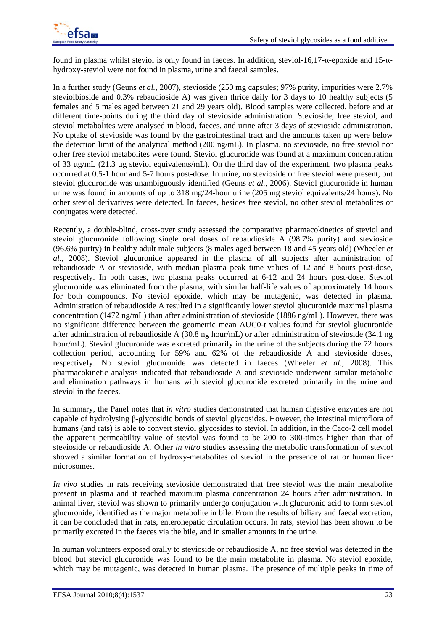

found in plasma whilst steviol is only found in faeces. In addition, steviol-16,17-α-epoxide and 15-αhydroxy-steviol were not found in plasma, urine and faecal samples.

In a further study (Geuns *et al.,* 2007), stevioside (250 mg capsules; 97% purity, impurities were 2.7% steviolbioside and 0.3% rebaudioside A) was given thrice daily for 3 days to 10 healthy subjects (5 females and 5 males aged between 21 and 29 years old). Blood samples were collected, before and at different time-points during the third day of stevioside administration. Stevioside, free steviol, and steviol metabolites were analysed in blood, faeces, and urine after 3 days of stevioside administration. No uptake of stevioside was found by the gastrointestinal tract and the amounts taken up were below the detection limit of the analytical method (200 ng/mL). In plasma, no stevioside, no free steviol nor other free steviol metabolites were found. Steviol glucuronide was found at a maximum concentration of 33  $\mu$ g/mL (21.3  $\mu$ g steviol equivalents/mL). On the third day of the experiment, two plasma peaks occurred at 0.5-1 hour and 5-7 hours post-dose. In urine, no stevioside or free steviol were present, but steviol glucuronide was unambiguously identified (Geuns *et al.*, 2006). Steviol glucuronide in human urine was found in amounts of up to 318 mg/24-hour urine (205 mg steviol equivalents/24 hours). No other steviol derivatives were detected. In faeces, besides free steviol, no other steviol metabolites or conjugates were detected.

Recently, a double-blind, cross-over study assessed the comparative pharmacokinetics of steviol and steviol glucuronide following single oral doses of rebaudioside A (98.7% purity) and stevioside (96.6% purity) in healthy adult male subjects (8 males aged between 18 and 45 years old) (Wheeler *et al*., 2008). Steviol glucuronide appeared in the plasma of all subjects after administration of rebaudioside A or stevioside, with median plasma peak time values of 12 and 8 hours post-dose, respectively. In both cases, two plasma peaks occurred at 6-12 and 24 hours post-dose. Steviol glucuronide was eliminated from the plasma, with similar half-life values of approximately 14 hours for both compounds. No steviol epoxide, which may be mutagenic, was detected in plasma. Administration of rebaudioside A resulted in a significantly lower steviol glucuronide maximal plasma concentration (1472 ng/mL) than after administration of stevioside (1886 ng/mL). However, there was no significant difference between the geometric mean AUC0-t values found for steviol glucuronide after administration of rebaudioside A (30.8 ng hour/mL) or after administration of stevioside (34.1 ng hour/mL). Steviol glucuronide was excreted primarily in the urine of the subjects during the 72 hours collection period, accounting for 59% and 62% of the rebaudioside A and stevioside doses, respectively. No steviol glucuronide was detected in faeces (Wheeler *et al*., 2008). This pharmacokinetic analysis indicated that rebaudioside A and stevioside underwent similar metabolic and elimination pathways in humans with steviol glucuronide excreted primarily in the urine and steviol in the faeces.

In summary, the Panel notes that *in vitro* studies demonstrated that human digestive enzymes are not capable of hydrolysing β-glycosidic bonds of steviol glycosides. However, the intestinal microflora of humans (and rats) is able to convert steviol glycosides to steviol. In addition, in the Caco-2 cell model the apparent permeability value of steviol was found to be 200 to 300-times higher than that of stevioside or rebaudioside A. Other *in vitro* studies assessing the metabolic transformation of steviol showed a similar formation of hydroxy-metabolites of steviol in the presence of rat or human liver microsomes.

*In vivo* studies in rats receiving stevioside demonstrated that free steviol was the main metabolite present in plasma and it reached maximum plasma concentration 24 hours after administration. In animal liver, steviol was shown to primarily undergo conjugation with glucuronic acid to form steviol glucuronide, identified as the major metabolite in bile. From the results of biliary and faecal excretion, it can be concluded that in rats, enterohepatic circulation occurs. In rats, steviol has been shown to be primarily excreted in the faeces via the bile, and in smaller amounts in the urine.

In human volunteers exposed orally to stevioside or rebaudioside A, no free steviol was detected in the blood but steviol glucuronide was found to be the main metabolite in plasma. No steviol epoxide, which may be mutagenic, was detected in human plasma. The presence of multiple peaks in time of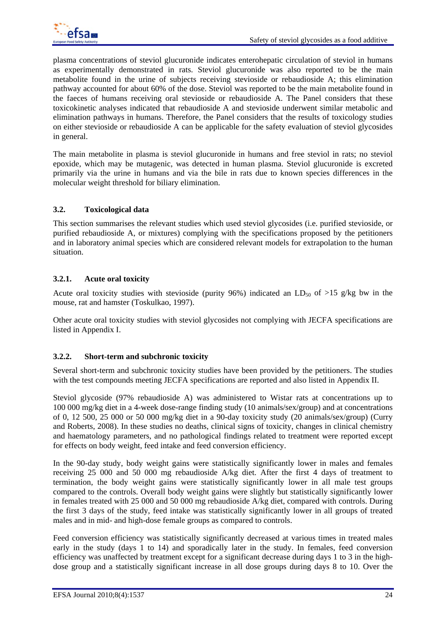

plasma concentrations of steviol glucuronide indicates enterohepatic circulation of steviol in humans as experimentally demonstrated in rats. Steviol glucuronide was also reported to be the main metabolite found in the urine of subjects receiving stevioside or rebaudioside A; this elimination pathway accounted for about 60% of the dose. Steviol was reported to be the main metabolite found in the faeces of humans receiving oral stevioside or rebaudioside A. The Panel considers that these toxicokinetic analyses indicated that rebaudioside A and stevioside underwent similar metabolic and elimination pathways in humans. Therefore, the Panel considers that the results of toxicology studies on either stevioside or rebaudioside A can be applicable for the safety evaluation of steviol glycosides in general.

The main metabolite in plasma is steviol glucuronide in humans and free steviol in rats; no steviol epoxide, which may be mutagenic, was detected in human plasma. Steviol glucuronide is excreted primarily via the urine in humans and via the bile in rats due to known species differences in the molecular weight threshold for biliary elimination.

### **3.2. Toxicological data**

This section summarises the relevant studies which used steviol glycosides (i.e. purified stevioside, or purified rebaudioside A, or mixtures) complying with the specifications proposed by the petitioners and in laboratory animal species which are considered relevant models for extrapolation to the human situation.

### **3.2.1. Acute oral toxicity**

Acute oral toxicity studies with stevioside (purity 96%) indicated an LD<sub>50</sub> of >15 g/kg bw in the mouse, rat and hamster (Toskulkao, 1997).

Other acute oral toxicity studies with steviol glycosides not complying with JECFA specifications are listed in Appendix I.

### **3.2.2. Short-term and subchronic toxicity**

Several short-term and subchronic toxicity studies have been provided by the petitioners. The studies with the test compounds meeting JECFA specifications are reported and also listed in Appendix II.

Steviol glycoside (97% rebaudioside A) was administered to Wistar rats at concentrations up to 100 000 mg/kg diet in a 4-week dose-range finding study (10 animals/sex/group) and at concentrations of 0, 12 500, 25 000 or 50 000 mg/kg diet in a 90-day toxicity study (20 animals/sex/group) (Curry and Roberts, 2008). In these studies no deaths, clinical signs of toxicity, changes in clinical chemistry and haematology parameters, and no pathological findings related to treatment were reported except for effects on body weight, feed intake and feed conversion efficiency.

In the 90-day study, body weight gains were statistically significantly lower in males and females receiving 25 000 and 50 000 mg rebaudioside A/kg diet. After the first 4 days of treatment to termination, the body weight gains were statistically significantly lower in all male test groups compared to the controls. Overall body weight gains were slightly but statistically significantly lower in females treated with 25 000 and 50 000 mg rebaudioside A/kg diet, compared with controls. During the first 3 days of the study, feed intake was statistically significantly lower in all groups of treated males and in mid- and high-dose female groups as compared to controls.

Feed conversion efficiency was statistically significantly decreased at various times in treated males early in the study (days 1 to 14) and sporadically later in the study. In females, feed conversion efficiency was unaffected by treatment except for a significant decrease during days 1 to 3 in the highdose group and a statistically significant increase in all dose groups during days 8 to 10. Over the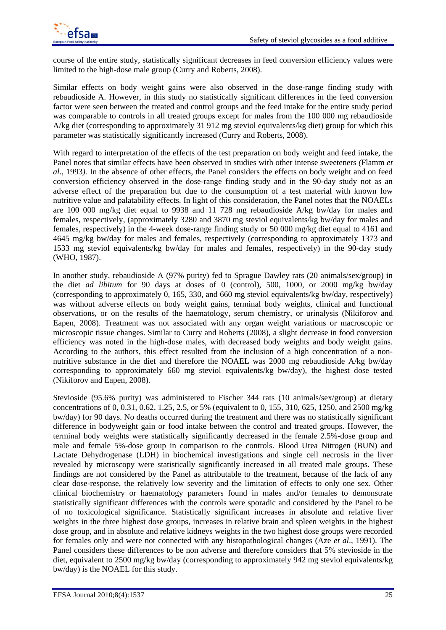

course of the entire study, statistically significant decreases in feed conversion efficiency values were limited to the high-dose male group (Curry and Roberts, 2008).

Similar effects on body weight gains were also observed in the dose-range finding study with rebaudioside A. However, in this study no statistically significant differences in the feed conversion factor were seen between the treated and control groups and the feed intake for the entire study period was comparable to controls in all treated groups except for males from the 100 000 mg rebaudioside A/kg diet (corresponding to approximately 31 912 mg steviol equivalents/kg diet) group for which this parameter was statistically significantly increased (Curry and Roberts, 2008).

With regard to interpretation of the effects of the test preparation on body weight and feed intake, the Panel notes that similar effects have been observed in studies with other intense sweeteners *(*Flamm *et al*., 1993*).* In the absence of other effects, the Panel considers the effects on body weight and on feed conversion efficiency observed in the dose-range finding study and in the 90-day study not as an adverse effect of the preparation but due to the consumption of a test material with known low nutritive value and palatability effects. In light of this consideration, the Panel notes that the NOAELs are 100 000 mg/kg diet equal to 9938 and 11 728 mg rebaudioside A/kg bw/day for males and females, respectively, (approximately 3280 and 3870 mg steviol equivalents/kg bw/day for males and females, respectively) in the 4-week dose-range finding study or 50 000 mg/kg diet equal to 4161 and 4645 mg/kg bw/day for males and females, respectively (corresponding to approximately 1373 and 1533 mg steviol equivalents/kg bw/day for males and females, respectively) in the 90-day study (WHO, 1987).

In another study, rebaudioside A (97% purity) fed to Sprague Dawley rats (20 animals/sex/group) in the diet *ad libitum* for 90 days at doses of 0 (control), 500, 1000, or 2000 mg/kg bw/day (corresponding to approximately 0, 165, 330, and 660 mg steviol equivalents/kg bw/day, respectively) was without adverse effects on body weight gains, terminal body weights, clinical and functional observations, or on the results of the haematology, serum chemistry, or urinalysis (Nikiforov and Eapen, 2008). Treatment was not associated with any organ weight variations or macroscopic or microscopic tissue changes. Similar to Curry and Roberts (2008), a slight decrease in food conversion efficiency was noted in the high-dose males, with decreased body weights and body weight gains. According to the authors, this effect resulted from the inclusion of a high concentration of a nonnutritive substance in the diet and therefore the NOAEL was 2000 mg rebaudioside A/kg bw/day corresponding to approximately 660 mg steviol equivalents/kg bw/day), the highest dose tested (Nikiforov and Eapen, 2008).

Stevioside (95.6% purity) was administered to Fischer 344 rats (10 animals/sex/group) at dietary concentrations of 0, 0.31, 0.62, 1.25, 2.5, or 5% (equivalent to 0, 155, 310, 625, 1250, and 2500 mg/kg bw/day) for 90 days. No deaths occurred during the treatment and there was no statistically significant difference in bodyweight gain or food intake between the control and treated groups. However, the terminal body weights were statistically significantly decreased in the female 2.5%-dose group and male and female 5%-dose group in comparison to the controls. Blood Urea Nitrogen (BUN) and Lactate Dehydrogenase (LDH) in biochemical investigations and single cell necrosis in the liver revealed by microscopy were statistically significantly increased in all treated male groups. These findings are not considered by the Panel as attributable to the treatment, because of the lack of any clear dose-response, the relatively low severity and the limitation of effects to only one sex. Other clinical biochemistry or haematology parameters found in males and/or females to demonstrate statistically significant differences with the controls were sporadic and considered by the Panel to be of no toxicological significance. Statistically significant increases in absolute and relative liver weights in the three highest dose groups, increases in relative brain and spleen weights in the highest dose group, and in absolute and relative kidneys weights in the two highest dose groups were recorded for females only and were not connected with any histopathological changes (Aze *et al*., 1991). The Panel considers these differences to be non adverse and therefore considers that 5% stevioside in the diet, equivalent to 2500 mg/kg bw/day (corresponding to approximately 942 mg steviol equivalents/kg bw/day) is the NOAEL for this study.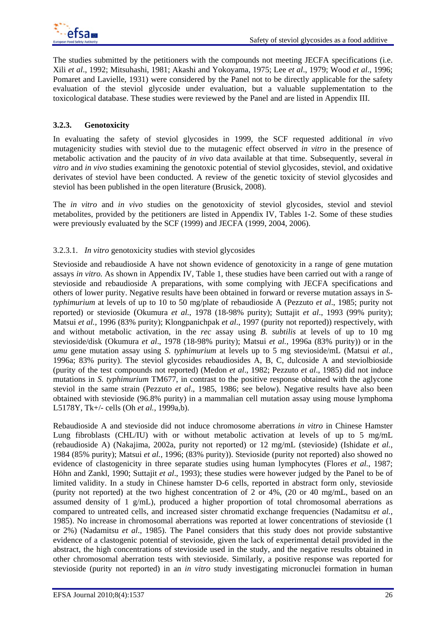The studies submitted by the petitioners with the compounds not meeting JECFA specifications (i.e. Xili *et al*., 1992; Mitsuhashi, 1981; Akashi and Yokoyama, 1975; Lee *et al*., 1979; Wood *et al*., 1996; Pomaret and Lavielle, 1931) were considered by the Panel not to be directly applicable for the safety evaluation of the steviol glycoside under evaluation, but a valuable supplementation to the toxicological database. These studies were reviewed by the Panel and are listed in Appendix III.

## **3.2.3. Genotoxicity**

In evaluating the safety of steviol glycosides in 1999, the SCF requested additional *in vivo* mutagenicity studies with steviol due to the mutagenic effect observed *in vitro* in the presence of metabolic activation and the paucity of *in vivo* data available at that time. Subsequently, several *in vitro* and *in vivo* studies examining the genotoxic potential of steviol glycosides, steviol, and oxidative derivates of steviol have been conducted. A review of the genetic toxicity of steviol glycosides and steviol has been published in the open literature (Brusick, 2008).

The *in vitro* and *in vivo* studies on the genotoxicity of steviol glycosides, steviol and steviol metabolites, provided by the petitioners are listed in Appendix IV, Tables 1-2. Some of these studies were previously evaluated by the SCF (1999) and JECFA (1999, 2004, 2006).

### 3.2.3.1. *In vitro* genotoxicity studies with steviol glycosides

Stevioside and rebaudioside A have not shown evidence of genotoxicity in a range of gene mutation assays *in vitro.* As shown in Appendix IV, Table 1, these studies have been carried out with a range of stevioside and rebaudioside A preparations, with some complying with JECFA specifications and others of lower purity. Negative results have been obtained in forward or reverse mutation assays in *Styphimurium* at levels of up to 10 to 50 mg/plate of rebaudioside A (Pezzuto *et al*., 1985; purity not reported) or stevioside (Okumura *et al.*, 1978 (18-98% purity); Suttajit *et al*., 1993 (99% purity); Matsui *et al.*, 1996 (83% purity); Klongpanichpak *et al*., 1997 (purity not reported)) respectively, with and without metabolic activation, in the *rec* assay using *B*. *subtilis* at levels of up to 10 mg stevioside/disk (Okumura *et al*., 1978 (18-98% purity); Matsui *et al.*, 1996a (83% purity)) or in the *umu* gene mutation assay using *S. typhimurium* at levels up to 5 mg stevioside/mL (Matsui *et al.,* 1996a; 83% purity). The steviol glycosides rebaudiosides A, B, C, dulcoside A and steviolbioside (purity of the test compounds not reported) (Medon *et al*., 1982; Pezzuto *et al*., 1985) did not induce mutations in *S. typhimurium* TM677, in contrast to the positive response obtained with the aglycone steviol in the same strain (Pezzuto *et al*., 1985, 1986; see below). Negative results have also been obtained with stevioside (96.8% purity) in a mammalian cell mutation assay using mouse lymphoma L5178Y, Tk+/- cells (Oh *et al.*, 1999a,b).

Rebaudioside A and stevioside did not induce chromosome aberrations *in vitro* in Chinese Hamster Lung fibroblasts (CHL/IU) with or without metabolic activation at levels of up to 5 mg/mL (rebaudioside A) (Nakajima, 2002a, purity not reported) or 12 mg/mL (stevioside) (Ishidate *et al.*, 1984 (85% purity); Matsui *et al.*, 1996; (83% purity)). Stevioside (purity not reported) also showed no evidence of clastogenicity in three separate studies using human lymphocytes (Flores *et al.*, 1987; Höhn and Zankl, 1990; Suttajit *et al*., 1993); these studies were however judged by the Panel to be of limited validity. In a study in Chinese hamster D-6 cells, reported in abstract form only, stevioside (purity not reported) at the two highest concentration of 2 or 4%, (20 or 40 mg/mL, based on an assumed density of 1  $g/mL$ ), produced a higher proportion of total chromosomal aberrations as compared to untreated cells, and increased sister chromatid exchange frequencies (Nadamitsu *et al.*, 1985). No increase in chromosomal aberrations was reported at lower concentrations of stevioside (1 or 2%) (Nadamitsu *et al*., 1985). The Panel considers that this study does not provide substantive evidence of a clastogenic potential of stevioside, given the lack of experimental detail provided in the abstract, the high concentrations of stevioside used in the study, and the negative results obtained in other chromosomal aberration tests with stevioside. Similarly, a positive response was reported for stevioside (purity not reported) in an *in vitro* study investigating micronuclei formation in human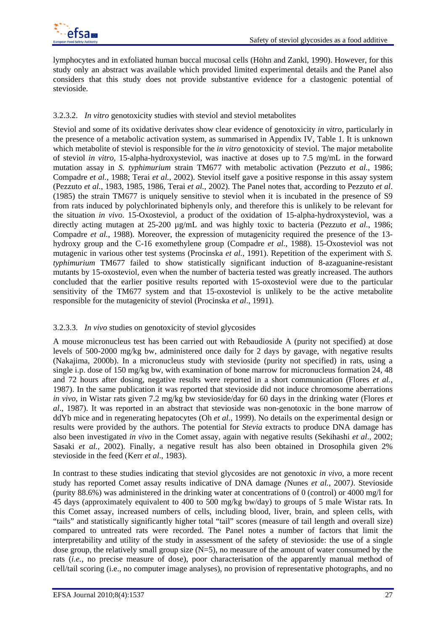

lymphocytes and in exfoliated human buccal mucosal cells (Höhn and Zankl, 1990). However, for this study only an abstract was available which provided limited experimental details and the Panel also considers that this study does not provide substantive evidence for a clastogenic potential of stevioside.

### 3.2.3.2. *In vitro* genotoxicity studies with steviol and steviol metabolites

Steviol and some of its oxidative derivates show clear evidence of genotoxicity *in vitro*, particularly in the presence of a metabolic activation system, as summarised in Appendix IV, Table 1. It is unknown which metabolite of steviol is responsible for the *in vitro* genotoxicity of steviol. The major metabolite of steviol *in vitro,* 15-alpha-hydroxysteviol, was inactive at doses up to 7.5 mg/mL in the forward mutation assay in *S. typhimurium* strain TM677 with metabolic activation (Pezzuto *et al.*, 1986; Compadre *et al.*, 1988; Terai *et al.*, 2002). Steviol itself gave a positive response in this assay system (Pezzuto *et al.*, 1983, 1985, 1986, Terai *et al.*, 2002). The Panel notes that, according to Pezzuto *et al*. (1985) the strain TM677 is uniquely sensitive to steviol when it is incubated in the presence of S9 from rats induced by polychlorinated biphenyls only, and therefore this is unlikely to be relevant for the situation *in vivo*. 15-Oxosteviol, a product of the oxidation of 15-alpha-hydroxysteviol, was a directly acting mutagen at 25-200 µg/mL and was highly toxic to bacteria (Pezzuto *et al.*, 1986; Compadre *et al.*, 1988). Moreover, the expression of mutagenicity required the presence of the 13 hydroxy group and the C-16 exomethylene group (Compadre *et al*., 1988). 15-Oxosteviol was not mutagenic in various other test systems (Procinska *et al.*, 1991). Repetition of the experiment with *S. typhimurium* TM677 failed to show statistically significant induction of 8-azaguanine-resistant mutants by 15-oxosteviol, even when the number of bacteria tested was greatly increased. The authors concluded that the earlier positive results reported with 15-oxosteviol were due to the particular sensitivity of the TM677 system and that 15-oxosteviol is unlikely to be the active metabolite responsible for the mutagenicity of steviol (Procinska *et al*., 1991).

### 3.2.3.3. *In vivo* studies on genotoxicity of steviol glycosides

A mouse micronucleus test has been carried out with Rebaudioside A (purity not specified) at dose levels of 500-2000 mg/kg bw, administered once daily for 2 days by gavage, with negative results (Nakajima, 2000b). In a micronucleus study with stevioside (purity not specified) in rats, using a single i.p. dose of 150 mg/kg bw, with examination of bone marrow for micronucleus formation 24, 48 and 72 hours after dosing, negative results were reported in a short communication (Flores *et al.*, 1987). In the same publication it was reported that stevioside did not induce chromosome aberrations *in vivo*, in Wistar rats given 7.2 mg/kg bw stevioside/day for 60 days in the drinking water (Flores *et al*., 1987). It was reported in an abstract that stevioside was non-genotoxic in the bone marrow of ddYb mice and in regenerating hepatocytes (Oh *et al.,* 1999). No details on the experimental design or results were provided by the authors. The potential for *Stevia* extracts to produce DNA damage has also been investigated *in vivo* in the Comet assay, again with negative results (Sekihashi *et al*., 2002; Sasaki *et al.*, 2002). Finally, a negative result has also been obtained in Drosophila given 2% stevioside in the feed (Kerr *et al*., 1983).

In contrast to these studies indicating that steviol glycosides are not genotoxic *in vivo,* a more recent study has reported Comet assay results indicative of DNA damage *(*Nunes *et al.,* 2007*)*. Stevioside (purity 88.6%) was administered in the drinking water at concentrations of 0 (control) or 4000 mg/l for 45 days (approximately equivalent to 400 to 500 mg/kg bw/day) to groups of 5 male Wistar rats*.* In this Comet assay, increased numbers of cells, including blood, liver, brain, and spleen cells, with "tails" and statistically significantly higher total "tail" scores (measure of tail length and overall size) compared to untreated rats were recorded. The Panel notes a number of factors that limit the interpretability and utility of the study in assessment of the safety of stevioside: the use of a single dose group, the relatively small group size  $(N=5)$ , no measure of the amount of water consumed by the rats (*i.e.*, no precise measure of dose), poor characterisation of the apparently manual method of cell/tail scoring (i.e., no computer image analyses), no provision of representative photographs, and no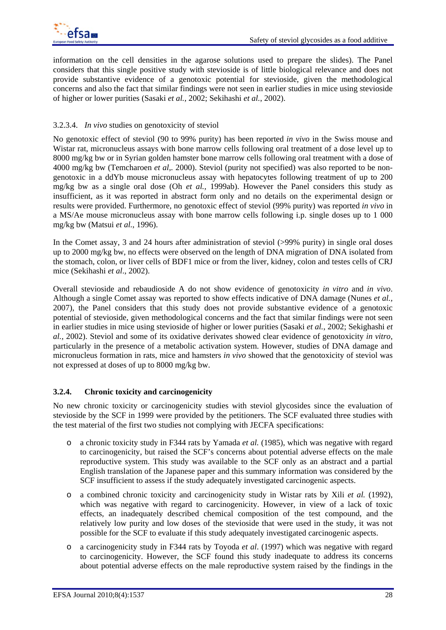information on the cell densities in the agarose solutions used to prepare the slides). The Panel considers that this single positive study with stevioside is of little biological relevance and does not provide substantive evidence of a genotoxic potential for stevioside, given the methodological concerns and also the fact that similar findings were not seen in earlier studies in mice using stevioside of higher or lower purities (Sasaki *et al.*, 2002; Sekihashi *et al.*, 2002).

### 3.2.3.4. *In vivo* studies on genotoxicity of steviol

No genotoxic effect of steviol (90 to 99% purity) has been reported *in vivo* in the Swiss mouse and Wistar rat, micronucleus assays with bone marrow cells following oral treatment of a dose level up to 8000 mg/kg bw or in Syrian golden hamster bone marrow cells following oral treatment with a dose of 4000 mg/kg bw (Temcharoen *et al,.* 2000). Steviol (purity not specified) was also reported to be nongenotoxic in a ddYb mouse micronucleus assay with hepatocytes following treatment of up to 200 mg/kg bw as a single oral dose (Oh *et al.,* 1999ab). However the Panel considers this study as insufficient, as it was reported in abstract form only and no details on the experimental design or results were provided. Furthermore, no genotoxic effect of steviol (99% purity) was reported *in vivo* in a MS/Ae mouse micronucleus assay with bone marrow cells following i.p. single doses up to 1 000 mg/kg bw (Matsui *et al.*, 1996).

In the Comet assay, 3 and 24 hours after administration of steviol (>99% purity) in single oral doses up to 2000 mg/kg bw, no effects were observed on the length of DNA migration of DNA isolated from the stomach, colon, or liver cells of BDF1 mice or from the liver, kidney, colon and testes cells of CRJ mice (Sekihashi *et al*., 2002).

Overall stevioside and rebaudioside A do not show evidence of genotoxicity *in vitro* and *in vivo*. Although a single Comet assay was reported to show effects indicative of DNA damage (Nunes *et al.,*  2007), the Panel considers that this study does not provide substantive evidence of a genotoxic potential of stevioside, given methodological concerns and the fact that similar findings were not seen in earlier studies in mice using stevioside of higher or lower purities (Sasaki *et al.*, 2002; Sekighashi *et al.,* 2002). Steviol and some of its oxidative derivates showed clear evidence of genotoxicity *in vitro*, particularly in the presence of a metabolic activation system. However, studies of DNA damage and micronucleus formation in rats, mice and hamsters *in vivo* showed that the genotoxicity of steviol was not expressed at doses of up to 8000 mg/kg bw.

### **3.2.4. Chronic toxicity and carcinogenicity**

No new chronic toxicity or carcinogenicity studies with steviol glycosides since the evaluation of stevioside by the SCF in 1999 were provided by the petitioners. The SCF evaluated three studies with the test material of the first two studies not complying with JECFA specifications:

- o a chronic toxicity study in F344 rats by Yamada *et al.* (1985), which was negative with regard to carcinogenicity, but raised the SCF's concerns about potential adverse effects on the male reproductive system. This study was available to the SCF only as an abstract and a partial English translation of the Japanese paper and this summary information was considered by the SCF insufficient to assess if the study adequately investigated carcinogenic aspects.
- o a combined chronic toxicity and carcinogenicity study in Wistar rats by Xili *et al.* (1992), which was negative with regard to carcinogenicity. However, in view of a lack of toxic effects, an inadequately described chemical composition of the test compound, and the relatively low purity and low doses of the stevioside that were used in the study, it was not possible for the SCF to evaluate if this study adequately investigated carcinogenic aspects.
- o a carcinogenicity study in F344 rats by Toyoda *et al*. (1997) which was negative with regard to carcinogenicity. However, the SCF found this study inadequate to address its concerns about potential adverse effects on the male reproductive system raised by the findings in the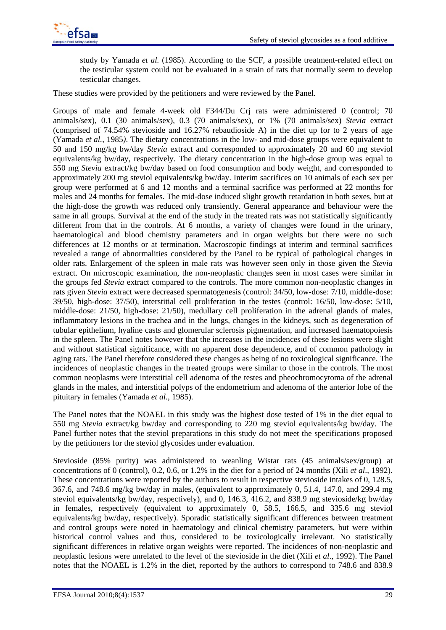

study by Yamada *et al.* (1985). According to the SCF, a possible treatment-related effect on the testicular system could not be evaluated in a strain of rats that normally seem to develop testicular changes.

These studies were provided by the petitioners and were reviewed by the Panel.

Groups of male and female 4-week old F344/Du Crj rats were administered 0 (control; 70 animals/sex), 0.1 (30 animals/sex), 0.3 (70 animals/sex), or 1% (70 animals/sex) *Stevia* extract (comprised of 74.54% stevioside and 16.27% rebaudioside A) in the diet up for to 2 years of age (Yamada *et al.*, 1985*)*. The dietary concentrations in the low- and mid-dose groups were equivalent to 50 and 150 mg/kg bw/day *Stevia* extract and corresponded to approximately 20 and 60 mg steviol equivalents/kg bw/day, respectively. The dietary concentration in the high-dose group was equal to 550 mg *Stevia* extract/kg bw/day based on food consumption and body weight, and corresponded to approximately 200 mg steviol equivalents/kg bw/day. Interim sacrifices on 10 animals of each sex per group were performed at 6 and 12 months and a terminal sacrifice was performed at 22 months for males and 24 months for females. The mid-dose induced slight growth retardation in both sexes, but at the high-dose the growth was reduced only transiently. General appearance and behaviour were the same in all groups. Survival at the end of the study in the treated rats was not statistically significantly different from that in the controls. At 6 months, a variety of changes were found in the urinary, haematological and blood chemistry parameters and in organ weights but there were no such differences at 12 months or at termination. Macroscopic findings at interim and terminal sacrifices revealed a range of abnormalities considered by the Panel to be typical of pathological changes in older rats. Enlargement of the spleen in male rats was however seen only in those given the *Stevia* extract. On microscopic examination, the non-neoplastic changes seen in most cases were similar in the groups fed *Stevia* extract compared to the controls. The more common non-neoplastic changes in rats given *Stevia* extract were decreased spermatogenesis (control: 34/50, low-dose: 7/10, middle-dose: 39/50, high-dose: 37/50), interstitial cell proliferation in the testes (control: 16/50, low-dose: 5/10, middle-dose: 21/50, high-dose: 21/50), medullary cell proliferation in the adrenal glands of males, inflammatory lesions in the trachea and in the lungs, changes in the kidneys, such as degeneration of tubular epithelium, hyaline casts and glomerular sclerosis pigmentation, and increased haematopoiesis in the spleen. The Panel notes however that the increases in the incidences of these lesions were slight and without statistical significance, with no apparent dose dependence, and of common pathology in aging rats. The Panel therefore considered these changes as being of no toxicological significance. The incidences of neoplastic changes in the treated groups were similar to those in the controls. The most common neoplasms were interstitial cell adenoma of the testes and pheochromocytoma of the adrenal glands in the males, and interstitial polyps of the endometrium and adenoma of the anterior lobe of the pituitary in females (Yamada *et al.*, 1985).

The Panel notes that the NOAEL in this study was the highest dose tested of 1% in the diet equal to 550 mg *Stevia* extract/kg bw/day and corresponding to 220 mg steviol equivalents/kg bw/day. The Panel further notes that the steviol preparations in this study do not meet the specifications proposed by the petitioners for the steviol glycosides under evaluation.

Stevioside (85% purity) was administered to weanling Wistar rats (45 animals/sex/group) at concentrations of 0 (control), 0.2, 0.6, or 1.2% in the diet for a period of 24 months (Xili *et al*., 1992). These concentrations were reported by the authors to result in respective stevioside intakes of 0, 128.5, 367.6, and 748.6 mg/kg bw/day in males, (equivalent to approximately 0, 51.4, 147.0, and 299.4 mg steviol equivalents/kg bw/day, respectively), and 0, 146.3, 416.2, and 838.9 mg stevioside/kg bw/day in females, respectively (equivalent to approximately 0, 58.5, 166.5, and 335.6 mg steviol equivalents/kg bw/day, respectively). Sporadic statistically significant differences between treatment and control groups were noted in haematology and clinical chemistry parameters, but were within historical control values and thus, considered to be toxicologically irrelevant. No statistically significant differences in relative organ weights were reported. The incidences of non-neoplastic and neoplastic lesions were unrelated to the level of the stevioside in the diet (Xili *et al*., 1992). The Panel notes that the NOAEL is 1.2% in the diet, reported by the authors to correspond to 748.6 and 838.9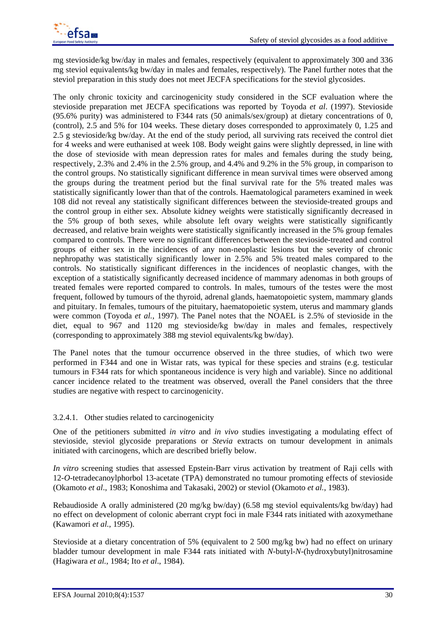

mg stevioside/kg bw/day in males and females, respectively (equivalent to approximately 300 and 336 mg steviol equivalents/kg bw/day in males and females, respectively). The Panel further notes that the steviol preparation in this study does not meet JECFA specifications for the steviol glycosides.

The only chronic toxicity and carcinogenicity study considered in the SCF evaluation where the stevioside preparation met JECFA specifications was reported by Toyoda *et al*. (1997). Stevioside (95.6% purity) was administered to F344 rats (50 animals/sex/group) at dietary concentrations of 0, (control), 2.5 and 5% for 104 weeks. These dietary doses corresponded to approximately 0, 1.25 and 2.5 g stevioside/kg bw/day. At the end of the study period, all surviving rats received the control diet for 4 weeks and were euthanised at week 108. Body weight gains were slightly depressed, in line with the dose of stevioside with mean depression rates for males and females during the study being, respectively, 2.3% and 2.4% in the 2.5% group, and 4.4% and 9.2% in the 5% group, in comparison to the control groups. No statistically significant difference in mean survival times were observed among the groups during the treatment period but the final survival rate for the 5% treated males was statistically significantly lower than that of the controls. Haematological parameters examined in week 108 did not reveal any statistically significant differences between the stevioside-treated groups and the control group in either sex. Absolute kidney weights were statistically significantly decreased in the 5% group of both sexes, while absolute left ovary weights were statistically significantly decreased, and relative brain weights were statistically significantly increased in the 5% group females compared to controls. There were no significant differences between the stevioside-treated and control groups of either sex in the incidences of any non-neoplastic lesions but the severity of chronic nephropathy was statistically significantly lower in 2.5% and 5% treated males compared to the controls. No statistically significant differences in the incidences of neoplastic changes, with the exception of a statistically significantly decreased incidence of mammary adenomas in both groups of treated females were reported compared to controls. In males, tumours of the testes were the most frequent, followed by tumours of the thyroid, adrenal glands, haematopoietic system, mammary glands and pituitary. In females, tumours of the pituitary, haematopoietic system, uterus and mammary glands were common (Toyoda *et al.,* 1997). The Panel notes that the NOAEL is 2.5% of stevioside in the diet, equal to 967 and 1120 mg stevioside/kg bw/day in males and females, respectively (corresponding to approximately 388 mg steviol equivalents/kg bw/day).

The Panel notes that the tumour occurrence observed in the three studies, of which two were performed in F344 and one in Wistar rats, was typical for these species and strains (e.g. testicular tumours in F344 rats for which spontaneous incidence is very high and variable). Since no additional cancer incidence related to the treatment was observed, overall the Panel considers that the three studies are negative with respect to carcinogenicity.

#### 3.2.4.1. Other studies related to carcinogenicity

One of the petitioners submitted *in vitro* and *in vivo* studies investigating a modulating effect of stevioside, steviol glycoside preparations or *Stevia* extracts on tumour development in animals initiated with carcinogens, which are described briefly below.

*In vitro* screening studies that assessed Epstein-Barr virus activation by treatment of Raji cells with 12-*O*-tetradecanoylphorbol 13-acetate (TPA) demonstrated no tumour promoting effects of stevioside (Okamoto *et al*., 1983; Konoshima and Takasaki, 2002) or steviol (Okamoto *et al.*, 1983).

Rebaudioside A orally administered (20 mg/kg bw/day) (6.58 mg steviol equivalents/kg bw/day) had no effect on development of colonic aberrant crypt foci in male F344 rats initiated with azoxymethane (Kawamori *et al.*, 1995).

Stevioside at a dietary concentration of 5% (equivalent to 2 500 mg/kg bw) had no effect on urinary bladder tumour development in male F344 rats initiated with *N*-butyl-*N*-(hydroxybutyl)nitrosamine (Hagiwara *et al.*, 1984; Ito *et al*., 1984).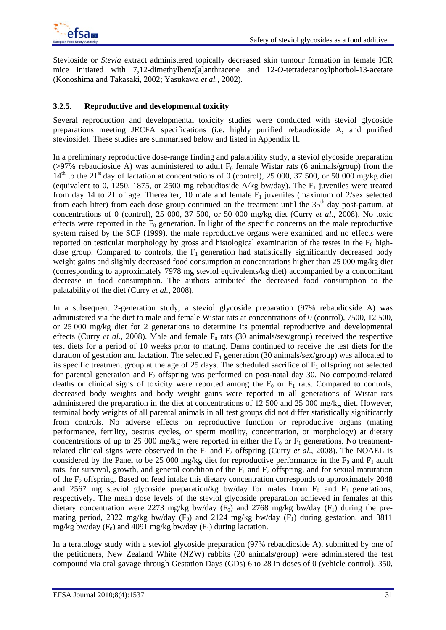Stevioside or *Stevia* extract administered topically decreased skin tumour formation in female ICR mice initiated with 7,12-dimethylbenz[a]anthracene and 12-*O*-tetradecanoylphorbol-13-acetate (Konoshima and Takasaki, 2002; Yasukawa *et al.*, 2002)*.*

### **3.2.5. Reproductive and developmental toxicity**

Several reproduction and developmental toxicity studies were conducted with steviol glycoside preparations meeting JECFA specifications (i.e. highly purified rebaudioside A, and purified stevioside). These studies are summarised below and listed in Appendix II.

In a preliminary reproductive dose-range finding and palatability study, a steviol glycoside preparation ( $>97\%$  rebaudioside A) was administered to adult F<sub>0</sub> female Wistar rats (6 animals/group) from the  $14<sup>th</sup>$  to the 21<sup>st</sup> day of lactation at concentrations of 0 (control), 25 000, 37 500, or 50 000 mg/kg diet (equivalent to 0, 1250, 1875, or 2500 mg rebaudioside A/kg bw/day). The  $F_1$  juveniles were treated from day 14 to 21 of age. Thereafter, 10 male and female  $F_1$  juveniles (maximum of 2/sex selected from each litter) from each dose group continued on the treatment until the  $35<sup>th</sup>$  day post-partum, at concentrations of 0 (control), 25 000, 37 500, or 50 000 mg/kg diet (Curry *et al*., 2008). No toxic effects were reported in the  $F_0$  generation. In light of the specific concerns on the male reproductive system raised by the SCF (1999), the male reproductive organs were examined and no effects were reported on testicular morphology by gross and histological examination of the testes in the  $F_0$  highdose group. Compared to controls, the  $F_1$  generation had statistically significantly decreased body weight gains and slightly decreased food consumption at concentrations higher than 25 000 mg/kg diet (corresponding to approximately 7978 mg steviol equivalents/kg diet) accompanied by a concomitant decrease in food consumption. The authors attributed the decreased food consumption to the palatability of the diet (Curry *et al.,* 2008).

In a subsequent 2-generation study, a steviol glycoside preparation (97% rebaudioside A) was administered via the diet to male and female Wistar rats at concentrations of 0 (control), 7500, 12 500, or 25 000 mg/kg diet for 2 generations to determine its potential reproductive and developmental effects (Curry *et al.*, 2008). Male and female  $F_0$  rats (30 animals/sex/group) received the respective test diets for a period of 10 weeks prior to mating. Dams continued to receive the test diets for the duration of gestation and lactation. The selected  $F_1$  generation (30 animals/sex/group) was allocated to its specific treatment group at the age of 25 days. The scheduled sacrifice of  $F_1$  offspring not selected for parental generation and  $F_2$  offspring was performed on post-natal day 30. No compound-related deaths or clinical signs of toxicity were reported among the  $F_0$  or  $F_1$  rats. Compared to controls, decreased body weights and body weight gains were reported in all generations of Wistar rats administered the preparation in the diet at concentrations of 12 500 and 25 000 mg/kg diet. However, terminal body weights of all parental animals in all test groups did not differ statistically significantly from controls. No adverse effects on reproductive function or reproductive organs (mating performance, fertility, oestrus cycles, or sperm motility, concentration, or morphology) at dietary concentrations of up to 25 000 mg/kg were reported in either the  $F_0$  or  $F_1$  generations. No treatmentrelated clinical signs were observed in the  $F_1$  and  $F_2$  offspring (Curry *et al.*, 2008). The NOAEL is considered by the Panel to be 25 000 mg/kg diet for reproductive performance in the  $F_0$  and  $F_1$  adult rats, for survival, growth, and general condition of the  $F_1$  and  $F_2$  offspring, and for sexual maturation of the  $F_2$  offspring. Based on feed intake this dietary concentration corresponds to approximately 2048 and 2567 mg steviol glycoside preparation/kg bw/day for males from  $F_0$  and  $F_1$  generations, respectively. The mean dose levels of the steviol glycoside preparation achieved in females at this dietary concentration were 2273 mg/kg bw/day  $(F_0)$  and 2768 mg/kg bw/day  $(F_1)$  during the premating period, 2322 mg/kg bw/day  $(F_0)$  and 2124 mg/kg bw/day  $(F_1)$  during gestation, and 3811 mg/kg bw/day  $(F_0)$  and 4091 mg/kg bw/day  $(F_1)$  during lactation.

In a teratology study with a steviol glycoside preparation (97% rebaudioside A), submitted by one of the petitioners, New Zealand White (NZW) rabbits (20 animals/group) were administered the test compound via oral gavage through Gestation Days (GDs) 6 to 28 in doses of 0 (vehicle control), 350,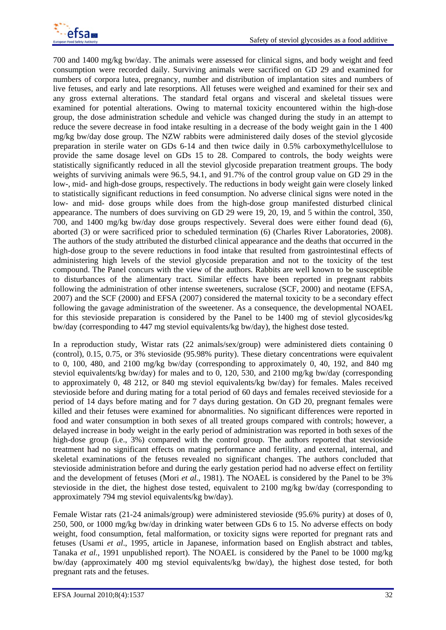

700 and 1400 mg/kg bw/day. The animals were assessed for clinical signs, and body weight and feed consumption were recorded daily. Surviving animals were sacrificed on GD 29 and examined for numbers of corpora lutea, pregnancy, number and distribution of implantation sites and numbers of live fetuses, and early and late resorptions. All fetuses were weighed and examined for their sex and any gross external alterations. The standard fetal organs and visceral and skeletal tissues were examined for potential alterations. Owing to maternal toxicity encountered within the high-dose group, the dose administration schedule and vehicle was changed during the study in an attempt to reduce the severe decrease in food intake resulting in a decrease of the body weight gain in the 1 400 mg/kg bw/day dose group. The NZW rabbits were administered daily doses of the steviol glycoside preparation in sterile water on GDs 6-14 and then twice daily in 0.5% carboxymethylcellulose to provide the same dosage level on GDs 15 to 28. Compared to controls, the body weights were statistically significantly reduced in all the steviol glycoside preparation treatment groups. The body weights of surviving animals were 96.5, 94.1, and 91.7% of the control group value on GD 29 in the low-, mid- and high-dose groups, respectively. The reductions in body weight gain were closely linked to statistically significant reductions in feed consumption. No adverse clinical signs were noted in the low- and mid- dose groups while does from the high-dose group manifested disturbed clinical appearance. The numbers of does surviving on GD 29 were 19, 20, 19, and 5 within the control, 350, 700, and 1400 mg/kg bw/day dose groups respectively. Several does were either found dead (6), aborted (3) or were sacrificed prior to scheduled termination (6) (Charles River Laboratories*,* 2008). The authors of the study attributed the disturbed clinical appearance and the deaths that occurred in the high-dose group to the severe reductions in food intake that resulted from gastrointestinal effects of administering high levels of the steviol glycoside preparation and not to the toxicity of the test compound. The Panel concurs with the view of the authors. Rabbits are well known to be susceptible to disturbances of the alimentary tract*.* Similar effects have been reported in pregnant rabbits following the administration of other intense sweeteners, sucralose (SCF, 2000) and neotame (EFSA, 2007) and the SCF (2000) and EFSA (2007) considered the maternal toxicity to be a secondary effect following the gavage administration of the sweetener. As a consequence, the developmental NOAEL for this stevioside preparation is considered by the Panel to be 1400 mg of steviol glycosides/kg bw/day (corresponding to 447 mg steviol equivalents/kg bw/day), the highest dose tested.

In a reproduction study, Wistar rats (22 animals/sex/group) were administered diets containing 0 (control), 0.15, 0.75, or 3% stevioside (95.98% purity). These dietary concentrations were equivalent to 0, 100, 480, and 2100 mg/kg bw/day (corresponding to approximately 0, 40, 192, and 840 mg steviol equivalents/kg bw/day) for males and to 0, 120, 530, and 2100 mg/kg bw/day (corresponding to approximately 0, 48 212, or 840 mg steviol equivalents/kg bw/day) for females. Males received stevioside before and during mating for a total period of 60 days and females received stevioside for a period of 14 days before mating and for 7 days during gestation. On GD 20, pregnant females were killed and their fetuses were examined for abnormalities. No significant differences were reported in food and water consumption in both sexes of all treated groups compared with controls; however, a delayed increase in body weight in the early period of administration was reported in both sexes of the high-dose group (i.e., 3%) compared with the control group. The authors reported that stevioside treatment had no significant effects on mating performance and fertility, and external, internal, and skeletal examinations of the fetuses revealed no significant changes. The authors concluded that stevioside administration before and during the early gestation period had no adverse effect on fertility and the development of fetuses (Mori *et al*., 1981). The NOAEL is considered by the Panel to be 3% stevioside in the diet, the highest dose tested, equivalent to 2100 mg/kg bw/day (corresponding to approximately 794 mg steviol equivalents/kg bw/day).

Female Wistar rats (21-24 animals/group) were administered stevioside (95.6% purity) at doses of 0, 250, 500, or 1000 mg/kg bw/day in drinking water between GDs 6 to 15. No adverse effects on body weight, food consumption, fetal malformation, or toxicity signs were reported for pregnant rats and fetuses (Usami *et al*., 1995, article in Japanese, information based on English abstract and tables, Tanaka *et al.*, 1991 unpublished report). The NOAEL is considered by the Panel to be 1000 mg/kg bw/day (approximately 400 mg steviol equivalents/kg bw/day), the highest dose tested, for both pregnant rats and the fetuses.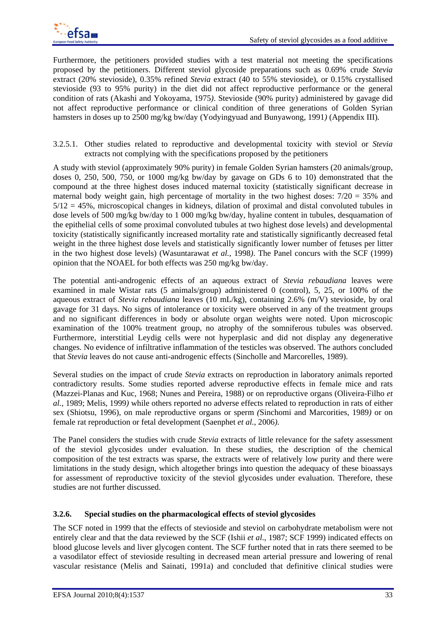

Furthermore, the petitioners provided studies with a test material not meeting the specifications proposed by the petitioners. Different steviol glycoside preparations such as 0.69% crude *Stevia*  extract (20% stevioside), 0.35% refined *Stevia* extract (40 to 55% stevioside), or 0.15% crystallised stevioside (93 to 95% purity) in the diet did not affect reproductive performance or the general condition of rats (Akashi and Yokoyama, 1975*)*. Stevioside (90% purity) administered by gavage did not affect reproductive performance or clinical condition of three generations of Golden Syrian hamsters in doses up to 2500 mg/kg bw/day (Yodyingyuad and Bunyawong, 1991*)* (Appendix III)*.*

3.2.5.1. Other studies related to reproductive and developmental toxicity with steviol or *Stevia* extracts not complying with the specifications proposed by the petitioners

A study with steviol (approximately 90% purity) in female Golden Syrian hamsters (20 animals/group, doses 0, 250, 500, 750, or 1000 mg/kg bw/day by gavage on GDs 6 to 10) demonstrated that the compound at the three highest doses induced maternal toxicity (statistically significant decrease in maternal body weight gain, high percentage of mortality in the two highest doses:  $7/20 = 35\%$  and  $5/12 = 45\%$ , microscopical changes in kidneys, dilation of proximal and distal convoluted tubules in dose levels of 500 mg/kg bw/day to 1 000 mg/kg bw/day, hyaline content in tubules, desquamation of the epithelial cells of some proximal convoluted tubules at two highest dose levels) and developmental toxicity (statistically significantly increased mortality rate and statistically significantly decreased fetal weight in the three highest dose levels and statistically significantly lower number of fetuses per litter in the two highest dose levels) (Wasuntarawat *et al.,* 1998*)*. The Panel concurs with the SCF (1999) opinion that the NOAEL for both effects was 250 mg/kg bw/day.

The potential anti-androgenic effects of an aqueous extract of *Stevia rebaudiana* leaves were examined in male Wistar rats (5 animals/group) administered 0 (control), 5, 25, or 100% of the aqueous extract of *Stevia rebaudiana* leaves (10 mL/kg), containing 2.6% (m/V) stevioside, by oral gavage for 31 days. No signs of intolerance or toxicity were observed in any of the treatment groups and no significant differences in body or absolute organ weights were noted. Upon microscopic examination of the 100% treatment group, no atrophy of the somniferous tubules was observed. Furthermore, interstitial Leydig cells were not hyperplasic and did not display any degenerative changes. No evidence of infiltrative inflammation of the testicles was observed. The authors concluded that *Stevia* leaves do not cause anti-androgenic effects (Sincholle and Marcorelles, 1989).

Several studies on the impact of crude *Stevia* extracts on reproduction in laboratory animals reported contradictory results. Some studies reported adverse reproductive effects in female mice and rats (Mazzei-Planas and Kuc, 1968; Nunes and Pereira, 1988) or on reproductive organs (Oliveira-Filho *et al.*, 1989; Melis, 1999*)* while others reported no adverse effects related to reproduction in rats of either sex (Shiotsu, 1996), on male reproductive organs or sperm *(*Sinchomi and Marcorities, 1989*)* or on female rat reproduction or fetal development (Saenphet *et al.,* 2006*).*

The Panel considers the studies with crude *Stevia* extracts of little relevance for the safety assessment of the steviol glycosides under evaluation. In these studies, the description of the chemical composition of the test extracts was sparse, the extracts were of relatively low purity and there were limitations in the study design, which altogether brings into question the adequacy of these bioassays for assessment of reproductive toxicity of the steviol glycosides under evaluation. Therefore, these studies are not further discussed.

# **3.2.6. Special studies on the pharmacological effects of steviol glycosides**

The SCF noted in 1999 that the effects of stevioside and steviol on carbohydrate metabolism were not entirely clear and that the data reviewed by the SCF (Ishii *et al*., 1987; SCF 1999) indicated effects on blood glucose levels and liver glycogen content. The SCF further noted that in rats there seemed to be a vasodilator effect of stevioside resulting in decreased mean arterial pressure and lowering of renal vascular resistance (Melis and Sainati, 1991a) and concluded that definitive clinical studies were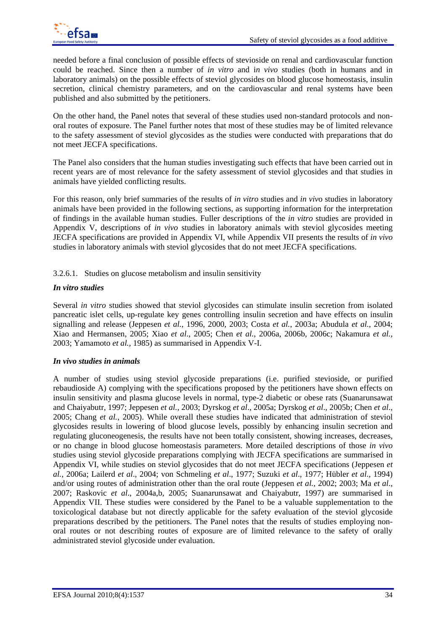needed before a final conclusion of possible effects of stevioside on renal and cardiovascular function could be reached. Since then a number of *in vitro* and i*n vivo* studies (both in humans and in laboratory animals) on the possible effects of steviol glycosides on blood glucose homeostasis, insulin secretion, clinical chemistry parameters, and on the cardiovascular and renal systems have been published and also submitted by the petitioners.

On the other hand, the Panel notes that several of these studies used non-standard protocols and nonoral routes of exposure. The Panel further notes that most of these studies may be of limited relevance to the safety assessment of steviol glycosides as the studies were conducted with preparations that do not meet JECFA specifications.

The Panel also considers that the human studies investigating such effects that have been carried out in recent years are of most relevance for the safety assessment of steviol glycosides and that studies in animals have yielded conflicting results.

For this reason, only brief summaries of the results of *in vitro* studies and *in viv*o studies in laboratory animals have been provided in the following sections, as supporting information for the interpretation of findings in the available human studies. Fuller descriptions of the *in vitro* studies are provided in Appendix V, descriptions of *in vivo* studies in laboratory animals with steviol glycosides meeting JECFA specifications are provided in Appendix VI, while Appendix VII presents the results of *in vivo*  studies in laboratory animals with steviol glycosides that do not meet JECFA specifications.

3.2.6.1. Studies on glucose metabolism and insulin sensitivity

#### *In vitro studies*

Several *in vitro* studies showed that steviol glycosides can stimulate insulin secretion from isolated pancreatic islet cells, up-regulate key genes controlling insulin secretion and have effects on insulin signalling and release (Jeppesen *et al.*, 1996, 2000, 2003; Costa *et al.*, 2003a; Abudula *et al.*, 2004; Xiao and Hermansen, 2005; Xiao *et al*., 2005; Chen *et al.*, 2006a, 2006b, 2006c; Nakamura *et al.*, 2003; Yamamoto *et al.*, 1985) as summarised in Appendix V-I.

#### *In vivo studies in animals*

A number of studies using steviol glycoside preparations (i.e. purified stevioside, or purified rebaudioside A) complying with the specifications proposed by the petitioners have shown effects on insulin sensitivity and plasma glucose levels in normal, type-2 diabetic or obese rats (Suanarunsawat and Chaiyabutr, 1997; Jeppesen *et al.*, 2003; Dyrskog *et al*., 2005a; Dyrskog *et al*., 2005b; Chen *et al*., 2005; Chang *et al.*, 2005). While overall these studies have indicated that administration of steviol glycosides results in lowering of blood glucose levels, possibly by enhancing insulin secretion and regulating gluconeogenesis, the results have not been totally consistent, showing increases, decreases, or no change in blood glucose homeostasis parameters. More detailed descriptions of those *in vivo* studies using steviol glycoside preparations complying with JECFA specifications are summarised in Appendix VI, while studies on steviol glycosides that do not meet JECFA specifications (Jeppesen *et al.*, 2006a; Lailerd *et al*., 2004; von Schmeling *et al*., 1977; Suzuki *et al*., 1977; Hübler *et al*., 1994) and/or using routes of administration other than the oral route (Jeppesen *et al.*, 2002; 2003; Ma *et al*., 2007; Raskovic *et al*., 2004a,b, 2005; Suanarunsawat and Chaiyabutr, 1997) are summarised in Appendix VII. These studies were considered by the Panel to be a valuable supplementation to the toxicological database but not directly applicable for the safety evaluation of the steviol glycoside preparations described by the petitioners. The Panel notes that the results of studies employing nonoral routes or not describing routes of exposure are of limited relevance to the safety of orally administrated steviol glycoside under evaluation.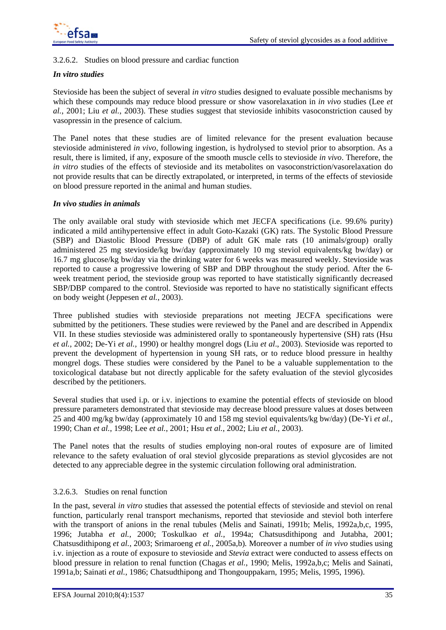

### 3.2.6.2. Studies on blood pressure and cardiac function

#### *In vitro studies*

Stevioside has been the subject of several *in vitro* studies designed to evaluate possible mechanisms by which these compounds may reduce blood pressure or show vasorelaxation in *in vivo* studies (Lee *et al.*, 2001; Liu *et al.*, 2003). These studies suggest that stevioside inhibits vasoconstriction caused by vasopressin in the presence of calcium.

The Panel notes that these studies are of limited relevance for the present evaluation because stevioside administered *in vivo*, following ingestion, is hydrolysed to steviol prior to absorption. As a result, there is limited, if any, exposure of the smooth muscle cells to stevioside *in vivo*. Therefore, the *in vitro* studies of the effects of stevioside and its metabolites on vasoconstriction/vasorelaxation do not provide results that can be directly extrapolated, or interpreted, in terms of the effects of stevioside on blood pressure reported in the animal and human studies.

#### *In vivo studies in animals*

The only available oral study with stevioside which met JECFA specifications (i.e. 99.6% purity) indicated a mild antihypertensive effect in adult Goto-Kazaki (GK) rats. The Systolic Blood Pressure (SBP) and Diastolic Blood Pressure (DBP) of adult GK male rats (10 animals/group) orally administered 25 mg stevioside/kg bw/day (approximately 10 mg steviol equivalents/kg bw/day) or 16.7 mg glucose/kg bw/day via the drinking water for 6 weeks was measured weekly. Stevioside was reported to cause a progressive lowering of SBP and DBP throughout the study period. After the 6 week treatment period, the stevioside group was reported to have statistically significantly decreased SBP/DBP compared to the control. Stevioside was reported to have no statistically significant effects on body weight (Jeppesen *et al.*, 2003).

Three published studies with stevioside preparations not meeting JECFA specifications were submitted by the petitioners. These studies were reviewed by the Panel and are described in Appendix VII. In these studies stevioside was administered orally to spontaneously hypertensive (SH) rats (Hsu *et al.*, 2002; De-Yi *et al.,* 1990) or healthy mongrel dogs (Liu *et al*., 2003). Stevioside was reported to prevent the development of hypertension in young SH rats, or to reduce blood pressure in healthy mongrel dogs. These studies were considered by the Panel to be a valuable supplementation to the toxicological database but not directly applicable for the safety evaluation of the steviol glycosides described by the petitioners.

Several studies that used i.p. or i.v. injections to examine the potential effects of stevioside on blood pressure parameters demonstrated that stevioside may decrease blood pressure values at doses between 25 and 400 mg/kg bw/day (approximately 10 and 158 mg steviol equivalents/kg bw/day) (De-Yi *et al.*, 1990; Chan *et al.*, 1998; Lee *et al.*, 2001; Hsu *et al.*, 2002; Liu *et al.*, 2003).

The Panel notes that the results of studies employing non-oral routes of exposure are of limited relevance to the safety evaluation of oral steviol glycoside preparations as steviol glycosides are not detected to any appreciable degree in the systemic circulation following oral administration.

### 3.2.6.3. Studies on renal function

In the past, several *in vitro* studies that assessed the potential effects of stevioside and steviol on renal function, particularly renal transport mechanisms, reported that stevioside and steviol both interfere with the transport of anions in the renal tubules (Melis and Sainati, 1991b; Melis, 1992a, b,c, 1995, 1996; Jutabha *et al.*, 2000; Toskulkao *et al.*, 1994a; Chatsusdithipong and Jutabha, 2001; Chatsusdithipong *et al.*, 2003; Srimaroeng *et al.*, 2005a,b)*.* Moreover a number of *in vivo* studies using i.v. injection as a route of exposure to stevioside and *Stevia* extract were conducted to assess effects on blood pressure in relation to renal function (Chagas *et al.*, 1990; Melis, 1992a,b,c; Melis and Sainati, 1991a,b; Sainati *et al.*, 1986; Chatsudthipong and Thongouppakarn, 1995; Melis, 1995, 1996).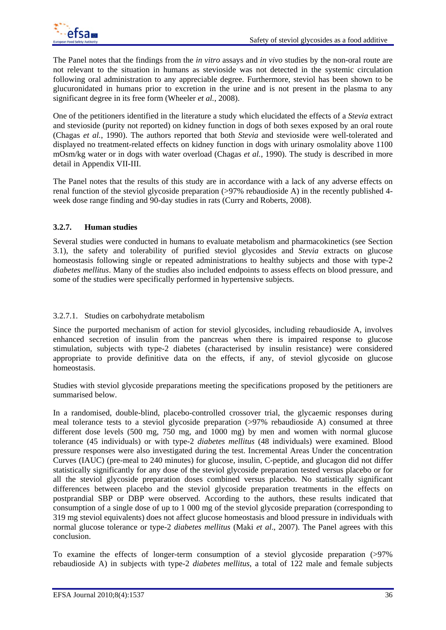The Panel notes that the findings from the *in vitro* assays and *in vivo* studies by the non-oral route are not relevant to the situation in humans as stevioside was not detected in the systemic circulation following oral administration to any appreciable degree. Furthermore, steviol has been shown to be glucuronidated in humans prior to excretion in the urine and is not present in the plasma to any significant degree in its free form (Wheeler *et al.*, 2008).

One of the petitioners identified in the literature a study which elucidated the effects of a *Stevia* extract and stevioside (purity not reported) on kidney function in dogs of both sexes exposed by an oral route (Chagas *et al.*, 1990). The authors reported that both *Stevia* and stevioside were well-tolerated and displayed no treatment-related effects on kidney function in dogs with urinary osmolality above 1100 mOsm/kg water or in dogs with water overload (Chagas *et al.*, 1990). The study is described in more detail in Appendix VII-III.

The Panel notes that the results of this study are in accordance with a lack of any adverse effects on renal function of the steviol glycoside preparation (>97% rebaudioside A) in the recently published 4 week dose range finding and 90-day studies in rats (Curry and Roberts, 2008).

## **3.2.7. Human studies**

Several studies were conducted in humans to evaluate metabolism and pharmacokinetics (see Section 3.1), the safety and tolerability of purified steviol glycosides and *Stevia* extracts on glucose homeostasis following single or repeated administrations to healthy subjects and those with type-2 *diabetes mellitus*. Many of the studies also included endpoints to assess effects on blood pressure, and some of the studies were specifically performed in hypertensive subjects.

### 3.2.7.1. Studies on carbohydrate metabolism

Since the purported mechanism of action for steviol glycosides, including rebaudioside A, involves enhanced secretion of insulin from the pancreas when there is impaired response to glucose stimulation, subjects with type-2 diabetes (characterised by insulin resistance) were considered appropriate to provide definitive data on the effects, if any, of steviol glycoside on glucose homeostasis.

Studies with steviol glycoside preparations meeting the specifications proposed by the petitioners are summarised below.

In a randomised, double-blind, placebo-controlled crossover trial, the glycaemic responses during meal tolerance tests to a steviol glycoside preparation (>97% rebaudioside A) consumed at three different dose levels (500 mg, 750 mg, and 1000 mg) by men and women with normal glucose tolerance (45 individuals) or with type-2 *diabetes mellitus* (48 individuals) were examined. Blood pressure responses were also investigated during the test. Incremental Areas Under the concentration Curves (IAUC) (pre-meal to 240 minutes) for glucose, insulin, C-peptide, and glucagon did not differ statistically significantly for any dose of the steviol glycoside preparation tested versus placebo or for all the steviol glycoside preparation doses combined versus placebo. No statistically significant differences between placebo and the steviol glycoside preparation treatments in the effects on postprandial SBP or DBP were observed. According to the authors, these results indicated that consumption of a single dose of up to 1 000 mg of the steviol glycoside preparation (corresponding to 319 mg steviol equivalents) does not affect glucose homeostasis and blood pressure in individuals with normal glucose tolerance or type-2 *diabetes mellitus* (Maki *et al*., 2007). The Panel agrees with this conclusion.

To examine the effects of longer-term consumption of a steviol glycoside preparation (>97% rebaudioside A) in subjects with type-2 *diabetes mellitus*, a total of 122 male and female subjects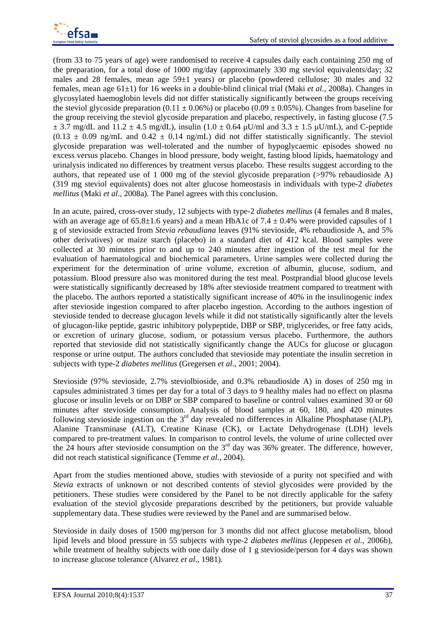(from 33 to 75 years of age) were randomised to receive 4 capsules daily each containing 250 mg of the preparation, for a total dose of 1000 mg/day (approximately 330 mg steviol equivalents/day; 32 males and 28 females, mean age 59±1 years) or placebo (powdered cellulose; 30 males and 32 females, mean age 61±1) for 16 weeks in a double-blind clinical trial (Maki *et al.*, 2008a). Changes in glycosylated haemoglobin levels did not differ statistically significantly between the groups receiving the steviol glycoside preparation  $(0.11 \pm 0.06\%)$  or placebo  $(0.09 \pm 0.05\%)$ . Changes from baseline for the group receiving the steviol glycoside preparation and placebo, respectively, in fasting glucose (7.5  $\pm$  3.7 mg/dL and 11.2  $\pm$  4.5 mg/dL), insulin (1.0  $\pm$  0.64  $\mu$ U/ml and 3.3  $\pm$  1.5  $\mu$ U/mL), and C-peptide  $(0.13 \pm 0.09 \text{ ng/mL}$  and  $(0.42 \pm 0.14 \text{ ng/mL})$  did not differ statistically significantly. The steviol glycoside preparation was well-tolerated and the number of hypoglycaemic episodes showed no excess versus placebo. Changes in blood pressure, body weight, fasting blood lipids, haematology and urinalysis indicated no differences by treatment versus placebo. These results suggest according to the authors, that repeated use of 1 000 mg of the steviol glycoside preparation (>97% rebaudioside A) (319 mg steviol equivalents) does not alter glucose homeostasis in individuals with type-2 *diabetes mellitus* (Maki *et al*., 2008a). The Panel agrees with this conclusion.

In an acute, paired, cross-over study, 12 subjects with type-2 *diabetes mellitus* (4 females and 8 males, with an average age of  $65.8\pm1.6$  years) and a mean HbA1c of  $7.4 \pm 0.4$ % were provided capsules of 1 g of stevioside extracted from *Stevia rebaudiana* leaves (91% stevioside, 4% rebaudioside A, and 5% other derivatives) or maize starch (placebo) in a standard diet of 412 kcal. Blood samples were collected at 30 minutes prior to and up to 240 minutes after ingestion of the test meal for the evaluation of haematological and biochemical parameters. Urine samples were collected during the experiment for the determination of urine volume, excretion of albumin, glucose, sodium, and potassium. Blood pressure also was monitored during the test meal. Postprandial blood glucose levels were statistically significantly decreased by 18% after stevioside treatment compared to treatment with the placebo. The authors reported a statistically significant increase of 40% in the insulinogenic index after stevioside ingestion compared to after placebo ingestion. According to the authors ingestion of stevioside tended to decrease glucagon levels while it did not statistically significantly alter the levels of glucagon-like peptide, gastric inhibitory polypeptide, DBP or SBP, triglycerides, or free fatty acids, or excretion of urinary glucose, sodium, or potassium versus placebo. Furthermore, the authors reported that stevioside did not statistically significantly change the AUCs for glucose or glucagon response or urine output. The authors concluded that stevioside may potentiate the insulin secretion in subjects with type-2 *diabetes mellitus* (Gregersen *et al*., 2001; 2004).

Stevioside (97% stevioside, 2.7% steviolbioside, and 0.3% rebaudioside A) in doses of 250 mg in capsules administrated 3 times per day for a total of 3 days to 9 healthy males had no effect on plasma glucose or insulin levels or on DBP or SBP compared to baseline or control values examined 30 or 60 minutes after stevioside consumption. Analysis of blood samples at 60, 180, and 420 minutes following stevioside ingestion on the 3<sup>rd</sup> day revealed no differences in Alkaline Phosphatase (ALP), Alanine Transminase (ALT), Creatine Kinase (CK), or Lactate Dehydrogenase (LDH) levels compared to pre-treatment values. In comparison to control levels, the volume of urine collected over the 24 hours after stevioside consumption on the  $3<sup>rd</sup>$  day was 36% greater. The difference, however, did not reach statistical significance (Temme *et al*., 2004).

Apart from the studies mentioned above, studies with stevioside of a purity not specified and with *Stevia* extracts of unknown or not described contents of steviol glycosides were provided by the petitioners. These studies were considered by the Panel to be not directly applicable for the safety evaluation of the steviol glycoside preparations described by the petitioners, but provide valuable supplementary data. These studies were reviewed by the Panel and are summarised below.

Stevioside in daily doses of 1500 mg/person for 3 months did not affect glucose metabolism, blood lipid levels and blood pressure in 55 subjects with type-2 *diabetes mellitus* (Jeppesen *et al.*, 2006b)*,*  while treatment of healthy subjects with one daily dose of 1 g stevioside/person for 4 days was shown to increase glucose tolerance (Alvarez *et al*., 1981).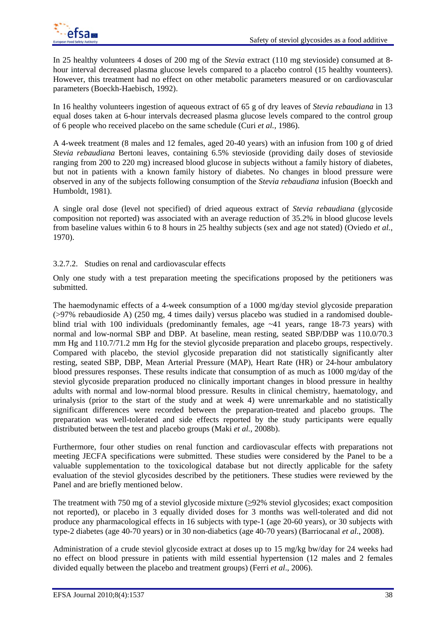

In 25 healthy volunteers 4 doses of 200 mg of the *Stevia* extract (110 mg stevioside) consumed at 8 hour interval decreased plasma glucose levels compared to a placebo control (15 healthy vounteers). However, this treatment had no effect on other metabolic parameters measured or on cardiovascular parameters (Boeckh-Haebisch, 1992).

In 16 healthy volunteers ingestion of aqueous extract of 65 g of dry leaves of *Stevia rebaudiana* in 13 equal doses taken at 6-hour intervals decreased plasma glucose levels compared to the control group of 6 people who received placebo on the same schedule (Curi *et al.*, 1986).

A 4-week treatment (8 males and 12 females, aged 20-40 years) with an infusion from 100 g of dried *Stevia rebaudiana* Bertoni leaves, containing 6.5% stevioside (providing daily doses of stevioside ranging from 200 to 220 mg) increased blood glucose in subjects without a family history of diabetes, but not in patients with a known family history of diabetes. No changes in blood pressure were observed in any of the subjects following consumption of the *Stevia rebaudiana* infusion (Boeckh and Humboldt, 1981).

A single oral dose (level not specified) of dried aqueous extract of *Stevia rebaudiana* (glycoside composition not reported) was associated with an average reduction of 35.2% in blood glucose levels from baseline values within 6 to 8 hours in 25 healthy subjects (sex and age not stated) (Oviedo *et al.*, 1970).

# 3.2.7.2. Studies on renal and cardiovascular effects

Only one study with a test preparation meeting the specifications proposed by the petitioners was submitted.

The haemodynamic effects of a 4-week consumption of a 1000 mg/day steviol glycoside preparation (>97% rebaudioside A) (250 mg, 4 times daily) versus placebo was studied in a randomised doubleblind trial with 100 individuals (predominantly females, age  $\sim$  41 years, range 18-73 years) with normal and low-normal SBP and DBP. At baseline, mean resting, seated SBP/DBP was 110.0/70.3 mm Hg and 110.7/71.2 mm Hg for the steviol glycoside preparation and placebo groups, respectively. Compared with placebo, the steviol glycoside preparation did not statistically significantly alter resting, seated SBP, DBP, Mean Arterial Pressure (MAP), Heart Rate (HR) or 24-hour ambulatory blood pressures responses. These results indicate that consumption of as much as 1000 mg/day of the steviol glycoside preparation produced no clinically important changes in blood pressure in healthy adults with normal and low-normal blood pressure. Results in clinical chemistry, haematology, and urinalysis (prior to the start of the study and at week 4) were unremarkable and no statistically significant differences were recorded between the preparation-treated and placebo groups. The preparation was well-tolerated and side effects reported by the study participants were equally distributed between the test and placebo groups (Maki *et al.,* 2008b).

Furthermore, four other studies on renal function and cardiovascular effects with preparations not meeting JECFA specifications were submitted. These studies were considered by the Panel to be a valuable supplementation to the toxicological database but not directly applicable for the safety evaluation of the steviol glycosides described by the petitioners. These studies were reviewed by the Panel and are briefly mentioned below.

The treatment with 750 mg of a steviol glycoside mixture (≥92% steviol glycosides; exact composition not reported), or placebo in 3 equally divided doses for 3 months was well-tolerated and did not produce any pharmacological effects in 16 subjects with type-1 (age 20-60 years), or 30 subjects with type-2 diabetes (age 40-70 years) or in 30 non-diabetics (age 40-70 years) (Barriocanal *et al*., 2008).

Administration of a crude steviol glycoside extract at doses up to 15 mg/kg bw/day for 24 weeks had no effect on blood pressure in patients with mild essential hypertension (12 males and 2 females divided equally between the placebo and treatment groups) (Ferri *et al*., 2006).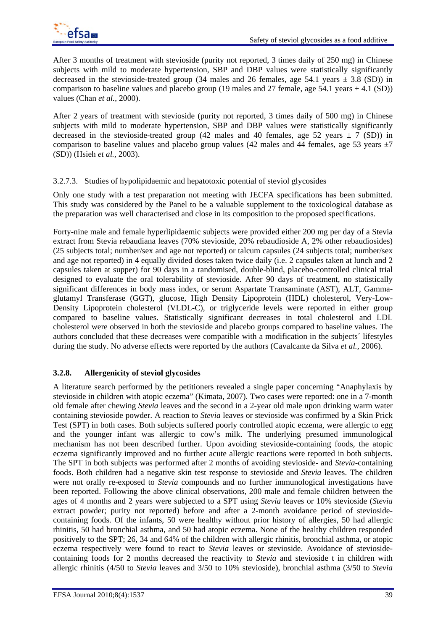After 3 months of treatment with stevioside (purity not reported, 3 times daily of 250 mg) in Chinese subjects with mild to moderate hypertension, SBP and DBP values were statistically significantly decreased in the stevioside-treated group (34 males and 26 females, age 54.1 years  $\pm$  3.8 (SD)) in comparison to baseline values and placebo group (19 males and 27 female, age 54.1 years  $\pm$  4.1 (SD)) values (Chan *et al.*, 2000).

After 2 years of treatment with stevioside (purity not reported, 3 times daily of 500 mg) in Chinese subjects with mild to moderate hypertension, SBP and DBP values were statistically significantly decreased in the stevioside-treated group (42 males and 40 females, age 52 years  $\pm$  7 (SD)) in comparison to baseline values and placebo group values (42 males and 44 females, age 53 years  $\pm$ 7 (SD)) (Hsieh *et al.*, 2003).

## 3.2.7.3. Studies of hypolipidaemic and hepatotoxic potential of steviol glycosides

Only one study with a test preparation not meeting with JECFA specifications has been submitted. This study was considered by the Panel to be a valuable supplement to the toxicological database as the preparation was well characterised and close in its composition to the proposed specifications.

Forty-nine male and female hyperlipidaemic subjects were provided either 200 mg per day of a Stevia extract from Stevia rebaudiana leaves (70% stevioside, 20% rebaudioside A, 2% other rebaudiosides) (25 subjects total; number/sex and age not reported) or talcum capsules (24 subjects total; number/sex and age not reported) in 4 equally divided doses taken twice daily (i.e. 2 capsules taken at lunch and 2 capsules taken at supper) for 90 days in a randomised, double-blind, placebo-controlled clinical trial designed to evaluate the oral tolerability of stevioside. After 90 days of treatment, no statistically significant differences in body mass index, or serum Aspartate Transaminate (AST), ALT, Gammaglutamyl Transferase (GGT), glucose, High Density Lipoprotein (HDL) cholesterol, Very-Low-Density Lipoprotein cholesterol (VLDL-C), or triglyceride levels were reported in either group compared to baseline values. Statistically significant decreases in total cholesterol and LDL cholesterol were observed in both the stevioside and placebo groups compared to baseline values. The authors concluded that these decreases were compatible with a modification in the subjects´ lifestyles during the study. No adverse effects were reported by the authors (Cavalcante da Silva *et al.*, 2006).

# **3.2.8. Allergenicity of steviol glycosides**

A literature search performed by the petitioners revealed a single paper concerning "Anaphylaxis by stevioside in children with atopic eczema" (Kimata, 2007). Two cases were reported: one in a 7-month old female after chewing *Stevia* leaves and the second in a 2-year old male upon drinking warm water containing stevioside powder. A reaction to *Stevia* leaves or stevioside was confirmed by a Skin Prick Test (SPT) in both cases. Both subjects suffered poorly controlled atopic eczema, were allergic to egg and the younger infant was allergic to cow's milk. The underlying presumed immunological mechanism has not been described further. Upon avoiding stevioside-containing foods, the atopic eczema significantly improved and no further acute allergic reactions were reported in both subjects. The SPT in both subjects was performed after 2 months of avoiding stevioside- and *Stevia*-containing foods. Both children had a negative skin test response to stevioside and *Stevia* leaves. The children were not orally re-exposed to *Stevia* compounds and no further immunological investigations have been reported. Following the above clinical observations, 200 male and female children between the ages of 4 months and 2 years were subjected to a SPT using *Stevia* leaves or 10% stevioside (*Stevia* extract powder; purity not reported) before and after a 2-month avoidance period of steviosidecontaining foods. Of the infants, 50 were healthy without prior history of allergies, 50 had allergic rhinitis, 50 had bronchial asthma, and 50 had atopic eczema. None of the healthy children responded positively to the SPT; 26, 34 and 64% of the children with allergic rhinitis, bronchial asthma, or atopic eczema respectively were found to react to *Stevia* leaves or stevioside. Avoidance of steviosidecontaining foods for 2 months decreased the reactivity to *Stevia* and stevioside t in children with allergic rhinitis (4/50 to *Stevia* leaves and 3/50 to 10% stevioside), bronchial asthma (3/50 to *Stevia*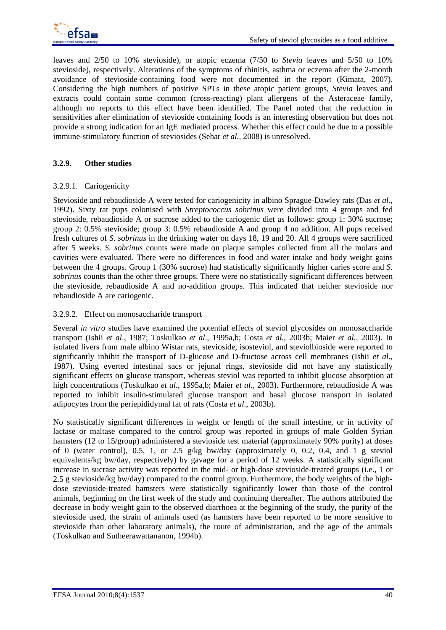leaves and 2/50 to 10% stevioside), or atopic eczema (7/50 to *Stevia* leaves and 5/50 to 10% stevioside), respectively. Alterations of the symptoms of rhinitis, asthma or eczema after the 2-month avoidance of stevioside-containing food were not documented in the report (Kimata, 2007). Considering the high numbers of positive SPTs in these atopic patient groups, *Stevia* leaves and extracts could contain some common (cross-reacting) plant allergens of the Asteraceae family, although no reports to this effect have been identified. The Panel noted that the reduction in sensitivities after elimination of stevioside containing foods is an interesting observation but does not provide a strong indication for an IgE mediated process. Whether this effect could be due to a possible immune-stimulatory function of steviosides (Sehar *et al.,* 2008) is unresolved.

# **3.2.9. Other studies**

## 3.2.9.1. Cariogenicity

Stevioside and rebaudioside A were tested for cariogenicity in albino Sprague-Dawley rats (Das *et al*., 1992). Sixty rat pups colonised with *Streptococcus sobrinus* were divided into 4 groups and fed stevioside, rebaudioside A or sucrose added to the cariogenic diet as follows: group 1: 30% sucrose; group 2: 0.5% stevioside; group 3: 0.5% rebaudioside A and group 4 no addition. All pups received fresh cultures of *S. sobrinus* in the drinking water on days 18, 19 and 20. All 4 groups were sacrificed after 5 weeks. *S. sobrinus* counts were made on plaque samples collected from all the molars and cavities were evaluated. There were no differences in food and water intake and body weight gains between the 4 groups. Group 1 (30% sucrose) had statistically significantly higher caries score and *S. sobrinus* counts than the other three groups. There were no statistically significant differences between the stevioside, rebaudioside A and no-addition groups. This indicated that neither stevioside nor rebaudioside A are cariogenic.

### 3.2.9.2. Effect on monosaccharide transport

Several *in vitro* studies have examined the potential effects of steviol glycosides on monosaccharide transport (Ishii *et al*., 1987; Toskulkao *et al*., 1995a,b; Costa *et al.*, 2003b; Maier *et al.*, 2003). In isolated livers from male albino Wistar rats, stevioside, isosteviol, and steviolbioside were reported to significantly inhibit the transport of D-glucose and D-fructose across cell membranes (Ishii *et al*., 1987). Using everted intestinal sacs or jejunal rings, stevioside did not have any statistically significant effects on glucose transport, whereas steviol was reported to inhibit glucose absorption at high concentrations (Toskulkao *et al.*, 1995a,b; Maier *et al.*, 2003). Furthermore, rebaudioside A was reported to inhibit insulin-stimulated glucose transport and basal glucose transport in isolated adipocytes from the periepididymal fat of rats (Costa *et al.*, 2003b).

No statistically significant differences in weight or length of the small intestine, or in activity of lactase or maltase compared to the control group was reported in groups of male Golden Syrian hamsters (12 to 15/group) administered a stevioside test material (approximately 90% purity) at doses of 0 (water control), 0.5, 1, or 2.5 g/kg bw/day (approximately 0, 0.2, 0.4, and 1 g steviol equivalents/kg bw/day, respectively) by gavage for a period of 12 weeks. A statistically significant increase in sucrase activity was reported in the mid- or high-dose stevioside-treated groups (i.e., 1 or 2.5 g stevioside/kg bw/day) compared to the control group. Furthermore, the body weights of the highdose stevioside-treated hamsters were statistically significantly lower than those of the control animals, beginning on the first week of the study and continuing thereafter. The authors attributed the decrease in body weight gain to the observed diarrhoea at the beginning of the study, the purity of the stevioside used, the strain of animals used (as hamsters have been reported to be more sensitive to stevioside than other laboratory animals), the route of administration, and the age of the animals (Toskulkao and Sutheerawattananon, 1994b).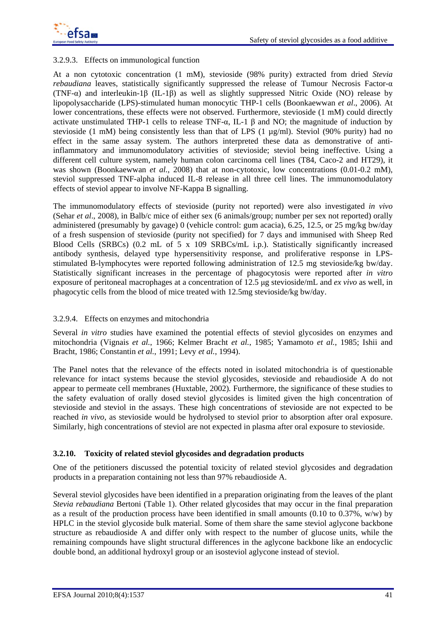

## 3.2.9.3. Effects on immunological function

At a non cytotoxic concentration (1 mM), stevioside (98% purity) extracted from dried *Stevia rebaudiana* leaves, statistically significantly suppressed the release of Tumour Necrosis Factor- $\alpha$ (TNF-α) and interleukin-1β (IL-1β) as well as slightly suppressed Nitric Oxide (NO) release by lipopolysaccharide (LPS)-stimulated human monocytic THP-1 cells (Boonkaewwan *et al*., 2006). At lower concentrations, these effects were not observed. Furthermore, stevioside (1 mM) could directly activate unstimulated THP-1 cells to release TNF- $\alpha$ , IL-1  $\beta$  and NO; the magnitude of induction by stevioside (1 mM) being consistently less than that of LPS (1 µg/ml). Steviol (90% purity) had no effect in the same assay system. The authors interpreted these data as demonstrative of antiinflammatory and immunomodulatory activities of stevioside; steviol being ineffective. Using a different cell culture system, namely human colon carcinoma cell lines (T84, Caco-2 and HT29), it was shown (Boonkaewwan *et al.*, 2008) that at non-cytotoxic, low concentrations (0.01-0.2 mM), steviol suppressed TNF-alpha induced IL-8 release in all three cell lines. The immunomodulatory effects of steviol appear to involve NF-Kappa B signalling.

The immunomodulatory effects of stevioside (purity not reported) were also investigated *in vivo* (Sehar *et al*., 2008), in Balb/c mice of either sex (6 animals/group; number per sex not reported) orally administered (presumably by gavage) 0 (vehicle control: gum acacia), 6.25, 12.5, or 25 mg/kg bw/day of a fresh suspension of stevioside (purity not specified) for 7 days and immunised with Sheep Red Blood Cells (SRBCs) (0.2 mL of 5 x 109 SRBCs/mL i.p.). Statistically significantly increased antibody synthesis, delayed type hypersensitivity response, and proliferative response in LPSstimulated B-lymphocytes were reported following administration of 12.5 mg stevioside/kg bw/day. Statistically significant increases in the percentage of phagocytosis were reported after *in vitro* exposure of peritoneal macrophages at a concentration of 12.5 μg stevioside/mL and *ex vivo* as well, in phagocytic cells from the blood of mice treated with 12.5mg stevioside/kg bw/day.

### 3.2.9.4. Effects on enzymes and mitochondria

Several *in vitro* studies have examined the potential effects of steviol glycosides on enzymes and mitochondria (Vignais *et al.*, 1966; Kelmer Bracht *et al.*, 1985; Yamamoto *et al.*, 1985; Ishii and Bracht, 1986; Constantin *et al.*, 1991; Levy *et al.*, 1994).

The Panel notes that the relevance of the effects noted in isolated mitochondria is of questionable relevance for intact systems because the steviol glycosides, stevioside and rebaudioside A do not appear to permeate cell membranes (Huxtable, 2002)*.* Furthermore, the significance of these studies to the safety evaluation of orally dosed steviol glycosides is limited given the high concentration of stevioside and steviol in the assays. These high concentrations of stevioside are not expected to be reached *in vivo*, as stevioside would be hydrolysed to steviol prior to absorption after oral exposure. Similarly, high concentrations of steviol are not expected in plasma after oral exposure to stevioside.

#### **3.2.10. Toxicity of related steviol glycosides and degradation products**

One of the petitioners discussed the potential toxicity of related steviol glycosides and degradation products in a preparation containing not less than 97% rebaudioside A.

Several steviol glycosides have been identified in a preparation originating from the leaves of the plant *Stevia rebaudiana* Bertoni (Table 1). Other related glycosides that may occur in the final preparation as a result of the production process have been identified in small amounts (0.10 to 0.37%,  $w/w$ ) by HPLC in the steviol glycoside bulk material. Some of them share the same steviol aglycone backbone structure as rebaudioside A and differ only with respect to the number of glucose units, while the remaining compounds have slight structural differences in the aglycone backbone like an endocyclic double bond, an additional hydroxyl group or an isosteviol aglycone instead of steviol.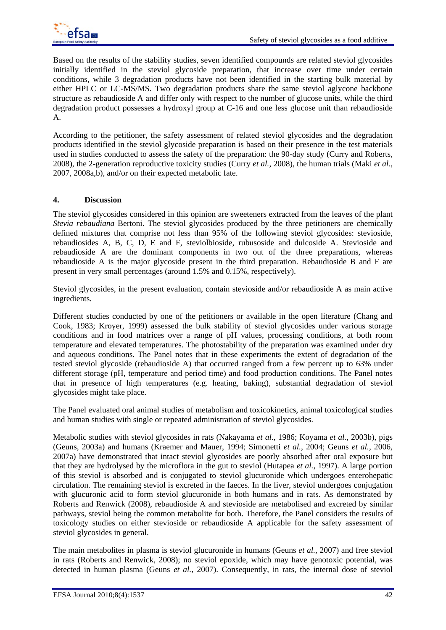

Based on the results of the stability studies, seven identified compounds are related steviol glycosides initially identified in the steviol glycoside preparation, that increase over time under certain conditions, while 3 degradation products have not been identified in the starting bulk material by either HPLC or LC-MS/MS. Two degradation products share the same steviol aglycone backbone structure as rebaudioside A and differ only with respect to the number of glucose units, while the third degradation product possesses a hydroxyl group at C-16 and one less glucose unit than rebaudioside A.

According to the petitioner, the safety assessment of related steviol glycosides and the degradation products identified in the steviol glycoside preparation is based on their presence in the test materials used in studies conducted to assess the safety of the preparation: the 90-day study (Curry and Roberts, 2008), the 2-generation reproductive toxicity studies (Curry *et al.*, 2008), the human trials (Maki *et al.*, 2007, 2008a,b), and/or on their expected metabolic fate.

### **4. Discussion**

The steviol glycosides considered in this opinion are sweeteners extracted from the leaves of the plant *Stevia rebaudiana* Bertoni. The steviol glycosides produced by the three petitioners are chemically defined mixtures that comprise not less than 95% of the following steviol glycosides: stevioside, rebaudiosides A, B, C, D, E and F, steviolbioside, rubusoside and dulcoside A. Stevioside and rebaudioside A are the dominant components in two out of the three preparations, whereas rebaudioside A is the major glycoside present in the third preparation. Rebaudioside B and F are present in very small percentages (around 1.5% and 0.15%, respectively).

Steviol glycosides, in the present evaluation, contain stevioside and/or rebaudioside A as main active ingredients.

Different studies conducted by one of the petitioners or available in the open literature (Chang and Cook, 1983; Kroyer, 1999) assessed the bulk stability of steviol glycosides under various storage conditions and in food matrices over a range of pH values, processing conditions, at both room temperature and elevated temperatures. The photostability of the preparation was examined under dry and aqueous conditions. The Panel notes that in these experiments the extent of degradation of the tested steviol glycoside (rebaudioside A) that occurred ranged from a few percent up to 63% under different storage (pH, temperature and period time) and food production conditions. The Panel notes that in presence of high temperatures (e.g. heating, baking), substantial degradation of steviol glycosides might take place.

The Panel evaluated oral animal studies of metabolism and toxicokinetics, animal toxicological studies and human studies with single or repeated administration of steviol glycosides.

Metabolic studies with steviol glycosides in rats (Nakayama *et al.,* 1986; Koyama *et al.,* 2003b), pigs (Geuns, 2003a) and humans (Kraemer and Mauer, 1994; Simonetti *et al.*, 2004; Geuns *et al.*, 2006, 2007a) have demonstrated that intact steviol glycosides are poorly absorbed after oral exposure but that they are hydrolysed by the microflora in the gut to steviol (Hutapea *et al.*, 1997). A large portion of this steviol is absorbed and is conjugated to steviol glucuronide which undergoes enterohepatic circulation. The remaining steviol is excreted in the faeces. In the liver, steviol undergoes conjugation with glucuronic acid to form steviol glucuronide in both humans and in rats. As demonstrated by Roberts and Renwick (2008), rebaudioside A and stevioside are metabolised and excreted by similar pathways, steviol being the common metabolite for both. Therefore, the Panel considers the results of toxicology studies on either stevioside or rebaudioside A applicable for the safety assessment of steviol glycosides in general.

The main metabolites in plasma is steviol glucuronide in humans (Geuns *et al.*, 2007) and free steviol in rats (Roberts and Renwick, 2008); no steviol epoxide, which may have genotoxic potential, was detected in human plasma (Geuns *et al.*, 2007). Consequently, in rats, the internal dose of steviol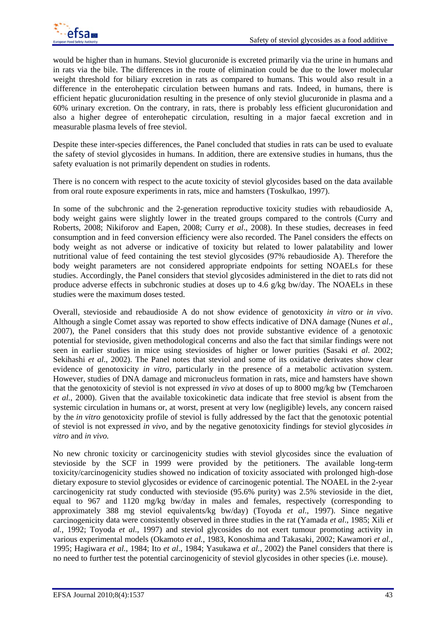would be higher than in humans. Steviol glucuronide is excreted primarily via the urine in humans and in rats via the bile. The differences in the route of elimination could be due to the lower molecular weight threshold for biliary excretion in rats as compared to humans. This would also result in a difference in the enterohepatic circulation between humans and rats. Indeed, in humans, there is efficient hepatic glucuronidation resulting in the presence of only steviol glucuronide in plasma and a 60% urinary excretion. On the contrary, in rats, there is probably less efficient glucuronidation and also a higher degree of enterohepatic circulation, resulting in a major faecal excretion and in measurable plasma levels of free steviol.

Despite these inter-species differences, the Panel concluded that studies in rats can be used to evaluate the safety of steviol glycosides in humans. In addition, there are extensive studies in humans, thus the safety evaluation is not primarily dependent on studies in rodents.

There is no concern with respect to the acute toxicity of steviol glycosides based on the data available from oral route exposure experiments in rats, mice and hamsters (Toskulkao, 1997).

In some of the subchronic and the 2-generation reproductive toxicity studies with rebaudioside A, body weight gains were slightly lower in the treated groups compared to the controls (Curry and Roberts, 2008; Nikiforov and Eapen, 2008; Curry *et al*., 2008). In these studies, decreases in feed consumption and in feed conversion efficiency were also recorded. The Panel considers the effects on body weight as not adverse or indicative of toxicity but related to lower palatability and lower nutritional value of feed containing the test steviol glycosides (97% rebaudioside A). Therefore the body weight parameters are not considered appropriate endpoints for setting NOAELs for these studies. Accordingly, the Panel considers that steviol glycosides administered in the diet to rats did not produce adverse effects in subchronic studies at doses up to 4.6 g/kg bw/day. The NOAELs in these studies were the maximum doses tested.

Overall, stevioside and rebaudioside A do not show evidence of genotoxicity *in vitro* or *in vivo*. Although a single Comet assay was reported to show effects indicative of DNA damage (Nunes *et al*., 2007)*,* the Panel considers that this study does not provide substantive evidence of a genotoxic potential for stevioside, given methodological concerns and also the fact that similar findings were not seen in earlier studies in mice using steviosides of higher or lower purities (Sasaki *et al*. 2002; Sekihashi *et al.*, 2002). The Panel notes that steviol and some of its oxidative derivates show clear evidence of genotoxicity *in vitro*, particularly in the presence of a metabolic activation system. However, studies of DNA damage and micronucleus formation in rats, mice and hamsters have shown that the genotoxicity of steviol is not expressed *in vivo* at doses of up to 8000 mg/kg bw (Temcharoen *et al.*, 2000). Given that the available toxicokinetic data indicate that free steviol is absent from the systemic circulation in humans or, at worst, present at very low (negligible) levels, any concern raised by the *in vitro* genotoxicity profile of steviol is fully addressed by the fact that the genotoxic potential of steviol is not expressed *in vivo*, and by the negative genotoxicity findings for steviol glycosides *in vitro* and *in vivo.*

No new chronic toxicity or carcinogenicity studies with steviol glycosides since the evaluation of stevioside by the SCF in 1999 were provided by the petitioners. The available long-term toxicity/carcinogenicity studies showed no indication of toxicity associated with prolonged high-dose dietary exposure to steviol glycosides or evidence of carcinogenic potential. The NOAEL in the 2-year carcinogenicity rat study conducted with stevioside (95.6% purity) was 2.5% stevioside in the diet, equal to 967 and 1120 mg/kg bw/day in males and females, respectively (corresponding to approximately 388 mg steviol equivalents/kg bw/day) (Toyoda *et al*., 1997). Since negative carcinogenicity data were consistently observed in three studies in the rat (Yamada *et al*., 1985; Xili *et al.*, 1992; Toyoda *et al*., 1997) and steviol glycosides do not exert tumour promoting activity in various experimental models (Okamoto *et al.*, 1983, Konoshima and Takasaki, 2002; Kawamori *et al.*, 1995; Hagiwara *et al.*, 1984; Ito *et al*., 1984; Yasukawa *et al.*, 2002) the Panel considers that there is no need to further test the potential carcinogenicity of steviol glycosides in other species (i.e. mouse).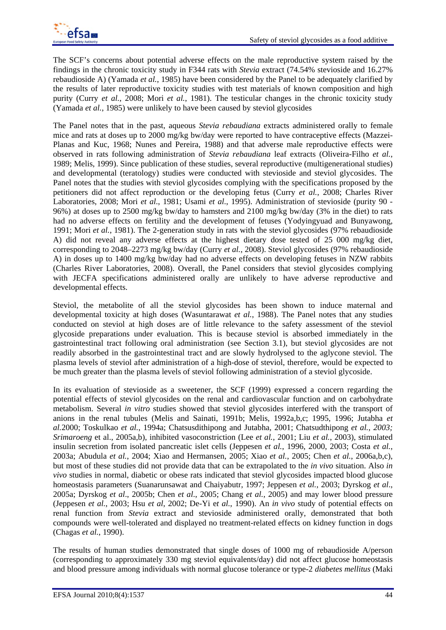The SCF's concerns about potential adverse effects on the male reproductive system raised by the findings in the chronic toxicity study in F344 rats with *Stevia* extract (74.54% stevioside and 16.27% rebaudioside A) (Yamada *et al.*, 1985) have been considered by the Panel to be adequately clarified by the results of later reproductive toxicity studies with test materials of known composition and high purity (Curry *et al.*, 2008; Mori *et al.*, 1981). The testicular changes in the chronic toxicity study (Yamada *et al.*, 1985) were unlikely to have been caused by steviol glycosides

The Panel notes that in the past, aqueous *Stevia rebaudiana* extracts administered orally to female mice and rats at doses up to 2000 mg/kg bw/day were reported to have contraceptive effects (Mazzei-Planas and Kuc, 1968; Nunes and Pereira, 1988) and that adverse male reproductive effects were observed in rats following administration of *Stevia rebaudiana* leaf extracts (Oliveira-Filho *et al.*, 1989; Melis, 1999). Since publication of these studies, several reproductive (multigenerational studies) and developmental (teratology) studies were conducted with stevioside and steviol glycosides. The Panel notes that the studies with steviol glycosides complying with the specifications proposed by the petitioners did not affect reproduction or the developing fetus (Curry *et al.*, 2008; Charles River Laboratories, 2008; Mori *et al*., 1981; Usami *et al*., 1995). Administration of stevioside (purity 90 - 96%) at doses up to 2500 mg/kg bw/day to hamsters and 2100 mg/kg bw/day (3% in the diet) to rats had no adverse effects on fertility and the development of fetuses (Yodyingyuad and Bunyawong, 1991; Mori *et al.*, 1981). The 2-generation study in rats with the steviol glycosides (97% rebaudioside A) did not reveal any adverse effects at the highest dietary dose tested of 25 000 mg/kg diet, corresponding to 2048–2273 mg/kg bw/day (Curry *et al.*, 2008). Steviol glycosides (97% rebaudioside A) in doses up to 1400 mg/kg bw/day had no adverse effects on developing fetuses in NZW rabbits (Charles River Laboratories, 2008). Overall, the Panel considers that steviol glycosides complying with JECFA specifications administered orally are unlikely to have adverse reproductive and developmental effects.

Steviol, the metabolite of all the steviol glycosides has been shown to induce maternal and developmental toxicity at high doses (Wasuntarawat *et al.*, 1988). The Panel notes that any studies conducted on steviol at high doses are of little relevance to the safety assessment of the steviol glycoside preparations under evaluation. This is because steviol is absorbed immediately in the gastrointestinal tract following oral administration (see Section 3.1), but steviol glycosides are not readily absorbed in the gastrointestinal tract and are slowly hydrolysed to the aglycone steviol. The plasma levels of steviol after administration of a high-dose of steviol, therefore, would be expected to be much greater than the plasma levels of steviol following administration of a steviol glycoside.

In its evaluation of stevioside as a sweetener, the SCF (1999) expressed a concern regarding the potential effects of steviol glycosides on the renal and cardiovascular function and on carbohydrate metabolism. Several *in vitro* studies showed that steviol glycosides interfered with the transport of anions in the renal tubules (Melis and Sainati, 1991b; Melis, 1992a,b,c; 1995, 1996; Jutabha *et al.*2000; Toskulkao *et al.*, 1994a; Chatsusdithipong and Jutabha, 2001; Chatsudthipong *et al., 2003; Srimaroeng* et al., 2005a,b), inhibited vasoconstriction (Lee *et al.*, 2001; Liu *et al.*, 2003), stimulated insulin secretion from isolated pancreatic islet cells (Jeppesen *et al.*, 1996, 2000, 2003; Costa *et al.*, 2003a; Abudula *et al.*, 2004; Xiao and Hermansen, 2005; Xiao *et al.*, 2005; Chen *et al.*, 2006a,b,c), but most of these studies did not provide data that can be extrapolated to the *in vivo* situation. Also *in vivo* studies in normal, diabetic or obese rats indicated that steviol glycosides impacted blood glucose homeostasis parameters (Suanarunsawat and Chaiyabutr, 1997; Jeppesen *et al.*, 2003; Dyrskog *et al*., 2005a; Dyrskog *et al*., 2005b; Chen *et al*., 2005; Chang *et al.*, 2005) and may lower blood pressure (Jeppesen *et al.*, 2003; Hsu *et al*, 2002; De-Yi e*t al.*, 1990). An *in vivo* study of potential effects on renal function from *Stevia* extract and stevioside administered orally, demonstrated that both compounds were well-tolerated and displayed no treatment-related effects on kidney function in dogs (Chagas *et al.*, 1990).

The results of human studies demonstrated that single doses of 1000 mg of rebaudioside A/person (corresponding to approximately 330 mg steviol equivalents/day) did not affect glucose homeostasis and blood pressure among individuals with normal glucose tolerance or type-2 *diabetes mellitus* (Maki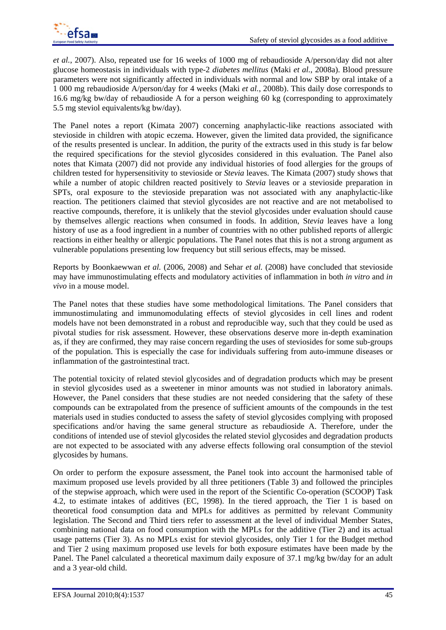

*et al.*, 2007). Also, repeated use for 16 weeks of 1000 mg of rebaudioside A/person/day did not alter glucose homeostasis in individuals with type-2 *diabetes mellitus* (Maki *et al.*, 2008a). Blood pressure parameters were not significantly affected in individuals with normal and low SBP by oral intake of a 1 000 mg rebaudioside A/person/day for 4 weeks (Maki *et al.*, 2008b). This daily dose corresponds to 16.6 mg/kg bw/day of rebaudioside A for a person weighing 60 kg (corresponding to approximately 5.5 mg steviol equivalents/kg bw/day).

The Panel notes a report (Kimata 2007) concerning anaphylactic-like reactions associated with stevioside in children with atopic eczema. However, given the limited data provided, the significance of the results presented is unclear. In addition, the purity of the extracts used in this study is far below the required specifications for the steviol glycosides considered in this evaluation. The Panel also notes that Kimata (2007) did not provide any individual histories of food allergies for the groups of children tested for hypersensitivity to stevioside or *Stevia* leaves. The Kimata (2007) study shows that while a number of atopic children reacted positively to *Stevia* leaves or a stevioside preparation in SPTs, oral exposure to the stevioside preparation was not associated with any anaphylactic-like reaction. The petitioners claimed that steviol glycosides are not reactive and are not metabolised to reactive compounds, therefore, it is unlikely that the steviol glycosides under evaluation should cause by themselves allergic reactions when consumed in foods. In addition, S*tevia* leaves have a long history of use as a food ingredient in a number of countries with no other published reports of allergic reactions in either healthy or allergic populations. The Panel notes that this is not a strong argument as vulnerable populations presenting low frequency but still serious effects, may be missed.

Reports by Boonkaewwan *et al.* (2006, 2008) and Sehar *et al.* (2008) have concluded that stevioside may have immunostimulating effects and modulatory activities of inflammation in both *in vitro* and *in vivo* in a mouse model.

The Panel notes that these studies have some methodological limitations. The Panel considers that immunostimulating and immunomodulating effects of steviol glycosides in cell lines and rodent models have not been demonstrated in a robust and reproducible way, such that they could be used as pivotal studies for risk assessment. However, these observations deserve more in-depth examination as, if they are confirmed, they may raise concern regarding the uses of steviosides for some sub-groups of the population. This is especially the case for individuals suffering from auto-immune diseases or inflammation of the gastrointestinal tract.

The potential toxicity of related steviol glycosides and of degradation products which may be present in steviol glycosides used as a sweetener in minor amounts was not studied in laboratory animals. However, the Panel considers that these studies are not needed considering that the safety of these compounds can be extrapolated from the presence of sufficient amounts of the compounds in the test materials used in studies conducted to assess the safety of steviol glycosides complying with proposed specifications and/or having the same general structure as rebaudioside A. Therefore, under the conditions of intended use of steviol glycosides the related steviol glycosides and degradation products are not expected to be associated with any adverse effects following oral consumption of the steviol glycosides by humans.

On order to perform the exposure assessment, the Panel took into account the harmonised table of maximum proposed use levels provided by all three petitioners (Table 3) and followed the principles of the stepwise approach, which were used in the report of the Scientific Co-operation (SCOOP) Task 4.2, to estimate intakes of additives (EC, 1998). In the tiered approach, the Tier 1 is based on theoretical food consumption data and MPLs for additives as permitted by relevant Community legislation. The Second and Third tiers refer to assessment at the level of individual Member States, combining national data on food consumption with the MPLs for the additive (Tier 2) and its actual usage patterns (Tier 3). As no MPLs exist for steviol glycosides, only Tier 1 for the Budget method and Tier 2 using maximum proposed use levels for both exposure estimates have been made by the Panel. The Panel calculated a theoretical maximum daily exposure of 37.1 mg/kg bw/day for an adult and a 3 year-old child.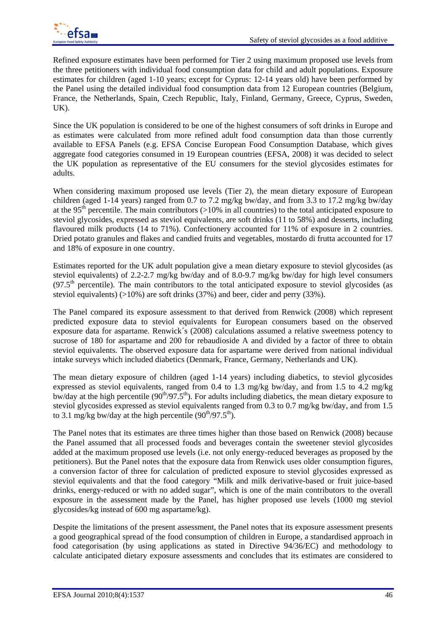

Refined exposure estimates have been performed for Tier 2 using maximum proposed use levels from the three petitioners with individual food consumption data for child and adult populations. Exposure estimates for children (aged 1-10 years; except for Cyprus: 12-14 years old) have been performed by the Panel using the detailed individual food consumption data from 12 European countries (Belgium, France, the Netherlands, Spain, Czech Republic, Italy, Finland, Germany, Greece, Cyprus, Sweden, UK).

Since the UK population is considered to be one of the highest consumers of soft drinks in Europe and as estimates were calculated from more refined adult food consumption data than those currently available to EFSA Panels (e.g. EFSA Concise European Food Consumption Database, which gives aggregate food categories consumed in 19 European countries (EFSA, 2008) it was decided to select the UK population as representative of the EU consumers for the steviol glycosides estimates for adults.

When considering maximum proposed use levels (Tier 2), the mean dietary exposure of European children (aged 1-14 years) ranged from 0.7 to 7.2 mg/kg bw/day, and from 3.3 to 17.2 mg/kg bw/day at the 95<sup>th</sup> percentile. The main contributors  $(>10\%$  in all countries) to the total anticipated exposure to steviol glycosides, expressed as steviol equivalents, are soft drinks (11 to 58%) and desserts, including flavoured milk products (14 to 71%). Confectionery accounted for 11% of exposure in 2 countries. Dried potato granules and flakes and candied fruits and vegetables, mostardo di frutta accounted for 17 and 18% of exposure in one country.

Estimates reported for the UK adult population give a mean dietary exposure to steviol glycosides (as steviol equivalents) of 2.2-2.7 mg/kg bw/day and of 8.0-9.7 mg/kg bw/day for high level consumers  $(97.5<sup>th</sup>$  percentile). The main contributors to the total anticipated exposure to steviol glycosides (as steviol equivalents)  $(>10\%)$  are soft drinks (37%) and beer, cider and perry (33%).

The Panel compared its exposure assessment to that derived from Renwick (2008) which represent predicted exposure data to steviol equivalents for European consumers based on the observed exposure data for aspartame. Renwick´s (2008) calculations assumed a relative sweetness potency to sucrose of 180 for aspartame and 200 for rebaudioside A and divided by a factor of three to obtain steviol equivalents. The observed exposure data for aspartame were derived from national individual intake surveys which included diabetics (Denmark, France, Germany, Netherlands and UK).

The mean dietary exposure of children (aged 1-14 years) including diabetics, to steviol glycosides expressed as steviol equivalents, ranged from 0.4 to 1.3 mg/kg bw/day, and from 1.5 to 4.2 mg/kg bw/day at the high percentile  $(90<sup>th</sup>/97.5<sup>th</sup>)$ . For adults including diabetics, the mean dietary exposure to steviol glycosides expressed as steviol equivalents ranged from 0.3 to 0.7 mg/kg bw/day, and from 1.5 to 3.1 mg/kg bw/day at the high percentile  $(90^{th}/97.5^{th})$ .

The Panel notes that its estimates are three times higher than those based on Renwick (2008) because the Panel assumed that all processed foods and beverages contain the sweetener steviol glycosides added at the maximum proposed use levels (i.e. not only energy-reduced beverages as proposed by the petitioners). But the Panel notes that the exposure data from Renwick uses older consumption figures, a conversion factor of three for calculation of predicted exposure to steviol glycosides expressed as steviol equivalents and that the food category "Milk and milk derivative-based or fruit juice-based drinks, energy-reduced or with no added sugar", which is one of the main contributors to the overall exposure in the assessment made by the Panel, has higher proposed use levels (1000 mg steviol glycosides/kg instead of 600 mg aspartame/kg).

Despite the limitations of the present assessment, the Panel notes that its exposure assessment presents a good geographical spread of the food consumption of children in Europe, a standardised approach in food categorisation (by using applications as stated in Directive 94/36/EC) and methodology to calculate anticipated dietary exposure assessments and concludes that its estimates are considered to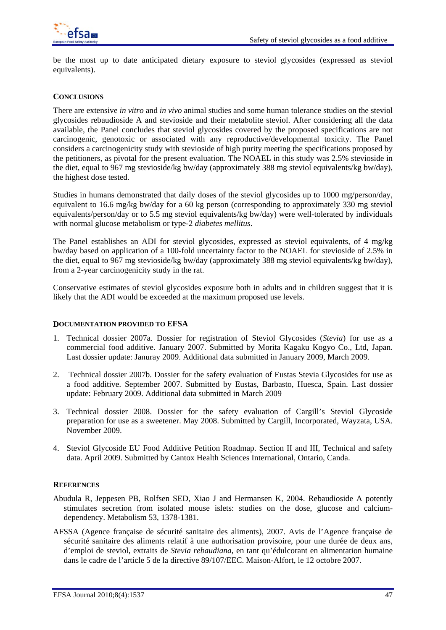

be the most up to date anticipated dietary exposure to steviol glycosides (expressed as steviol equivalents).

#### **CONCLUSIONS**

There are extensive *in vitro* and *in vivo* animal studies and some human tolerance studies on the steviol glycosides rebaudioside A and stevioside and their metabolite steviol. After considering all the data available, the Panel concludes that steviol glycosides covered by the proposed specifications are not carcinogenic, genotoxic or associated with any reproductive/developmental toxicity. The Panel considers a carcinogenicity study with stevioside of high purity meeting the specifications proposed by the petitioners, as pivotal for the present evaluation. The NOAEL in this study was 2.5% stevioside in the diet, equal to 967 mg stevioside/kg bw/day (approximately 388 mg steviol equivalents/kg bw/day), the highest dose tested.

Studies in humans demonstrated that daily doses of the steviol glycosides up to 1000 mg/person/day, equivalent to 16.6 mg/kg bw/day for a 60 kg person (corresponding to approximately 330 mg steviol equivalents/person/day or to 5.5 mg steviol equivalents/kg bw/day) were well-tolerated by individuals with normal glucose metabolism or type-2 *diabetes mellitus*.

The Panel establishes an ADI for steviol glycosides, expressed as steviol equivalents, of 4 mg/kg bw/day based on application of a 100-fold uncertainty factor to the NOAEL for stevioside of 2.5% in the diet, equal to 967 mg stevioside/kg bw/day (approximately 388 mg steviol equivalents/kg bw/day), from a 2-year carcinogenicity study in the rat.

Conservative estimates of steviol glycosides exposure both in adults and in children suggest that it is likely that the ADI would be exceeded at the maximum proposed use levels.

#### **DOCUMENTATION PROVIDED TO EFSA**

- 1. Technical dossier 2007a. Dossier for registration of Steviol Glycosides (*Stevia*) for use as a commercial food additive. January 2007. Submitted by Morita Kagaku Kogyo Co., Ltd, Japan. Last dossier update: Januray 2009. Additional data submitted in January 2009, March 2009.
- 2. Technical dossier 2007b. Dossier for the safety evaluation of Eustas Stevia Glycosides for use as a food additive. September 2007. Submitted by Eustas, Barbasto, Huesca, Spain. Last dossier update: February 2009. Additional data submitted in March 2009
- 3. Technical dossier 2008. Dossier for the safety evaluation of Cargill's Steviol Glycoside preparation for use as a sweetener. May 2008. Submitted by Cargill, Incorporated, Wayzata, USA. November 2009.
- 4. Steviol Glycoside EU Food Additive Petition Roadmap. Section II and III, Technical and safety data. April 2009. Submitted by Cantox Health Sciences International, Ontario, Canda.

#### **REFERENCES**

- Abudula R, Jeppesen PB, Rolfsen SED, Xiao J and Hermansen K, 2004. Rebaudioside A potently stimulates secretion from isolated mouse islets: studies on the dose, glucose and calciumdependency. Metabolism 53, 1378-1381.
- AFSSA (Agence française de sécurité sanitaire des aliments), 2007. Avis de l'Agence française de sécurité sanitaire des aliments relatif à une authorisation provisoire, pour une durée de deux ans, d'emploi de steviol, extraits de *Stevia rebaudiana,* en tant qu'édulcorant en alimentation humaine dans le cadre de l'article 5 de la directive 89/107/EEC. Maison-Alfort, le 12 octobre 2007.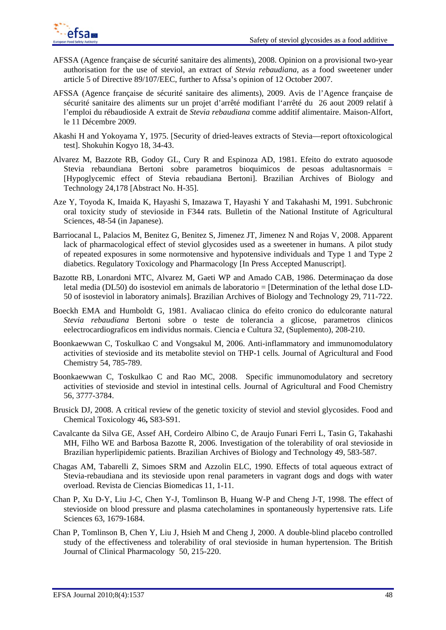

- AFSSA (Agence française de sécurité sanitaire des aliments), 2008. Opinion on a provisional two-year authorisation for the use of steviol, an extract of *Stevia rebaudiana*, as a food sweetener under article 5 of Directive 89/107/EEC, further to Afssa's opinion of 12 October 2007.
- AFSSA (Agence française de sécurité sanitaire des aliments), 2009. Avis de l'Agence française de sécurité sanitaire des aliments sur un projet d'arrêté modifiant l'arrêté du 26 aout 2009 relatif à l'emploi du rébaudioside A extrait de *Stevia rebaudiana* comme additif alimentaire. Maison-Alfort, le 11 Décembre 2009.
- Akashi H and Yokoyama Y, 1975. [Security of dried-leaves extracts of Stevia—report oftoxicological test]. Shokuhin Kogyo 18, 34-43.
- Alvarez M, Bazzote RB, Godoy GL, Cury R and Espinoza AD, 1981. Efeito do extrato aquosode Stevia rebaundiana Bertoni sobre parametros bioquimicos de pesoas adultasnormais = [Hypoglycemic effect of Stevia rebaudiana Bertoni]. Brazilian Archives of Biology and Technology 24,178 [Abstract No. H-35].
- Aze Y, Toyoda K, Imaida K, Hayashi S, Imazawa T, Hayashi Y and Takahashi M, 1991. Subchronic oral toxicity study of stevioside in F344 rats. Bulletin of the National Institute of Agricultural Sciences, 48-54 (in Japanese).
- Barriocanal L, Palacios M, Benitez G, Benitez S, Jimenez JT, Jimenez N and Rojas V, 2008. Apparent lack of pharmacological effect of steviol glycosides used as a sweetener in humans. A pilot study of repeated exposures in some normotensive and hypotensive individuals and Type 1 and Type 2 diabetics. Regulatory Toxicology and Pharmacology [In Press Accepted Manuscript].
- Bazotte RB, Lonardoni MTC, Alvarez M, Gaeti WP and Amado CAB, 1986. Determinaçao da dose letal media (DL50) do isosteviol em animals de laboratorio = [Determination of the lethal dose LD-50 of isosteviol in laboratory animals]. Brazilian Archives of Biology and Technology 29, 711-722.
- Boeckh EMA and Humboldt G, 1981. Avaliacao clinica do efeito cronico do edulcorante natural *Stevia rebaudiana* Bertoni sobre o teste de tolerancia a glicose, parametros clinicos eelectrocardiograficos em individus normais. Ciencia e Cultura 32, (Suplemento), 208-210.
- Boonkaewwan C, Toskulkao C and Vongsakul M, 2006. Anti-inflammatory and immunomodulatory activities of stevioside and its metabolite steviol on THP-1 cells*.* Journal of Agricultural and Food Chemistry 54, 785-789.
- Boonkaewwan C, Toskulkao C and Rao MC, 2008. Specific immunomodulatory and secretory activities of stevioside and steviol in intestinal cells. Journal of Agricultural and Food Chemistry 56, 3777-3784.
- Brusick DJ, 2008. A critical review of the genetic toxicity of steviol and steviol glycosides. Food and Chemical Toxicology 46**,** S83-S91.
- Cavalcante da Silva GE, Assef AH, Cordeiro Albino C, de Araujo Funari Ferri L, Tasin G, Takahashi MH, Filho WE and Barbosa Bazotte R, 2006. Investigation of the tolerability of oral stevioside in Brazilian hyperlipidemic patients. Brazilian Archives of Biology and Technology 49, 583-587.
- Chagas AM, Tabarelli Z, Simoes SRM and Azzolin ELC, 1990. Effects of total aqueous extract of Stevia-rebaudiana and its stevioside upon renal parameters in vagrant dogs and dogs with water overload. Revista de Ciencias Biomedicas 11, 1-11.
- Chan P, Xu D-Y, Liu J-C, Chen Y-J, Tomlinson B, Huang W-P and Cheng J-T, 1998. The effect of stevioside on blood pressure and plasma catecholamines in spontaneously hypertensive rats. Life Sciences 63, 1679-1684.
- Chan P, Tomlinson B, Chen Y, Liu J, Hsieh M and Cheng J, 2000. A double-blind placebo controlled study of the effectiveness and tolerability of oral stevioside in human hypertension. The British Journal of Clinical Pharmacology 50, 215-220.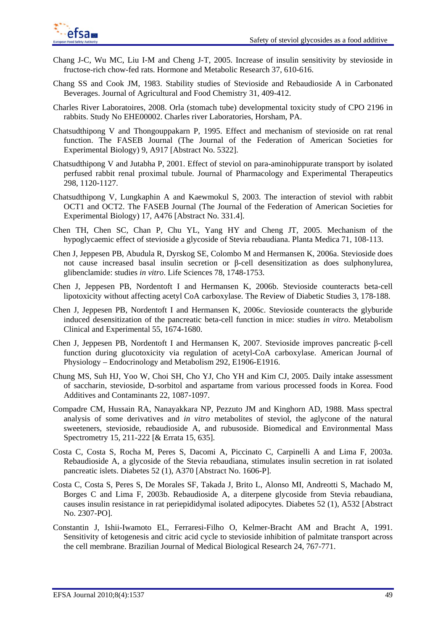

- Chang J-C, Wu MC, Liu I-M and Cheng J-T, 2005. Increase of insulin sensitivity by stevioside in fructose-rich chow-fed rats. Hormone and Metabolic Research 37, 610-616.
- Chang SS and Cook JM, 1983. Stability studies of Stevioside and Rebaudioside A in Carbonated Beverages. Journal of Agricultural and Food Chemistry 31, 409-412.
- Charles River Laboratoires, 2008. Orla (stomach tube) developmental toxicity study of CPO 2196 in rabbits. Study No EHE00002. Charles river Laboratories, Horsham, PA.
- Chatsudthipong V and Thongouppakarn P, 1995. Effect and mechanism of stevioside on rat renal function. The FASEB Journal (The Journal of the Federation of American Societies for Experimental Biology) 9, A917 [Abstract No. 5322].
- Chatsudthipong V and Jutabha P, 2001. Effect of steviol on para-aminohippurate transport by isolated perfused rabbit renal proximal tubule. Journal of Pharmacology and Experimental Therapeutics 298, 1120-1127.
- Chatsudthipong V, Lungkaphin A and Kaewmokul S, 2003. The interaction of steviol with rabbit OCT1 and OCT2. The FASEB Journal (The Journal of the Federation of American Societies for Experimental Biology) 17, A476 [Abstract No. 331.4].
- Chen TH, Chen SC, Chan P, Chu YL, Yang HY and Cheng JT, 2005. Mechanism of the hypoglycaemic effect of stevioside a glycoside of Stevia rebaudiana. Planta Medica 71, 108-113.
- Chen J, Jeppesen PB, Abudula R, Dyrskog SE, Colombo M and Hermansen K, 2006a. Stevioside does not cause increased basal insulin secretion or β-cell desensitization as does sulphonylurea, glibenclamide: studies *in vitro*. Life Sciences 78, 1748-1753.
- Chen J, Jeppesen PB, Nordentoft I and Hermansen K, 2006b. Stevioside counteracts beta-cell lipotoxicity without affecting acetyl CoA carboxylase. The Review of Diabetic Studies 3, 178-188.
- Chen J, Jeppesen PB, Nordentoft I and Hermansen K, 2006c. Stevioside counteracts the glyburide induced desensitization of the pancreatic beta-cell function in mice: studies *in vitro*. Metabolism Clinical and Experimental 55, 1674-1680.
- Chen J, Jeppesen PB, Nordentoft I and Hermansen K, 2007. Stevioside improves pancreatic β-cell function during glucotoxicity via regulation of acetyl-CoA carboxylase. American Journal of Physiology – Endocrinology and Metabolism 292, E1906-E1916.
- Chung MS, Suh HJ, Yoo W, Choi SH, Cho YJ, Cho YH and Kim CJ, 2005. Daily intake assessment of saccharin, stevioside, D-sorbitol and aspartame from various processed foods in Korea. Food Additives and Contaminants 22, 1087-1097.
- Compadre CM, Hussain RA, Nanayakkara NP, Pezzuto JM and Kinghorn AD, 1988. Mass spectral analysis of some derivatives and *in vitro* metabolites of steviol, the aglycone of the natural sweeteners, stevioside, rebaudioside A, and rubusoside. Biomedical and Environmental Mass Spectrometry 15, 211-222 [& Errata 15, 635].
- Costa C, Costa S, Rocha M, Peres S, Dacomi A, Piccinato C, Carpinelli A and Lima F, 2003a. Rebaudioside A, a glycoside of the Stevia rebaudiana, stimulates insulin secretion in rat isolated pancreatic islets. Diabetes 52 (1), A370 [Abstract No. 1606-P].
- Costa C, Costa S, Peres S, De Morales SF, Takada J, Brito L, Alonso MI, Andreotti S, Machado M, Borges C and Lima F, 2003b. Rebaudioside A, a diterpene glycoside from Stevia rebaudiana, causes insulin resistance in rat periepididymal isolated adipocytes. Diabetes 52 (1), A532 [Abstract No. 2307-PO].
- Constantin J, Ishii-Iwamoto EL, Ferraresi-Filho O, Kelmer-Bracht AM and Bracht A, 1991. Sensitivity of ketogenesis and citric acid cycle to stevioside inhibition of palmitate transport across the cell membrane. Brazilian Journal of Medical Biological Research 24, 767-771.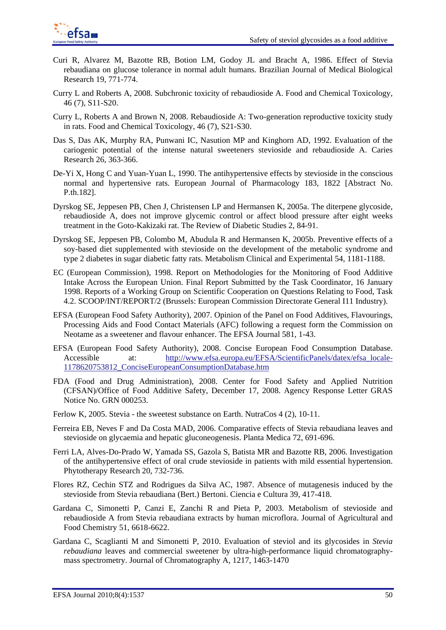

- Curi R, Alvarez M, Bazotte RB, Botion LM, Godoy JL and Bracht A, 1986. Effect of Stevia rebaudiana on glucose tolerance in normal adult humans. Brazilian Journal of Medical Biological Research 19, 771-774.
- Curry L and Roberts A, 2008. Subchronic toxicity of rebaudioside A. Food and Chemical Toxicology, 46 (7), S11-S20.
- Curry L, Roberts A and Brown N, 2008. Rebaudioside A: Two-generation reproductive toxicity study in rats. Food and Chemical Toxicology, 46 (7), S21-S30.
- Das S, Das AK, Murphy RA, Punwani IC, Nasution MP and Kinghorn AD, 1992. Evaluation of the cariogenic potential of the intense natural sweeteners stevioside and rebaudioside A. Caries Research 26, 363-366.
- De-Yi X, Hong C and Yuan-Yuan L, 1990. The antihypertensive effects by stevioside in the conscious normal and hypertensive rats. European Journal of Pharmacology 183, 1822 [Abstract No. P.th.182].
- Dyrskog SE, Jeppesen PB, Chen J, Christensen LP and Hermansen K, 2005a. The diterpene glycoside, rebaudioside A, does not improve glycemic control or affect blood pressure after eight weeks treatment in the Goto-Kakizaki rat. The Review of Diabetic Studies 2, 84-91.
- Dyrskog SE, Jeppesen PB, Colombo M, Abudula R and Hermansen K, 2005b. Preventive effects of a soy-based diet supplemented with stevioside on the development of the metabolic syndrome and type 2 diabetes in sugar diabetic fatty rats. Metabolism Clinical and Experimental 54, 1181-1188.
- EC (European Commission), 1998. Report on Methodologies for the Monitoring of Food Additive Intake Across the European Union. Final Report Submitted by the Task Coordinator, 16 January 1998. Reports of a Working Group on Scientific Cooperation on Questions Relating to Food, Task 4.2. SCOOP/INT/REPORT/2 (Brussels: European Commission Directorate General I11 Industry).
- EFSA (European Food Safety Authority), 2007. Opinion of the Panel on Food Additives, Flavourings, Processing Aids and Food Contact Materials (AFC) following a request form the Commission on Neotame as a sweetener and flavour enhancer. The EFSA Journal 581, 1-43.
- EFSA (European Food Safety Authority), 2008. Concise European Food Consumption Database. Accessible at: http://www.efsa.europa.eu/EFSA/ScientificPanels/datex/efsa\_locale-1178620753812\_ConciseEuropeanConsumptionDatabase.htm
- FDA (Food and Drug Administration), 2008. Center for Food Safety and Applied Nutrition (CFSAN)/Office of Food Additive Safety, December 17, 2008. Agency Response Letter GRAS Notice No. GRN 000253.
- Ferlow K, 2005. Stevia the sweetest substance on Earth. NutraCos 4 (2), 10-11.
- Ferreira EB, Neves F and Da Costa MAD, 2006. Comparative effects of Stevia rebaudiana leaves and stevioside on glycaemia and hepatic gluconeogenesis. Planta Medica 72, 691-696.
- Ferri LA, Alves-Do-Prado W, Yamada SS, Gazola S, Batista MR and Bazotte RB, 2006. Investigation of the antihypertensive effect of oral crude stevioside in patients with mild essential hypertension. Phytotherapy Research 20, 732-736.
- Flores RZ, Cechin STZ and Rodrigues da Silva AC, 1987. Absence of mutagenesis induced by the stevioside from Stevia rebaudiana (Bert.) Bertoni. Ciencia e Cultura 39, 417-418.
- Gardana C, Simonetti P, Canzi E, Zanchi R and Pieta P, 2003. Metabolism of stevioside and rebaudioside A from Stevia rebaudiana extracts by human microflora. Journal of Agricultural and Food Chemistry 51, 6618-6622.
- Gardana C, Scaglianti M and Simonetti P, 2010. Evaluation of steviol and its glycosides in *Stevia rebaudiana* leaves and commercial sweetener by ultra-high-performance liquid chromatographymass spectrometry. Journal of Chromatography A, 1217, 1463-1470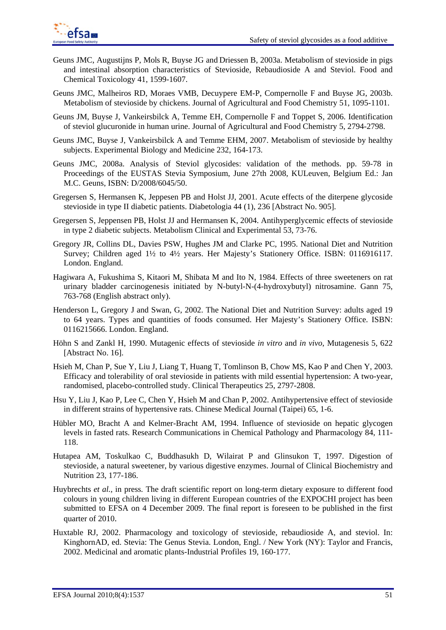- Geuns JMC, Augustijns P, Mols R, Buyse JG and Driessen B, 2003a. Metabolism of stevioside in pigs and intestinal absorption characteristics of Stevioside, Rebaudioside A and Steviol. Food and Chemical Toxicology 41, 1599-1607.
- Geuns JMC, Malheiros RD, Moraes VMB, Decuypere EM-P, Compernolle F and Buyse JG, 2003b. Metabolism of stevioside by chickens. Journal of Agricultural and Food Chemistry 51, 1095-1101.
- Geuns JM, Buyse J, Vankeirsbilck A, Temme EH, Compernolle F and Toppet S, 2006. Identification of steviol glucuronide in human urine. Journal of Agricultural and Food Chemistry 5, 2794-2798.
- Geuns JMC, Buyse J, Vankeirsbilck A and Temme EHM, 2007. Metabolism of stevioside by healthy subjects. Experimental Biology and Medicine 232, 164-173.
- Geuns JMC, 2008a. Analysis of Steviol glycosides: validation of the methods. pp. 59-78 in Proceedings of the EUSTAS Stevia Symposium, June 27th 2008, KULeuven, Belgium Ed.: Jan M.C. Geuns, ISBN: D/2008/6045/50.
- Gregersen S, Hermansen K, Jeppesen PB and Holst JJ, 2001. Acute effects of the diterpene glycoside stevioside in type II diabetic patients. Diabetologia 44 (1), 236 [Abstract No. 905].
- Gregersen S, Jeppensen PB, Holst JJ and Hermansen K, 2004. Antihyperglycemic effects of stevioside in type 2 diabetic subjects. Metabolism Clinical and Experimental 53, 73-76.
- Gregory JR, Collins DL, Davies PSW, Hughes JM and Clarke PC, 1995. National Diet and Nutrition Survey; Children aged 1½ to 4½ years. Her Majesty's Stationery Office. ISBN: 0116916117. London. England.
- Hagiwara A, Fukushima S, Kitaori M, Shibata M and Ito N, 1984. Effects of three sweeteners on rat urinary bladder carcinogenesis initiated by N-butyl-N-(4-hydroxybutyl) nitrosamine. Gann 75, 763-768 (English abstract only).
- Henderson L, Gregory J and Swan, G, 2002. The National Diet and Nutrition Survey: adults aged 19 to 64 years. Types and quantities of foods consumed. Her Majesty's Stationery Office. ISBN: 0116215666. London. England.
- Höhn S and Zankl H, 1990. Mutagenic effects of stevioside *in vitro* and *in vivo*, Mutagenesis 5, 622 [Abstract No. 16].
- Hsieh M, Chan P, Sue Y, Liu J, Liang T, Huang T, Tomlinson B, Chow MS, Kao P and Chen Y, 2003. Efficacy and tolerability of oral stevioside in patients with mild essential hypertension: A two-year, randomised, placebo-controlled study. Clinical Therapeutics 25, 2797-2808.
- Hsu Y, Liu J, Kao P, Lee C, Chen Y, Hsieh M and Chan P, 2002. Antihypertensive effect of stevioside in different strains of hypertensive rats. Chinese Medical Journal (Taipei) 65, 1-6.
- Hübler MO, Bracht A and Kelmer-Bracht AM, 1994. Influence of stevioside on hepatic glycogen levels in fasted rats. Research Communications in Chemical Pathology and Pharmacology 84, 111- 118.
- Hutapea AM, Toskulkao C, Buddhasukh D, Wilairat P and Glinsukon T, 1997. Digestion of stevioside, a natural sweetener, by various digestive enzymes. Journal of Clinical Biochemistry and Nutrition 23, 177-186.
- Huybrechts *et al.,* in press*.* The draft scientific report on long-term dietary exposure to different food colours in young children living in different European countries of the EXPOCHI project has been submitted to EFSA on 4 December 2009. The final report is foreseen to be published in the first quarter of 2010.
- Huxtable RJ, 2002. Pharmacology and toxicology of stevioside, rebaudioside A, and steviol. In: KinghornAD, ed. Stevia: The Genus Stevia. London, Engl. / New York (NY): Taylor and Francis, 2002. Medicinal and aromatic plants-Industrial Profiles 19, 160-177.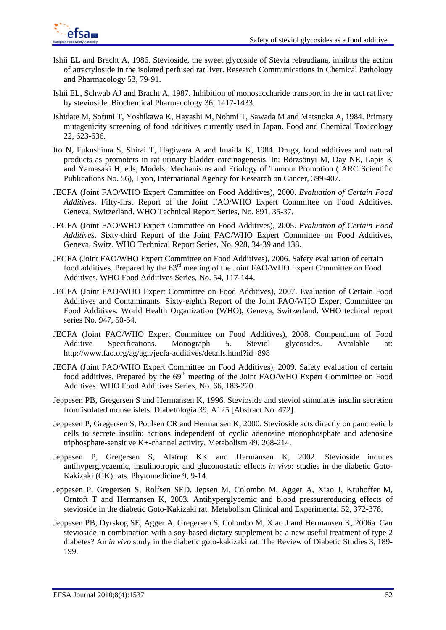

- Ishii EL and Bracht A, 1986. Stevioside, the sweet glycoside of Stevia rebaudiana, inhibits the action of atractyloside in the isolated perfused rat liver. Research Communications in Chemical Pathology and Pharmacology 53, 79-91.
- Ishii EL, Schwab AJ and Bracht A, 1987. Inhibition of monosaccharide transport in the in tact rat liver by stevioside. Biochemical Pharmacology 36, 1417-1433.
- Ishidate M, Sofuni T, Yoshikawa K, Hayashi M, Nohmi T, Sawada M and Matsuoka A, 1984. Primary mutagenicity screening of food additives currently used in Japan. Food and Chemical Toxicology 22, 623-636.
- Ito N, Fukushima S, Shirai T, Hagiwara A and Imaida K, 1984. Drugs, food additives and natural products as promoters in rat urinary bladder carcinogenesis. In: Börzsönyi M, Day NE, Lapis K and Yamasaki H, eds, Models, Mechanisms and Etiology of Tumour Promotion (IARC Scientific Publications No. 56), Lyon, International Agency for Research on Cancer, 399-407.
- JECFA (Joint FAO/WHO Expert Committee on Food Additives), 2000. *Evaluation of Certain Food Additives*. Fifty-first Report of the Joint FAO/WHO Expert Committee on Food Additives. Geneva, Switzerland. WHO Technical Report Series, No. 891, 35-37.
- JECFA (Joint FAO/WHO Expert Committee on Food Additives), 2005. *Evaluation of Certain Food Additives*. Sixty-third Report of the Joint FAO/WHO Expert Committee on Food Additives, Geneva, Switz. WHO Technical Report Series, No. 928, 34-39 and 138.
- JECFA (Joint FAO/WHO Expert Committee on Food Additives), 2006. Safety evaluation of certain food additives. Prepared by the 63rd meeting of the Joint FAO/WHO Expert Committee on Food Additives. WHO Food Additives Series, No. 54, 117-144.
- JECFA (Joint FAO/WHO Expert Committee on Food Additives), 2007. Evaluation of Certain Food Additives and Contaminants. Sixty-eighth Report of the Joint FAO/WHO Expert Committee on Food Additives. World Health Organization (WHO), Geneva, Switzerland. WHO techical report series No. 947, 50-54.
- JECFA (Joint FAO/WHO Expert Committee on Food Additives), 2008. Compendium of Food Additive Specifications. Monograph 5. Steviol glycosides. Available at: http://www.fao.org/ag/agn/jecfa-additives/details.html?id=898
- JECFA (Joint FAO/WHO Expert Committee on Food Additives), 2009. Safety evaluation of certain food additives. Prepared by the 69<sup>th</sup> meeting of the Joint FAO/WHO Expert Committee on Food Additives. WHO Food Additives Series, No. 66, 183-220.
- Jeppesen PB, Gregersen S and Hermansen K, 1996. Stevioside and steviol stimulates insulin secretion from isolated mouse islets. Diabetologia 39, A125 [Abstract No. 472].
- Jeppesen P, Gregersen S, Poulsen CR and Hermansen K, 2000. Stevioside acts directly on pancreatic b cells to secrete insulin: actions independent of cyclic adenosine monophosphate and adenosine triphosphate-sensitive K+-channel activity. Metabolism 49, 208-214.
- Jeppesen P, Gregersen S, Alstrup KK and Hermansen K, 2002. Stevioside induces antihyperglycaemic, insulinotropic and gluconostatic effects *in vivo*: studies in the diabetic Goto-Kakizaki (GK) rats. Phytomedicine 9, 9-14.
- Jeppesen P, Gregersen S, Rolfsen SED, Jepsen M, Colombo M, Agger A, Xiao J, Kruhoffer M, Orntoft T and Hermansen K, 2003. Antihyperglycemic and blood pressurereducing effects of stevioside in the diabetic Goto-Kakizaki rat. Metabolism Clinical and Experimental 52, 372-378.
- Jeppesen PB, Dyrskog SE, Agger A, Gregersen S, Colombo M, Xiao J and Hermansen K, 2006a. Can stevioside in combination with a soy-based dietary supplement be a new useful treatment of type 2 diabetes? An *in vivo* study in the diabetic goto-kakizaki rat. The Review of Diabetic Studies 3, 189- 199.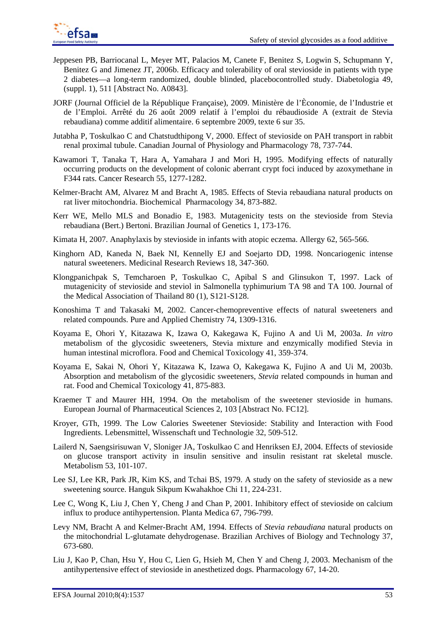

- Jeppesen PB, Barriocanal L, Meyer MT, Palacios M, Canete F, Benitez S, Logwin S, Schupmann Y, Benitez G and Jimenez JT, 2006b. Efficacy and tolerability of oral stevioside in patients with type 2 diabetes—a long-term randomized, double blinded, placebocontrolled study. Diabetologia 49, (suppl. 1), 511 [Abstract No. A0843].
- JORF (Journal Officiel de la République Française), 2009. Ministère de l'Èconomie, de l'Industrie et de l'Emploi. Arrêté du 26 août 2009 relatif à l'emploi du rébaudioside A (extrait de Stevia rebaudiana) comme additif alimentaire. 6 septembre 2009, texte 6 sur 35.
- Jutabha P, Toskulkao C and Chatstudthipong V, 2000. Effect of stevioside on PAH transport in rabbit renal proximal tubule. Canadian Journal of Physiology and Pharmacology 78, 737-744.
- Kawamori T, Tanaka T, Hara A, Yamahara J and Mori H, 1995. Modifying effects of naturally occurring products on the development of colonic aberrant crypt foci induced by azoxymethane in F344 rats. Cancer Research 55, 1277-1282.
- Kelmer-Bracht AM, Alvarez M and Bracht A, 1985. Effects of Stevia rebaudiana natural products on rat liver mitochondria. Biochemical Pharmacology 34, 873-882.
- Kerr WE, Mello MLS and Bonadio E, 1983. Mutagenicity tests on the stevioside from Stevia rebaudiana (Bert.) Bertoni. Brazilian Journal of Genetics 1, 173-176.
- Kimata H, 2007. Anaphylaxis by stevioside in infants with atopic eczema. Allergy 62, 565-566.
- Kinghorn AD, Kaneda N, Baek NI, Kennelly EJ and Soejarto DD, 1998. Noncariogenic intense natural sweeteners. Medicinal Research Reviews 18, 347-360.
- Klongpanichpak S, Temcharoen P, Toskulkao C, Apibal S and Glinsukon T, 1997. Lack of mutagenicity of stevioside and steviol in Salmonella typhimurium TA 98 and TA 100. Journal of the Medical Association of Thailand 80 (1), S121-S128.
- Konoshima T and Takasaki M, 2002. Cancer-chemopreventive effects of natural sweeteners and related compounds. Pure and Applied Chemistry 74, 1309-1316.
- Koyama E, Ohori Y, Kitazawa K, Izawa O, Kakegawa K, Fujino A and Ui M, 2003a. *In vitro* metabolism of the glycosidic sweeteners, Stevia mixture and enzymically modified Stevia in human intestinal microflora. Food and Chemical Toxicology 41, 359-374.
- Koyama E, Sakai N, Ohori Y, Kitazawa K, Izawa O, Kakegawa K, Fujino A and Ui M, 2003b. Absorption and metabolism of the glycosidic sweeteners, *Stevia* related compounds in human and rat. Food and Chemical Toxicology 41, 875-883.
- Kraemer T and Maurer HH, 1994. On the metabolism of the sweetener stevioside in humans. European Journal of Pharmaceutical Sciences 2, 103 [Abstract No. FC12].
- Kroyer, GTh, 1999. The Low Calories Sweetener Stevioside: Stability and Interaction with Food Ingredients. Lebensmittel, Wissenschaft und Technologie 32, 509-512.
- Lailerd N, Saengsirisuwan V, Sloniger JA, Toskulkao C and Henriksen EJ, 2004. Effects of stevioside on glucose transport activity in insulin sensitive and insulin resistant rat skeletal muscle. Metabolism 53, 101-107.
- Lee SJ, Lee KR, Park JR, Kim KS, and Tchai BS, 1979. A study on the safety of stevioside as a new sweetening source. Hanguk Sikpum Kwahakhoe Chi 11, 224-231.
- Lee C, Wong K, Liu J, Chen Y, Cheng J and Chan P, 2001. Inhibitory effect of stevioside on calcium influx to produce antihypertension. Planta Medica 67, 796-799.
- Levy NM, Bracht A and Kelmer-Bracht AM, 1994. Effects of *Stevia rebaudiana* natural products on the mitochondrial L-glutamate dehydrogenase. Brazilian Archives of Biology and Technology 37, 673-680.
- Liu J, Kao P, Chan, Hsu Y, Hou C, Lien G, Hsieh M, Chen Y and Cheng J, 2003. Mechanism of the antihypertensive effect of stevioside in anesthetized dogs. Pharmacology 67, 14-20.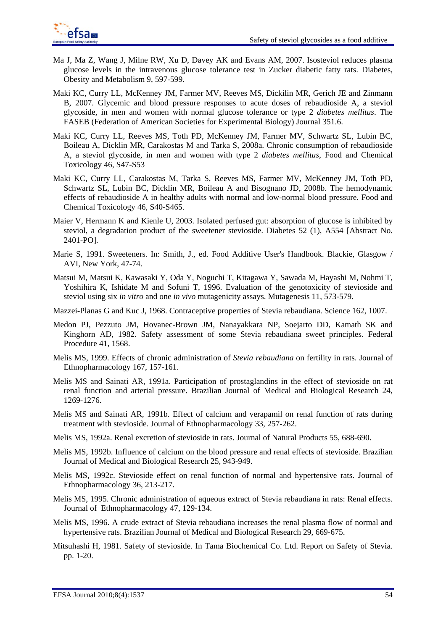

- Ma J, Ma Z, Wang J, Milne RW, Xu D, Davey AK and Evans AM, 2007. Isosteviol reduces plasma glucose levels in the intravenous glucose tolerance test in Zucker diabetic fatty rats. Diabetes, Obesity and Metabolism 9, 597-599.
- Maki KC, Curry LL, McKenney JM, Farmer MV, Reeves MS, Dickilin MR, Gerich JE and Zinmann B, 2007. Glycemic and blood pressure responses to acute doses of rebaudioside A, a steviol glycoside, in men and women with normal glucose tolerance or type 2 *diabetes mellitus*. The FASEB (Federation of American Societies for Experimental Biology) Journal 351.6.
- Maki KC, Curry LL, Reeves MS, Toth PD, McKenney JM, Farmer MV, Schwartz SL, Lubin BC, Boileau A, Dicklin MR, Carakostas M and Tarka S, 2008a. Chronic consumption of rebaudioside A, a steviol glycoside, in men and women with type 2 *diabetes mellitus*, Food and Chemical Toxicology 46, S47-S53
- Maki KC, Curry LL, Carakostas M, Tarka S, Reeves MS, Farmer MV, McKenney JM, Toth PD, Schwartz SL, Lubin BC, Dicklin MR, Boileau A and Bisognano JD, 2008b. The hemodynamic effects of rebaudioside A in healthy adults with normal and low-normal blood pressure. Food and Chemical Toxicology 46, S40-S465.
- Maier V, Hermann K and Kienle U, 2003. Isolated perfused gut: absorption of glucose is inhibited by steviol, a degradation product of the sweetener stevioside. Diabetes 52 (1), A554 [Abstract No. 2401-PO].
- Marie S, 1991. Sweeteners. In: Smith, J., ed. Food Additive User's Handbook. Blackie, Glasgow / AVI, New York, 47-74.
- Matsui M, Matsui K, Kawasaki Y, Oda Y, Noguchi T, Kitagawa Y, Sawada M, Hayashi M, Nohmi T, Yoshihira K, Ishidate M and Sofuni T, 1996. Evaluation of the genotoxicity of stevioside and steviol using six *in vitro* and one *in vivo* mutagenicity assays. Mutagenesis 11, 573-579.
- Mazzei-Planas G and Kuc J, 1968. Contraceptive properties of Stevia rebaudiana. Science 162, 1007.
- Medon PJ, Pezzuto JM, Hovanec-Brown JM, Nanayakkara NP, Soejarto DD, Kamath SK and Kinghorn AD, 1982. Safety assessment of some Stevia rebaudiana sweet principles. Federal Procedure 41, 1568.
- Melis MS, 1999. Effects of chronic administration of *Stevia rebaudiana* on fertility in rats. Journal of Ethnopharmacology 167, 157-161.
- Melis MS and Sainati AR, 1991a. Participation of prostaglandins in the effect of stevioside on rat renal function and arterial pressure. Brazilian Journal of Medical and Biological Research 24, 1269-1276.
- Melis MS and Sainati AR, 1991b. Effect of calcium and verapamil on renal function of rats during treatment with stevioside. Journal of Ethnopharmacology 33, 257-262.
- Melis MS, 1992a. Renal excretion of stevioside in rats. Journal of Natural Products 55, 688-690.
- Melis MS, 1992b. Influence of calcium on the blood pressure and renal effects of stevioside. Brazilian Journal of Medical and Biological Research 25, 943-949.
- Melis MS, 1992c. Stevioside effect on renal function of normal and hypertensive rats. Journal of Ethnopharmacology 36, 213-217.
- Melis MS, 1995. Chronic administration of aqueous extract of Stevia rebaudiana in rats: Renal effects. Journal of Ethnopharmacology 47, 129-134.
- Melis MS, 1996. A crude extract of Stevia rebaudiana increases the renal plasma flow of normal and hypertensive rats. Brazilian Journal of Medical and Biological Research 29, 669-675.
- Mitsuhashi H, 1981. Safety of stevioside. In Tama Biochemical Co. Ltd. Report on Safety of Stevia. pp. 1-20.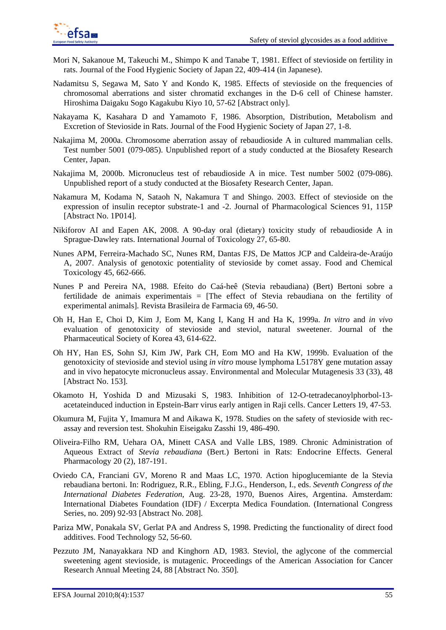

- Mori N, Sakanoue M, Takeuchi M., Shimpo K and Tanabe T, 1981. Effect of stevioside on fertility in rats. Journal of the Food Hygienic Society of Japan 22, 409-414 (in Japanese).
- Nadamitsu S, Segawa M, Sato Y and Kondo K, 1985. Effects of stevioside on the frequencies of chromosomal aberrations and sister chromatid exchanges in the D-6 cell of Chinese hamster. Hiroshima Daigaku Sogo Kagakubu Kiyo 10, 57-62 [Abstract only].
- Nakayama K, Kasahara D and Yamamoto F, 1986. Absorption, Distribution, Metabolism and Excretion of Stevioside in Rats. Journal of the Food Hygienic Society of Japan 27, 1-8.
- Nakajima M, 2000a. Chromosome aberration assay of rebaudioside A in cultured mammalian cells. Test number 5001 (079-085). Unpublished report of a study conducted at the Biosafety Research Center, Japan.
- Nakajima M, 2000b. Micronucleus test of rebaudioside A in mice. Test number 5002 (079-086). Unpublished report of a study conducted at the Biosafety Research Center, Japan.
- Nakamura M, Kodama N, Sataoh N, Nakamura T and Shingo. 2003. Effect of stevioside on the expression of insulin receptor substrate-1 and -2. Journal of Pharmacological Sciences 91, 115P [Abstract No. 1P014].
- Nikiforov AI and Eapen AK, 2008. A 90-day oral (dietary) toxicity study of rebaudioside A in Sprague-Dawley rats. International Journal of Toxicology 27, 65-80.
- Nunes APM, Ferreira-Machado SC, Nunes RM, Dantas FJS, De Mattos JCP and Caldeira-de-Araújo A, 2007. Analysis of genotoxic potentiality of stevioside by comet assay. Food and Chemical Toxicology 45, 662-666.
- Nunes P and Pereira NA, 1988. Efeito do Caá-heê (Stevia rebaudiana) (Bert) Bertoni sobre a fertilidade de animais experimentais = [The effect of Stevia rebaudiana on the fertility of experimental animals]. Revista Brasileira de Farmacia 69, 46-50.
- Oh H, Han E, Choi D, Kim J, Eom M, Kang I, Kang H and Ha K, 1999a. *In vitro* and *in vivo* evaluation of genotoxicity of stevioside and steviol, natural sweetener. Journal of the Pharmaceutical Society of Korea 43, 614-622.
- Oh HY, Han ES, Sohn SJ, Kim JW, Park CH, Eom MO and Ha KW, 1999b. Evaluation of the genotoxicity of stevioside and steviol using *in vitro* mouse lymphoma L5178Y gene mutation assay and in vivo hepatocyte micronucleus assay. Environmental and Molecular Mutagenesis 33 (33), 48 [Abstract No. 153].
- Okamoto H, Yoshida D and Mizusaki S, 1983. Inhibition of 12-O-tetradecanoylphorbol-13 acetateinduced induction in Epstein-Barr virus early antigen in Raji cells. Cancer Letters 19, 47-53.
- Okumura M, Fujita Y, Imamura M and Aikawa K, 1978. Studies on the safety of stevioside with recassay and reversion test. Shokuhin Eiseigaku Zasshi 19, 486-490.
- Oliveira-Filho RM, Uehara OA, Minett CASA and Valle LBS, 1989. Chronic Administration of Aqueous Extract of *Stevia rebaudiana* (Bert.) Bertoni in Rats: Endocrine Effects. General Pharmacology 20 (2), 187-191.
- Oviedo CA, Franciani GV, Moreno R and Maas LC, 1970. Action hipoglucemiante de la Stevia rebaudiana bertoni. In: Rodriguez, R.R., Ebling, F.J.G., Henderson, I., eds. *Seventh Congress of the International Diabetes Federation*, Aug. 23-28, 1970, Buenos Aires, Argentina. Amsterdam: International Diabetes Foundation (IDF) / Excerpta Medica Foundation. (International Congress Series, no. 209) 92-93 [Abstract No. 208].
- Pariza MW, Ponakala SV, Gerlat PA and Andress S, 1998. Predicting the functionality of direct food additives. Food Technology 52, 56-60.
- Pezzuto JM, Nanayakkara ND and Kinghorn AD, 1983. Steviol, the aglycone of the commercial sweetening agent stevioside, is mutagenic. Proceedings of the American Association for Cancer Research Annual Meeting 24, 88 [Abstract No. 350].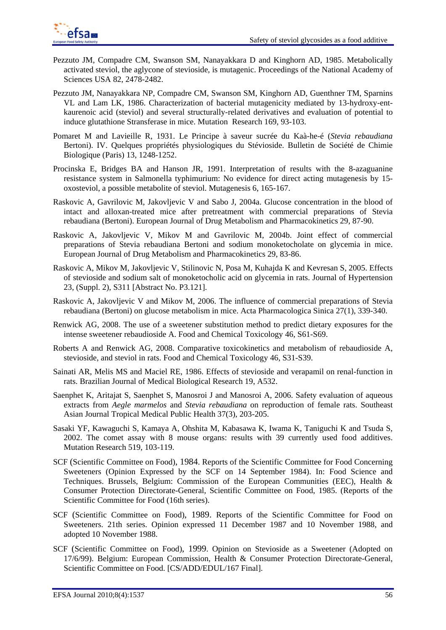

- Pezzuto JM, Compadre CM, Swanson SM, Nanayakkara D and Kinghorn AD, 1985. Metabolically activated steviol, the aglycone of stevioside, is mutagenic. Proceedings of the National Academy of Sciences USA 82, 2478-2482.
- Pezzuto JM, Nanayakkara NP, Compadre CM, Swanson SM, Kinghorn AD, Guenthner TM, Sparnins VL and Lam LK, 1986. Characterization of bacterial mutagenicity mediated by 13-hydroxy-entkaurenoic acid (steviol) and several structurally-related derivatives and evaluation of potential to induce glutathione Stransferase in mice. Mutation Research 169, 93-103.
- Pomaret M and Lavieille R, 1931. Le Principe à saveur sucrée du Kaà-he-é (*Stevia rebaudiana*  Bertoni). IV. Quelques propriétés physiologiques du Stévioside. Bulletin de Société de Chimie Biologique (Paris) 13, 1248-1252.
- Procinska E, Bridges BA and Hanson JR, 1991. Interpretation of results with the 8-azaguanine resistance system in Salmonella typhimurium: No evidence for direct acting mutagenesis by 15 oxosteviol, a possible metabolite of steviol. Mutagenesis 6, 165-167.
- Raskovic A, Gavrilovic M, Jakovljevic V and Sabo J, 2004a. Glucose concentration in the blood of intact and alloxan-treated mice after pretreatment with commercial preparations of Stevia rebaudiana (Bertoni). European Journal of Drug Metabolism and Pharmacokinetics 29, 87-90.
- Raskovic A, Jakovljevic V, Mikov M and Gavrilovic M, 2004b. Joint effect of commercial preparations of Stevia rebaudiana Bertoni and sodium monoketocholate on glycemia in mice. European Journal of Drug Metabolism and Pharmacokinetics 29, 83-86.
- Raskovic A, Mikov M, Jakovljevic V, Stilinovic N, Posa M, Kuhajda K and Kevresan S, 2005. Effects of stevioside and sodium salt of monoketocholic acid on glycemia in rats. Journal of Hypertension 23, (Suppl. 2), S311 [Abstract No. P3.121].
- Raskovic A, Jakovljevic V and Mikov M, 2006. The influence of commercial preparations of Stevia rebaudiana (Bertoni) on glucose metabolism in mice. Acta Pharmacologica Sinica 27(1), 339-340.
- Renwick AG, 2008. The use of a sweetener substitution method to predict dietary exposures for the intense sweetener rebaudioside A. Food and Chemical Toxicology 46, S61-S69.
- Roberts A and Renwick AG, 2008. Comparative toxicokinetics and metabolism of rebaudioside A, stevioside, and steviol in rats. Food and Chemical Toxicology 46, S31-S39.
- Sainati AR, Melis MS and Maciel RE, 1986. Effects of stevioside and verapamil on renal-function in rats. Brazilian Journal of Medical Biological Research 19, A532.
- Saenphet K, Aritajat S, Saenphet S, Manosroi J and Manosroi A, 2006. Safety evaluation of aqueous extracts from *Aegle marmelos* and *Stevia rebaudiana* on reproduction of female rats. Southeast Asian Journal Tropical Medical Public Health 37(3), 203-205.
- Sasaki YF, Kawaguchi S, Kamaya A, Ohshita M, Kabasawa K, Iwama K, Taniguchi K and Tsuda S, 2002. The comet assay with 8 mouse organs: results with 39 currently used food additives. Mutation Research 519, 103-119.
- SCF (Scientific Committee on Food), 1984. Reports of the Scientific Committee for Food Concerning Sweeteners (Opinion Expressed by the SCF on 14 September 1984). In: Food Science and Techniques. Brussels, Belgium: Commission of the European Communities (EEC), Health & Consumer Protection Directorate-General, Scientific Committee on Food, 1985. (Reports of the Scientific Committee for Food (16th series).
- SCF (Scientific Committee on Food), 1989. Reports of the Scientific Committee for Food on Sweeteners. 21th series. Opinion expressed 11 December 1987 and 10 November 1988, and adopted 10 November 1988.
- SCF (Scientific Committee on Food), 1999. Opinion on Stevioside as a Sweetener (Adopted on 17/6/99). Belgium: European Commission, Health & Consumer Protection Directorate-General, Scientific Committee on Food. [CS/ADD/EDUL/167 Final].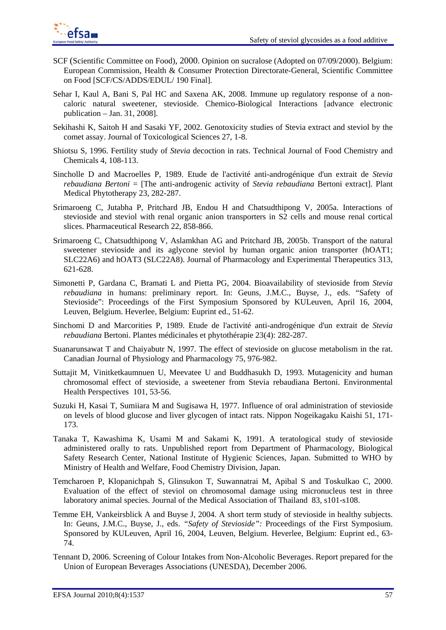- SCF (Scientific Committee on Food), 2000. Opinion on sucralose (Adopted on 07/09/2000). Belgium: European Commission, Health & Consumer Protection Directorate-General, Scientific Committee on Food [SCF/CS/ADDS/EDUL/ 190 Final].
- Sehar I, Kaul A, Bani S, Pal HC and Saxena AK, 2008. Immune up regulatory response of a noncaloric natural sweetener, stevioside. Chemico-Biological Interactions [advance electronic publication – Jan. 31, 2008].
- Sekihashi K, Saitoh H and Sasaki YF, 2002. Genotoxicity studies of Stevia extract and steviol by the comet assay. Journal of Toxicological Sciences 27, 1-8.
- Shiotsu S, 1996. Fertility study of *Stevia* decoction in rats. Technical Journal of Food Chemistry and Chemicals 4, 108-113.
- Sincholle D and Macroelles P, 1989. Etude de l'activité anti-androgénique d'un extrait de *Stevia rebaudiana Bertoni* = [The anti-androgenic activity of *Stevia rebaudiana* Bertoni extract]. Plant Medical Phytotherapy 23, 282-287.
- Srimaroeng C, Jutabha P, Pritchard JB, Endou H and Chatsudthipong V, 2005a. Interactions of stevioside and steviol with renal organic anion transporters in S2 cells and mouse renal cortical slices. Pharmaceutical Research 22, 858-866.
- Srimaroeng C, Chatsudthipong V, Aslamkhan AG and Pritchard JB, 2005b. Transport of the natural sweetener stevioside and its aglycone steviol by human organic anion transporter (hOAT1; SLC22A6) and hOAT3 (SLC22A8). Journal of Pharmacology and Experimental Therapeutics 313, 621-628.
- Simonetti P, Gardana C, Bramati L and Pietta PG, 2004. Bioavailability of stevioside from *Stevia rebaudiana* in humans: preliminary report. In: Geuns, J.M.C., Buyse, J., eds. "Safety of Stevioside": Proceedings of the First Symposium Sponsored by KULeuven, April 16, 2004, Leuven, Belgium. Heverlee, Belgium: Euprint ed., 51-62.
- Sinchomi D and Marcorities P, 1989. Etude de l'activité anti-androgénique d'un extrait de *Stevia rebaudiana* Bertoni. Plantes médicinales et phytothérapie 23(4): 282-287.
- Suanarunsawat T and Chaiyabutr N, 1997. The effect of stevioside on glucose metabolism in the rat. Canadian Journal of Physiology and Pharmacology 75, 976-982.
- Suttajit M, Vinitketkaumnuen U, Meevatee U and Buddhasukh D, 1993. Mutagenicity and human chromosomal effect of stevioside, a sweetener from Stevia rebaudiana Bertoni. Environmental Health Perspectives 101, 53-56.
- Suzuki H, Kasai T, Sumiiara M and Sugisawa H, 1977. Influence of oral administration of stevioside on levels of blood glucose and liver glycogen of intact rats. Nippon Nogeikagaku Kaishi 51, 171- 173.
- Tanaka T, Kawashima K, Usami M and Sakami K, 1991. A teratological study of stevioside administered orally to rats. Unpublished report from Department of Pharmacology, Biological Safety Research Center, National Institute of Hygienic Sciences, Japan. Submitted to WHO by Ministry of Health and Welfare, Food Chemistry Division, Japan.
- Temcharoen P, Klopanichpah S, Glinsukon T, Suwannatrai M, Apibal S and Toskulkao C, 2000. Evaluation of the effect of steviol on chromosomal damage using micronucleus test in three laboratory animal species. Journal of the Medical Association of Thailand83, s101-s108.
- Temme EH, Vankeirsblick A and Buyse J, 2004. A short term study of stevioside in healthy subjects. In: Geuns, J.M.C., Buyse, J., eds. *"Safety of Stevioside":* Proceedings of the First Symposium. Sponsored by KULeuven, April 16, 2004, Leuven, Belgium. Heverlee, Belgium: Euprint ed., 63- 74.
- Tennant D, 2006. Screening of Colour Intakes from Non-Alcoholic Beverages. Report prepared for the Union of European Beverages Associations (UNESDA), December 2006.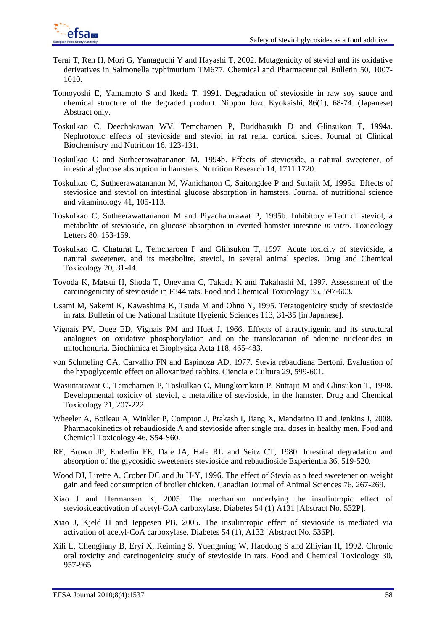

- Terai T, Ren H, Mori G, Yamaguchi Y and Hayashi T, 2002. Mutagenicity of steviol and its oxidative derivatives in Salmonella typhimurium TM677. Chemical and Pharmaceutical Bulletin 50*,* 1007- 1010.
- Tomoyoshi E, Yamamoto S and Ikeda T, 1991. Degradation of stevioside in raw soy sauce and chemical structure of the degraded product. Nippon Jozo Kyokaishi, 86(1), 68-74. (Japanese) Abstract only.
- Toskulkao C, Deechakawan WV, Temcharoen P, Buddhasukh D and Glinsukon T, 1994a. Nephrotoxic effects of stevioside and steviol in rat renal cortical slices. Journal of Clinical Biochemistry and Nutrition 16, 123-131.
- Toskulkao C and Sutheerawattananon M, 1994b. Effects of stevioside, a natural sweetener, of intestinal glucose absorption in hamsters. Nutrition Research 14, 1711 1720.
- Toskulkao C, Sutheerawatananon M, Wanichanon C, Saitongdee P and Suttajit M, 1995a. Effects of stevioside and steviol on intestinal glucose absorption in hamsters. Journal of nutritional science and vitaminology 41, 105-113.
- Toskulkao C, Sutheerawattananon M and Piyachaturawat P, 1995b. Inhibitory effect of steviol, a metabolite of stevioside, on glucose absorption in everted hamster intestine *in vitro*. Toxicology Letters 80, 153-159.
- Toskulkao C, Chaturat L, Temcharoen P and Glinsukon T, 1997. Acute toxicity of stevioside, a natural sweetener, and its metabolite, steviol, in several animal species. Drug and Chemical Toxicology 20, 31-44.
- Toyoda K, Matsui H, Shoda T, Uneyama C, Takada K and Takahashi M, 1997. Assessment of the carcinogenicity of stevioside in F344 rats. Food and Chemical Toxicology 35, 597-603.
- Usami M, Sakemi K, Kawashima K, Tsuda M and Ohno Y, 1995. Teratogenicity study of stevioside in rats. Bulletin of the National Institute Hygienic Sciences 113, 31-35 [in Japanese].
- Vignais PV, Duee ED, Vignais PM and Huet J, 1966. Effects of atractyligenin and its structural analogues on oxidative phosphorylation and on the translocation of adenine nucleotides in mitochondria. Biochimica et Biophysica Acta 118, 465-483.
- von Schmeling GA, Carvalho FN and Espinoza AD, 1977. Stevia rebaudiana Bertoni. Evaluation of the hypoglycemic effect on alloxanized rabbits. Ciencia e Cultura 29, 599-601.
- Wasuntarawat C, Temcharoen P, Toskulkao C, Mungkornkarn P, Suttajit M and Glinsukon T, 1998. Developmental toxicity of steviol, a metabilite of stevioside, in the hamster. Drug and Chemical Toxicology 21, 207-222.
- Wheeler A, Boileau A, Winkler P, Compton J, Prakash I, Jiang X, Mandarino D and Jenkins J, 2008. Pharmacokinetics of rebaudioside A and stevioside after single oral doses in healthy men. Food and Chemical Toxicology 46, S54-S60.
- RE, Brown JP, Enderlin FE, Dale JA, Hale RL and Seitz CT, 1980. Intestinal degradation and absorption of the glycosidic sweeteners stevioside and rebaudioside Experientia 36, 519-520.
- Wood DJ, Lirette A, Crober DC and Ju H-Y, 1996. The effect of Stevia as a feed sweetener on weight gain and feed consumption of broiler chicken. Canadian Journal of Animal Sciences 76, 267-269.
- Xiao J and Hermansen K, 2005. The mechanism underlying the insulintropic effect of steviosideactivation of acetyl-CoA carboxylase. Diabetes 54 (1) A131 [Abstract No. 532P].
- Xiao J, Kjeld H and Jeppesen PB, 2005. The insulintropic effect of stevioside is mediated via activation of acetyl-CoA carboxylase. Diabetes 54 (1), A132 [Abstract No. 536P].
- Xili L, Chengjiany B, Eryi X, Reiming S, Yuengming W, Haodong S and Zhiyian H, 1992. Chronic oral toxicity and carcinogenicity study of stevioside in rats. Food and Chemical Toxicology 30, 957-965.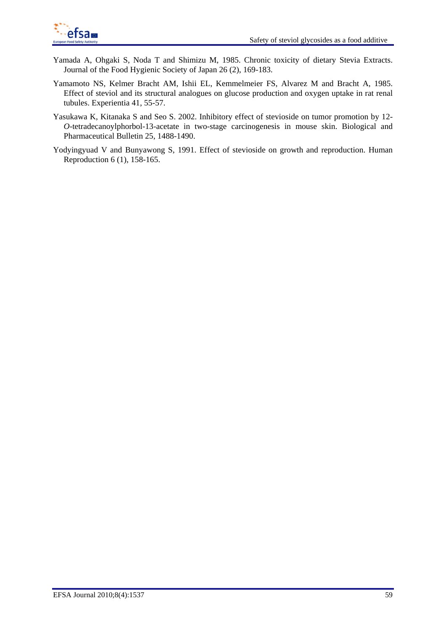- Yamada A, Ohgaki S, Noda T and Shimizu M, 1985. Chronic toxicity of dietary Stevia Extracts. Journal of the Food Hygienic Society of Japan 26 (2), 169-183.
- Yamamoto NS, Kelmer Bracht AM, Ishii EL, Kemmelmeier FS, Alvarez M and Bracht A, 1985. Effect of steviol and its structural analogues on glucose production and oxygen uptake in rat renal tubules. Experientia 41, 55-57.
- Yasukawa K, Kitanaka S and Seo S. 2002. Inhibitory effect of stevioside on tumor promotion by 12- *O*-tetradecanoylphorbol-13-acetate in two-stage carcinogenesis in mouse skin. Biological and Pharmaceutical Bulletin 25, 1488-1490.
- Yodyingyuad V and Bunyawong S, 1991. Effect of stevioside on growth and reproduction. Human Reproduction 6 (1), 158-165.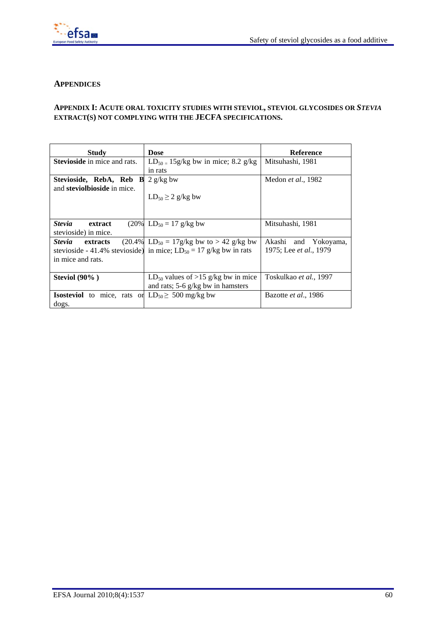

# **APPENDICES**

## **APPENDIX I: ACUTE ORAL TOXICITY STUDIES WITH STEVIOL, STEVIOL GLYCOSIDES OR** *STEVIA* **EXTRACT(S) NOT COMPLYING WITH THE JECFA SPECIFICATIONS.**

| Study                                                         | <b>Dose</b>                                                            | <b>Reference</b>               |
|---------------------------------------------------------------|------------------------------------------------------------------------|--------------------------------|
| <b>Stevioside</b> in mice and rats.                           | $LD_{50} = 15g/kg$ bw in mice; 8.2 g/kg                                | Mitsuhashi, 1981               |
|                                                               | in rats                                                                |                                |
| Stevioside, RebA, Reb B                                       | $2$ g/kg bw                                                            | Medon et al., 1982             |
| and <b>steviolbioside</b> in mice.                            |                                                                        |                                |
|                                                               | $LD_{50} \geq 2$ g/kg bw                                               |                                |
|                                                               |                                                                        |                                |
|                                                               |                                                                        |                                |
| <b>Stevia</b><br>extract                                      | $(20\% \text{ LD}_{50} = 17 \text{ g/kg})$                             | Mitsuhashi, 1981               |
| stevioside) in mice.                                          |                                                                        |                                |
| <i><b>Stevia</b></i><br>extracts                              | $(20.4\% \mid LD_{50} = 17g/kg$ bw to > 42 g/kg bw                     | Akashi and Yokoyama,           |
|                                                               | stevioside - 41.4% stevioside) in mice; $LD_{50} = 17$ g/kg bw in rats | 1975; Lee <i>et al.</i> , 1979 |
| in mice and rats.                                             |                                                                        |                                |
|                                                               |                                                                        |                                |
| Steviol $(90\%$ )                                             | $LD_{50}$ values of >15 g/kg bw in mice                                | Toskulkao et al., 1997         |
|                                                               | and rats; $5-6$ g/kg bw in hamsters                                    |                                |
| <b>Isosteviol</b> to mice, rats or $LD_{50} \ge 500$ mg/kg bw |                                                                        | Bazotte et al., 1986           |
| dogs.                                                         |                                                                        |                                |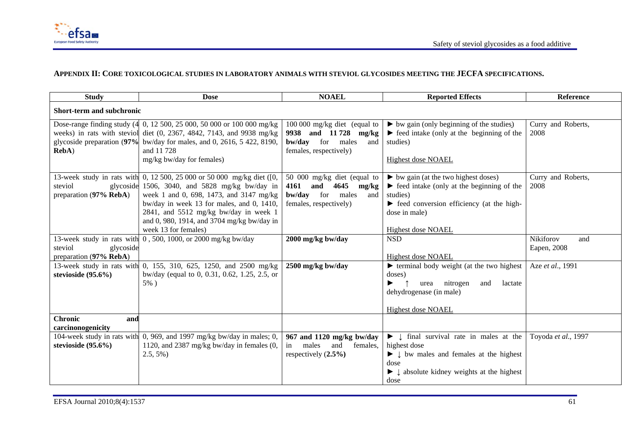

#### **APPENDIX II: CORE TOXICOLOGICAL STUDIES IN LABORATORY ANIMALS WITH STEVIOL GLYCOSIDES MEETING THE JECFA SPECIFICATIONS.**

| <b>Study</b>                     | <b>Dose</b>                                                             | <b>NOAEL</b>                    | <b>Reported Effects</b>                                                 | Reference           |
|----------------------------------|-------------------------------------------------------------------------|---------------------------------|-------------------------------------------------------------------------|---------------------|
| <b>Short-term and subchronic</b> |                                                                         |                                 |                                                                         |                     |
|                                  | Dose-range finding study (4 0, 12 500, 25 000, 50 000 or 100 000 mg/kg  | $100\,000$ mg/kg diet (equal to | $\triangleright$ bw gain (only beginning of the studies)                | Curry and Roberts,  |
|                                  | weeks) in rats with steviol diet (0, 2367, 4842, 7143, and 9938 mg/kg   | 9938 and 11728 mg/kg            | $\blacktriangleright$ feed intake (only at the beginning of the         | 2008                |
|                                  | glycoside preparation (97%) bw/day for males, and 0, 2616, 5 422, 8190, | bw/day for males<br>and         | studies)                                                                |                     |
| RebA)                            | and 11 728                                                              | females, respectively)          |                                                                         |                     |
|                                  | mg/kg bw/day for females)                                               |                                 | <b>Highest dose NOAEL</b>                                               |                     |
|                                  | 13-week study in rats with 0, 12 500, 25 000 or 50 000 mg/kg diet ([0,  | 50 000 mg/kg diet (equal to     | $\triangleright$ bw gain (at the two highest doses)                     | Curry and Roberts,  |
| steviol<br>glycoside             | 1506, 3040, and 5828 mg/kg bw/day in                                    | 4161<br>and<br>4645<br>mg/kg    | $\blacktriangleright$ feed intake (only at the beginning of the         | 2008                |
| preparation (97% RebA)           | week 1 and 0, 698, 1473, and 3147 mg/kg                                 | bw/day<br>for<br>males<br>and   | studies)                                                                |                     |
|                                  | bw/day in week 13 for males, and 0, 1410,                               | females, respectively)          | $\blacktriangleright$ feed conversion efficiency (at the high-          |                     |
|                                  | 2841, and 5512 mg/kg bw/day in week 1                                   |                                 | dose in male)                                                           |                     |
|                                  | and 0, 980, 1914, and 3704 mg/kg bw/day in                              |                                 |                                                                         |                     |
|                                  | week 13 for females)                                                    |                                 | Highest dose NOAEL                                                      |                     |
| 13-week study in rats with       | 0, 500, 1000, or 2000 mg/kg bw/day                                      | 2000 mg/kg bw/day               | <b>NSD</b>                                                              | Nikiforov<br>and    |
| steviol<br>glycoside             |                                                                         |                                 |                                                                         | Eapen, 2008         |
| preparation (97% RebA)           |                                                                         |                                 | Highest dose NOAEL                                                      |                     |
| 13-week study in rats with       | $\overline{0, 155, 310, 625, 1250, 1250}$ and 2500 mg/kg                | 2500 mg/kg bw/day               | $\blacktriangleright$ terminal body weight (at the two highest)         | Aze et al., 1991    |
| stevioside $(95.6\%)$            | bw/day (equal to 0, 0.31, 0.62, 1.25, 2.5, or                           |                                 | doses)                                                                  |                     |
|                                  | $5\%$ )                                                                 |                                 | urea nitrogen<br>lactate<br>and                                         |                     |
|                                  |                                                                         |                                 | dehydrogenase (in male)                                                 |                     |
|                                  |                                                                         |                                 |                                                                         |                     |
|                                  |                                                                         |                                 | <b>Highest dose NOAEL</b>                                               |                     |
| <b>Chronic</b><br>and            |                                                                         |                                 |                                                                         |                     |
| carcinonogenicity                |                                                                         |                                 |                                                                         |                     |
|                                  | 104-week study in rats with 0, 969, and 1997 mg/kg bw/day in males; 0,  | 967 and 1120 mg/kg bw/day       | $\blacktriangleright \downarrow$ final survival rate in males at the    | Toyoda et al., 1997 |
| stevioside $(95.6\%)$            | 1120, and 2387 mg/kg bw/day in females (0,                              | males<br>females,<br>in<br>and  | highest dose                                                            |                     |
|                                  | $2.5, 5\%)$                                                             | respectively $(2.5\%)$          | $\blacktriangleright \downarrow$ bw males and females at the highest    |                     |
|                                  |                                                                         |                                 | dose                                                                    |                     |
|                                  |                                                                         |                                 | $\blacktriangleright \downarrow$ absolute kidney weights at the highest |                     |
|                                  |                                                                         |                                 | dose                                                                    |                     |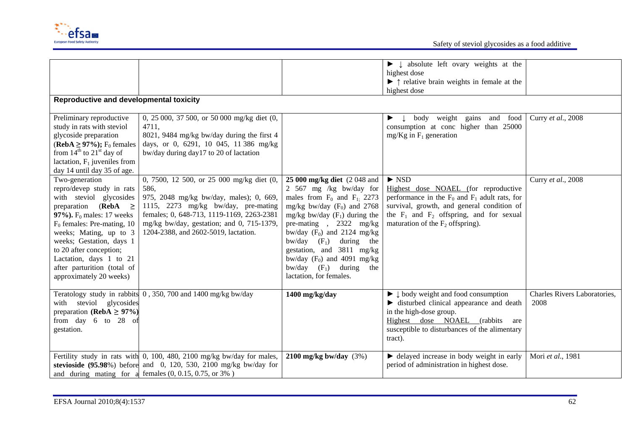

| Reproductive and developmental toxicity                                                                                                                                                                                                                                                                                                  |                                                                                                                                                                                                                                                                       |                                                                                                                                                                                                                                                                                                                                                                                      | $\blacktriangleright \downarrow$ absolute left ovary weights at the<br>highest dose<br>$\blacktriangleright$ $\uparrow$ relative brain weights in female at the<br>highest dose                                                                          |                                      |
|------------------------------------------------------------------------------------------------------------------------------------------------------------------------------------------------------------------------------------------------------------------------------------------------------------------------------------------|-----------------------------------------------------------------------------------------------------------------------------------------------------------------------------------------------------------------------------------------------------------------------|--------------------------------------------------------------------------------------------------------------------------------------------------------------------------------------------------------------------------------------------------------------------------------------------------------------------------------------------------------------------------------------|----------------------------------------------------------------------------------------------------------------------------------------------------------------------------------------------------------------------------------------------------------|--------------------------------------|
| Preliminary reproductive<br>study in rats with steviol<br>glycoside preparation<br>(RebA $\geq$ 97%); F <sub>0</sub> females<br>from $14^{th}$ to $21^{st}$ day of<br>lactation, $F_1$ juveniles from<br>day 14 until day 35 of age.                                                                                                     | 0, 25 000, 37 500, or 50 000 mg/kg diet (0,<br>4711,<br>8021, 9484 mg/kg bw/day during the first 4<br>days, or 0, 6291, 10 045, 11 386 mg/kg<br>bw/day during day17 to 20 of lactation                                                                                |                                                                                                                                                                                                                                                                                                                                                                                      | weight gains and food<br>body<br>$\perp$<br>▶<br>consumption at conc higher than 25000<br>$mg/Kg$ in $F_1$ generation                                                                                                                                    | Curry et al., 2008                   |
| Two-generation<br>repro/devep study in rats<br>with steviol glycosides<br>preparation (RebA $\geq$<br>97%). $F_0$ males: 17 weeks<br>$F_0$ females: Pre-mating, 10<br>weeks; Mating, up to 3<br>weeks; Gestation, days 1<br>to 20 after conception;<br>Lactation, days 1 to 21<br>after parturition (total of<br>approximately 20 weeks) | 0, 7500, 12 500, or 25 000 mg/kg diet (0,<br>586,<br>975, 2048 mg/kg bw/day, males); 0, 669,<br>1115, 2273 mg/kg bw/day, pre-mating<br>females; 0, 648-713, 1119-1169, 2263-2381<br>mg/kg bw/day, gestation; and 0, 715-1379,<br>1204-2388, and 2602-5019, lactation. | 25 000 mg/kg diet (2 048 and<br>2 567 mg /kg bw/day for<br>males from $F_0$ and $F_1$ ; 2273<br>mg/kg bw/day $(F_0)$ and 2768<br>mg/kg bw/day $(F_1)$ during the<br>pre-mating $, 2322$ mg/kg<br>bw/day $(F_0)$ and 2124 mg/kg<br>bw/day $(F_1)$ during the<br>gestation, and 3811 mg/kg<br>bw/day $(F_0)$ and 4091 mg/kg<br>bw/day $(F_1)$ during<br>the<br>lactation, for females. | $\triangleright$ NSD<br>Highest dose NOAEL (for reproductive<br>performance in the $F_0$ and $F_1$ adult rats, for<br>survival, growth, and general condition of<br>the $F_1$ and $F_2$ offspring, and for sexual<br>maturation of the $F_2$ offspring). | Curry et al., 2008                   |
| with steviol glycosides<br>preparation (RebA $\geq$ 97%)<br>from day 6 to 28 of<br>gestation.                                                                                                                                                                                                                                            | Teratology study in rabbits 0, 350, 700 and 1400 mg/kg bw/day                                                                                                                                                                                                         | 1400 mg/kg/day                                                                                                                                                                                                                                                                                                                                                                       | $\blacktriangleright \downarrow$ body weight and food consumption<br>ightharpoonup disturbed clinical appearance and death<br>in the high-dose group.<br>Highest dose NOAEL (rabbits<br>are<br>susceptible to disturbances of the alimentary<br>tract).  | Charles Rivers Laboratories,<br>2008 |
|                                                                                                                                                                                                                                                                                                                                          | Fertility study in rats with 0, 100, 480, 2100 mg/kg bw/day for males,<br>stevioside $(95.98\%)$ before and 0, 120, 530, 2100 mg/kg bw/day for<br>and during mating for a females $(0, 0.15, 0.75, \text{ or } 3\%)$                                                  | 2100 mg/kg bw/day $(3%)$                                                                                                                                                                                                                                                                                                                                                             | lacktriangleright delayed increase in body weight in early<br>period of administration in highest dose.                                                                                                                                                  | Mori et al., 1981                    |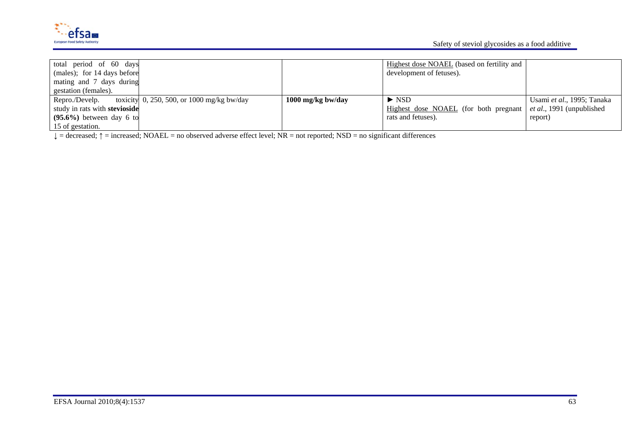

| total period of 60 days<br>(males); for 14 days before<br>mating and 7 days during<br>gestation (females). |                                                                     |                   | Highest dose NOAEL (based on fertility and<br>development of fetuses). |                                   |
|------------------------------------------------------------------------------------------------------------|---------------------------------------------------------------------|-------------------|------------------------------------------------------------------------|-----------------------------------|
| Repro./Develp.                                                                                             | toxicity $\vert 0, 250, 500, \text{ or } 1000 \text{ mg/kg}$ bw/day | 1000 mg/kg bw/day | $\triangleright$ NSD                                                   | Usami et al., 1995; Tanaka        |
| study in rats with stevioside                                                                              |                                                                     |                   | Highest dose NOAEL (for both pregnant                                  | <i>et al.</i> , 1991 (unpublished |
| $(95.6\%)$ between day 6 to                                                                                |                                                                     |                   | rats and fetuses).                                                     | report)                           |
| 15 of gestation.                                                                                           |                                                                     |                   |                                                                        |                                   |

 $\downarrow$  = decreased;  $\uparrow$  = increased; NOAEL = no observed adverse effect level; NR = not reported; NSD = no significant differences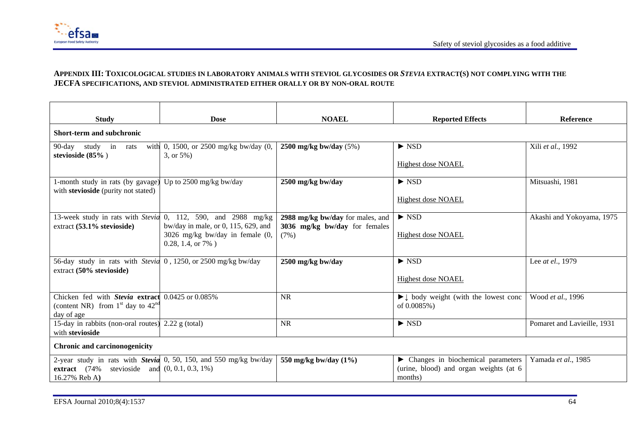

### **APPENDIX III: TOXICOLOGICAL STUDIES IN LABORATORY ANIMALS WITH STEVIOL GLYCOSIDES OR** *STEVIA* **EXTRACT(S) NOT COMPLYING WITH THE JECFA SPECIFICATIONS, AND STEVIOL ADMINISTRATED EITHER ORALLY OR BY NON-ORAL ROUTE**

| <b>Study</b>                                                                                      | <b>NOAEL</b><br><b>Dose</b>                                                                                                    |                                                                           | <b>Reported Effects</b>                                                                   | Reference                   |  |  |
|---------------------------------------------------------------------------------------------------|--------------------------------------------------------------------------------------------------------------------------------|---------------------------------------------------------------------------|-------------------------------------------------------------------------------------------|-----------------------------|--|--|
| Short-term and subchronic                                                                         |                                                                                                                                |                                                                           |                                                                                           |                             |  |  |
| $90$ -day<br>study<br>in rats<br>stevioside $(85\%$ )                                             | with 0, 1500, or 2500 mg/kg bw/day (0,<br>$3, or 5\%$                                                                          | 2500 mg/kg bw/day $(5%)$                                                  | $\triangleright$ NSD<br><b>Highest dose NOAEL</b>                                         | Xili et al., 1992           |  |  |
| l-month study in rats (by gavage)<br>with stevioside (purity not stated)                          | Up to 2500 mg/kg bw/day                                                                                                        | 2500 mg/kg bw/day                                                         | $\triangleright$ NSD<br><b>Highest dose NOAEL</b>                                         | Mitsuashi, 1981             |  |  |
| 13-week study in rats with Stevia<br>extract (53.1% stevioside)                                   | 0, 112, 590, and 2988 mg/kg<br>bw/day in male, or 0, 115, 629, and<br>3026 mg/kg bw/day in female (0,<br>$0.28, 1.4, or 7\%$ ) | 2988 mg/kg bw/day for males, and<br>3036 mg/kg bw/day for females<br>(7%) | $\triangleright$ NSD<br><b>Highest dose NOAEL</b>                                         | Akashi and Yokoyama, 1975   |  |  |
| 56-day study in rats with <i>Stevia</i> 0, 1250, or 2500 mg/kg bw/day<br>extract (50% stevioside) |                                                                                                                                | 2500 mg/kg bw/day                                                         | $\triangleright$ NSD<br><b>Highest dose NOAEL</b>                                         | Lee at el., 1979            |  |  |
| Chicken fed with Stevia extract<br>(content NR) from $1st$ day to $42nd$<br>day of age            | 0.0425 or 0.085%                                                                                                               | <b>NR</b>                                                                 | $\blacktriangleright \downarrow$ body weight (with the lowest conc<br>of 0.0085%)         | Wood et al., 1996           |  |  |
| 15-day in rabbits (non-oral routes)<br>with stevioside                                            | $2.22$ g (total)                                                                                                               | <b>NR</b>                                                                 | $\triangleright$ NSD                                                                      | Pomaret and Lavieille, 1931 |  |  |
| <b>Chronic and carcinonogenicity</b>                                                              |                                                                                                                                |                                                                           |                                                                                           |                             |  |  |
| extract $(74\%$<br>16.27% Reb A)                                                                  | 2-year study in rats with <b>Stevia</b> 0, 50, 150, and 550 mg/kg bw/day<br>stevioside and $(0, 0.1, 0.3, 1\%)$                | 550 mg/kg bw/day (1%)                                                     | • Changes in biochemical parameters<br>(urine, blood) and organ weights (at 6)<br>months) | Yamada et al., 1985         |  |  |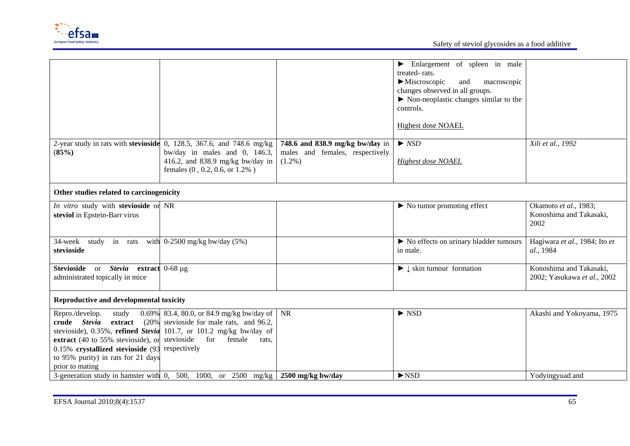

|                                                                 |                                                                                                                       |                                 | Enlargement of spleen in male<br>▶                       |                               |
|-----------------------------------------------------------------|-----------------------------------------------------------------------------------------------------------------------|---------------------------------|----------------------------------------------------------|-------------------------------|
|                                                                 |                                                                                                                       |                                 | treated-rats.                                            |                               |
|                                                                 |                                                                                                                       |                                 | $\blacktriangleright$ Miscroscopic<br>macroscopic<br>and |                               |
|                                                                 |                                                                                                                       |                                 | changes observed in all groups.                          |                               |
|                                                                 |                                                                                                                       |                                 | $\triangleright$ Non-neoplastic changes similar to the   |                               |
|                                                                 |                                                                                                                       |                                 | controls.                                                |                               |
|                                                                 |                                                                                                                       |                                 |                                                          |                               |
|                                                                 |                                                                                                                       |                                 | <b>Highest dose NOAEL</b>                                |                               |
|                                                                 |                                                                                                                       |                                 |                                                          |                               |
|                                                                 | 2-year study in rats with stevioside $0$ , 128.5, 367.6, and 748.6 mg/kg                                              | 748.6 and 838.9 mg/kg bw/day in | $\triangleright$ NSD                                     | Xili et al., 1992             |
| (85%)                                                           | bw/day in males and 0, 146.3,                                                                                         | males and females, respectively |                                                          |                               |
|                                                                 | 416.2, and 838.9 mg/kg bw/day in                                                                                      | $(1.2\%)$                       | <b>Highest dose NOAEL</b>                                |                               |
|                                                                 | females (0, 0.2, 0.6, or 1.2%)                                                                                        |                                 |                                                          |                               |
|                                                                 |                                                                                                                       |                                 |                                                          |                               |
|                                                                 |                                                                                                                       |                                 |                                                          |                               |
| Other studies related to carcinogenicity                        |                                                                                                                       |                                 |                                                          |                               |
| In vitro study with stevioside or NR                            |                                                                                                                       |                                 | $\triangleright$ No tumor promoting effect               | Okamoto et al., 1983;         |
| steviol in Epstein-Barr virus                                   |                                                                                                                       |                                 |                                                          | Konoshima and Takasaki,       |
|                                                                 |                                                                                                                       |                                 |                                                          | 2002                          |
|                                                                 |                                                                                                                       |                                 |                                                          |                               |
| 34-week study in rats                                           | with $0-2500$ mg/kg bw/day $(5%)$                                                                                     |                                 | lacktriangleright No effects on urinary bladder tumours  | Hagiwara et al., 1984; Ito et |
| stevioside                                                      |                                                                                                                       |                                 | in male.                                                 | al., 1984                     |
|                                                                 |                                                                                                                       |                                 |                                                          |                               |
| Stevioside or Stevia extract 0-68 µg                            |                                                                                                                       |                                 | $\blacktriangleright \downarrow$ skin tumour formation   | Konoshima and Takasaki,       |
| administrated topically in mice                                 |                                                                                                                       |                                 |                                                          | 2002; Yasukawa et al., 2002   |
|                                                                 |                                                                                                                       |                                 |                                                          |                               |
|                                                                 |                                                                                                                       |                                 |                                                          |                               |
| Reproductive and developmental toxicity                         |                                                                                                                       |                                 |                                                          |                               |
| Repro./develop.<br>study                                        | 0.69% 83.4, 80.0, or 84.9 mg/kg bw/day of   NR                                                                        |                                 | $\triangleright$ NSD                                     | Akashi and Yokoyama, 1975     |
| crude Stevia<br>extract                                         | $(20\%$ stevioside for male rats, and 96.2,                                                                           |                                 |                                                          |                               |
|                                                                 | stevioside), 0.35%, refined Stevia 101.7, or 101.2 mg/kg bw/day of                                                    |                                 |                                                          |                               |
| <b>extract</b> (40 to 55% stevioside), or stevioside for female | rats.                                                                                                                 |                                 |                                                          |                               |
| 0.15% crystallized stevioside (93 respectively                  |                                                                                                                       |                                 |                                                          |                               |
| to 95% purity) in rats for 21 days                              |                                                                                                                       |                                 |                                                          |                               |
| prior to mating                                                 |                                                                                                                       |                                 |                                                          |                               |
|                                                                 | 3-generation study in hamster with 0, 500, 1000, or 2500 mg/kg $\frac{2500 \text{ mg/kg}}{2500 \text{ mg/kg}}$ bw/day |                                 | $\blacktriangleright$ NSD                                | Yodyingyuad and               |
|                                                                 |                                                                                                                       |                                 |                                                          |                               |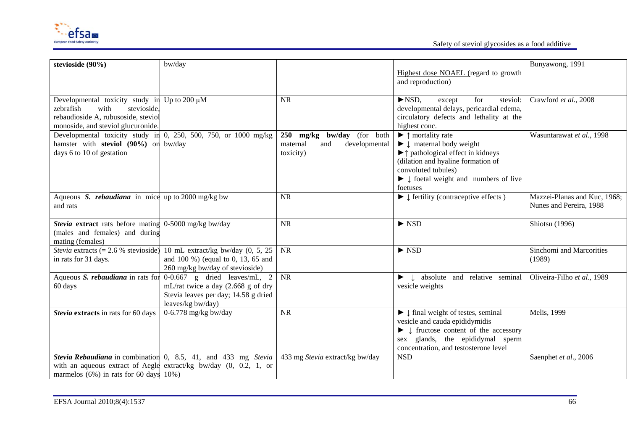

Safety of steviol glycosides as a food additive

| stevioside (90%)                                             | bw/day                                                                        |                                  |                                                                                | Bunyawong, 1991              |
|--------------------------------------------------------------|-------------------------------------------------------------------------------|----------------------------------|--------------------------------------------------------------------------------|------------------------------|
|                                                              |                                                                               |                                  | Highest dose NOAEL (regard to growth                                           |                              |
|                                                              |                                                                               |                                  | and reproduction)                                                              |                              |
|                                                              |                                                                               |                                  |                                                                                |                              |
| Developmental toxicity study in Up to 200 $\mu$ M            |                                                                               | <b>NR</b>                        | $\blacktriangleright$ NSD.<br>for<br>steviol:<br>except                        | Crawford et al., 2008        |
| zebrafish<br>with<br>stevioside,                             |                                                                               |                                  | developmental delays, pericardial edema,                                       |                              |
| rebaudioside A, rubusoside, steviol                          |                                                                               |                                  | circulatory defects and lethality at the                                       |                              |
| monoside, and steviol glucuronide.                           |                                                                               |                                  | highest conc.                                                                  |                              |
|                                                              | Developmental toxicity study in 0, 250, 500, 750, or 1000 mg/kg               | 250 mg/kg bw/day (for both       | $\blacktriangleright$ $\uparrow$ mortality rate                                | Wasuntarawat et al., 1998    |
| hamster with steviol (90%) on bw/day                         |                                                                               | developmental<br>maternal<br>and | $\blacktriangleright \downarrow$ maternal body weight                          |                              |
| days 6 to 10 of gestation                                    |                                                                               | toxicity)                        | $\blacktriangleright$ $\uparrow$ pathological effect in kidneys                |                              |
|                                                              |                                                                               |                                  | (dilation and hyaline formation of                                             |                              |
|                                                              |                                                                               |                                  | convoluted tubules)                                                            |                              |
|                                                              |                                                                               |                                  | $\blacktriangleright \downarrow$ foetal weight and numbers of live             |                              |
| Aqueous S. <i>rebaudiana</i> in mice up to 2000 mg/kg bw     |                                                                               | <b>NR</b>                        | foetuses<br>$\blacktriangleright \downarrow$ fertility (contraceptive effects) | Mazzei-Planas and Kuc, 1968; |
| and rats                                                     |                                                                               |                                  |                                                                                | Nunes and Pereira, 1988      |
|                                                              |                                                                               |                                  |                                                                                |                              |
| <b>Stevia extract</b> rats before mating 0-5000 mg/kg bw/day |                                                                               | <b>NR</b>                        | $\triangleright$ NSD                                                           | Shiotsu (1996)               |
| (males and females) and during                               |                                                                               |                                  |                                                                                |                              |
| mating (females)                                             |                                                                               |                                  |                                                                                |                              |
|                                                              | <i>Stevia</i> extracts (= 2.6 % stevioside) 10 mL extract/kg bw/day (0, 5, 25 | <b>NR</b>                        | $\blacktriangleright$ NSD                                                      | Sinchomi and Marcorities     |
| in rats for 31 days.                                         | and 100 %) (equal to 0, 13, 65 and                                            |                                  |                                                                                | (1989)                       |
|                                                              | 260 mg/kg bw/day of stevioside)                                               |                                  |                                                                                |                              |
| Aqueous S. rebaudiana in rats for                            | $0-0.667$ g dried leaves/mL, 2                                                | <b>NR</b>                        | $\blacktriangleright$ $\downarrow$ absolute and relative seminal               | Oliveira-Filho et al., 1989  |
| 60 days                                                      | mL/rat twice a day (2.668 g of dry                                            |                                  | vesicle weights                                                                |                              |
|                                                              | Stevia leaves per day; 14.58 g dried                                          |                                  |                                                                                |                              |
|                                                              | leaves/kg bw/day)                                                             |                                  |                                                                                |                              |
| Stevia extracts in rats for 60 days                          | 0-6.778 mg/kg bw/day                                                          | <b>NR</b>                        | $\blacktriangleright$ $\downarrow$ final weight of testes, seminal             | Melis, 1999                  |
|                                                              |                                                                               |                                  | vesicle and cauda epididymidis                                                 |                              |
|                                                              |                                                                               |                                  | $\blacktriangleright$ $\downarrow$ fructose content of the accessory           |                              |
|                                                              |                                                                               |                                  | sex glands, the epididymal sperm                                               |                              |
|                                                              |                                                                               |                                  | concentration, and testosterone level                                          |                              |
|                                                              | Stevia Rebaudiana in combination 0, 8.5, 41, and 433 mg Stevia                | 433 mg Stevia extract/kg bw/day  | <b>NSD</b>                                                                     | Saenphet et al., 2006        |
|                                                              | with an aqueous extract of Aegle extract/kg bw/day $(0, 0.2, 1, 0.0)$         |                                  |                                                                                |                              |
| marmelos $(6\%)$ in rats for 60 days $10\%)$                 |                                                                               |                                  |                                                                                |                              |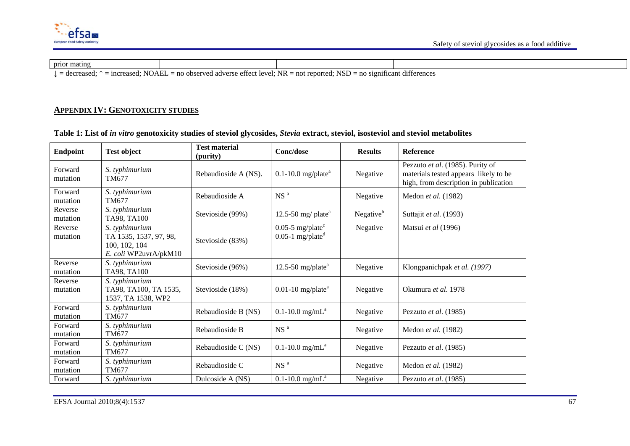

| prior mating<br>__                                                                                                                                                |  |  |  |  |  |  |
|-------------------------------------------------------------------------------------------------------------------------------------------------------------------|--|--|--|--|--|--|
| $\cdots$<br>$=$ no observed adverse effect level: NR $=$ not reported: NSD $=$ no s<br>$\therefore$ increased: NOAEL<br>significant differences<br>$=$ decreased: |  |  |  |  |  |  |

#### **APPENDIX IV: GENOTOXICITY STUDIES**

| <b>Endpoint</b>     | <b>Test object</b>                                                                 | <b>Test material</b><br>(purity) | Conc/dose                                                         | <b>Results</b>        | <b>Reference</b>                                                                                                   |
|---------------------|------------------------------------------------------------------------------------|----------------------------------|-------------------------------------------------------------------|-----------------------|--------------------------------------------------------------------------------------------------------------------|
| Forward<br>mutation | S. typhimurium<br>TM677                                                            | Rebaudioside A (NS).             | $0.1 - 10.0$ mg/plate <sup>a</sup>                                | Negative              | Pezzuto et al. (1985). Purity of<br>materials tested appears likely to be<br>high, from description in publication |
| Forward<br>mutation | S. typhimurium<br>TM677                                                            | Rebaudioside A                   | NS <sup>a</sup>                                                   | Negative              | Medon et al. (1982)                                                                                                |
| Reverse<br>mutation | S. typhimurium<br>TA98, TA100                                                      | Stevioside (99%)                 | 12.5-50 mg/ plate <sup>a</sup>                                    | Negative <sup>b</sup> | Suttajit et al. (1993)                                                                                             |
| Reverse<br>mutation | S. typhimurium<br>TA 1535, 1537, 97, 98,<br>100, 102, 104<br>E. coli WP2uvrA/pkM10 | Stevioside (83%)                 | $0.05-5$ mg/plate <sup>c</sup><br>$0.05$ -1 mg/plate <sup>d</sup> | Negative              | Matsui et al (1996)                                                                                                |
| Reverse<br>mutation | S. typhimurium<br>TA98, TA100                                                      | Stevioside (96%)                 | 12.5-50 mg/plate $a$                                              | Negative              | Klongpanichpak et al. (1997)                                                                                       |
| Reverse<br>mutation | S. typhimurium<br>TA98, TA100, TA 1535,<br>1537, TA 1538, WP2                      | Stevioside (18%)                 | $0.01-10$ mg/plate <sup>a</sup>                                   | Negative              | Okumura et al. 1978                                                                                                |
| Forward<br>mutation | S. typhimurium<br>TM677                                                            | Rebaudioside B (NS)              | $0.1 - 10.0$ mg/mL <sup>a</sup>                                   | Negative              | Pezzuto et al. (1985)                                                                                              |
| Forward<br>mutation | S. typhimurium<br>TM677                                                            | Rebaudioside B                   | NS <sup>a</sup>                                                   | Negative              | Medon et al. (1982)                                                                                                |
| Forward<br>mutation | S. typhimurium<br>TM677                                                            | Rebaudioside C (NS)              | $0.1 - 10.0$ mg/mL <sup>a</sup>                                   | Negative              | Pezzuto et al. (1985)                                                                                              |
| Forward<br>mutation | S. typhimurium<br>TM677                                                            | Rebaudioside C                   | NS <sup>a</sup>                                                   | Negative              | Medon et al. (1982)                                                                                                |
| Forward             | S. typhimurium                                                                     | Dulcoside A (NS)                 | $0.1 - 10.0$ mg/mL <sup>a</sup>                                   | Negative              | Pezzuto et al. (1985)                                                                                              |

# **Table 1: List of** *in vitro* **genotoxicity studies of steviol glycosides,** *Stevia* **extract, steviol, isosteviol and steviol metabolites**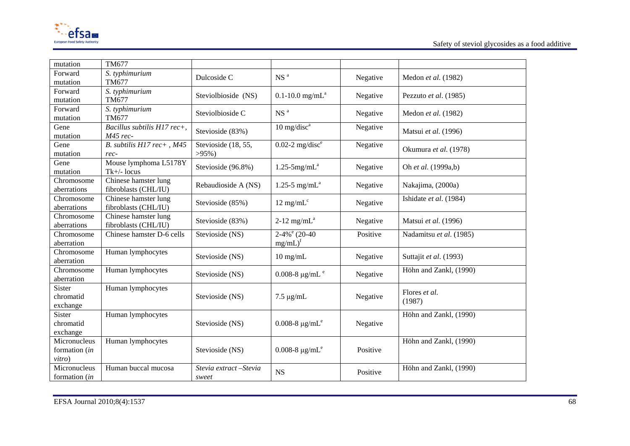

| mutation                   | TM677                               |                                  |                                 |          |                         |
|----------------------------|-------------------------------------|----------------------------------|---------------------------------|----------|-------------------------|
| Forward                    | S. typhimurium                      |                                  | NS <sup>a</sup>                 |          |                         |
| mutation                   | TM677                               | Dulcoside C                      |                                 | Negative | Medon et al. (1982)     |
| Forward                    | S. typhimurium                      | Steviolbioside (NS)              | $0.1 - 10.0$ mg/mL <sup>a</sup> | Negative | Pezzuto et al. (1985)   |
| mutation                   | <b>TM677</b>                        |                                  |                                 |          |                         |
| Forward                    | S. typhimurium                      | Steviolbioside C                 | NS <sup>a</sup>                 | Negative | Medon et al. (1982)     |
| mutation                   | TM677                               |                                  |                                 |          |                         |
| Gene                       | Bacillus subtilis H17 rec+,         | Stevioside (83%)                 | $10$ mg/disc <sup>a</sup>       | Negative | Matsui et al. (1996)    |
| mutation                   | M45 rec-                            |                                  |                                 |          |                         |
| Gene<br>mutation           | B. subtilis H17 rec+, M45<br>$rec-$ | Stevioside (18, 55,<br>$>95\%$ ) | $0.02-2$ mg/disc <sup>e</sup>   | Negative | Okumura et al. (1978)   |
| Gene                       | Mouse lymphoma L5178Y               |                                  |                                 |          |                         |
| mutation                   | $Tk+/$ - locus                      | Stevioside (96.8%)               | $1.25 - 5$ mg/mL <sup>a</sup>   | Negative | Oh et al. (1999a,b)     |
| Chromosome                 | Chinese hamster lung                |                                  |                                 |          |                         |
| aberrations                | fibroblasts (CHL/IU)                | Rebaudioside A (NS)              | 1.25-5 mg/m $L^a$               | Negative | Nakajima, (2000a)       |
| Chromosome                 | Chinese hamster lung                |                                  |                                 |          | Ishidate et al. (1984)  |
| aberrations                | fibroblasts (CHL/IU)                | Stevioside (85%)                 | $12 \text{ mg/mL}^c$            | Negative |                         |
| Chromosome                 | Chinese hamster lung                | Stevioside (83%)                 | $2-12$ mg/mL <sup>a</sup>       | Negative | Matsui et al. (1996)    |
| aberrations                | fibroblasts (CHL/IU)                |                                  |                                 |          |                         |
| Chromosome                 | Chinese hamster D-6 cells           | Stevioside (NS)                  | $2-4\%$ <sup>e</sup> (20-40)    | Positive | Nadamitsu et al. (1985) |
| aberration                 |                                     |                                  | $mg/mL)^f$                      |          |                         |
| Chromosome                 | Human lymphocytes                   | Stevioside (NS)                  | $10$ mg/mL                      | Negative | Suttajit et al. (1993)  |
| aberration                 |                                     |                                  |                                 |          |                         |
| Chromosome                 | Human lymphocytes                   | Stevioside (NS)                  | 0.008-8 $\mu$ g/mL <sup>e</sup> | Negative | Höhn and Zankl, (1990)  |
| aberration                 |                                     |                                  |                                 |          |                         |
| <b>Sister</b><br>chromatid | Human lymphocytes                   |                                  |                                 |          | Flores et al.           |
| exchange                   |                                     | Stevioside (NS)                  | $7.5 \mu g/mL$                  | Negative | (1987)                  |
| <b>Sister</b>              | Human lymphocytes                   |                                  |                                 |          | Höhn and Zankl, (1990)  |
| chromatid                  |                                     | Stevioside (NS)                  | 0.008-8 $\mu$ g/mL <sup>e</sup> | Negative |                         |
| exchange                   |                                     |                                  |                                 |          |                         |
| Micronucleus               | Human lymphocytes                   |                                  |                                 |          | Höhn and Zankl, (1990)  |
| formation (in              |                                     | Stevioside (NS)                  | 0.008-8 $\mu$ g/mL <sup>e</sup> | Positive |                         |
| vitro)                     |                                     |                                  |                                 |          |                         |
| Micronucleus               | Human buccal mucosa                 | Stevia extract - Stevia          | <b>NS</b>                       | Positive | Höhn and Zankl, (1990)  |
| formation (in              |                                     | sweet                            |                                 |          |                         |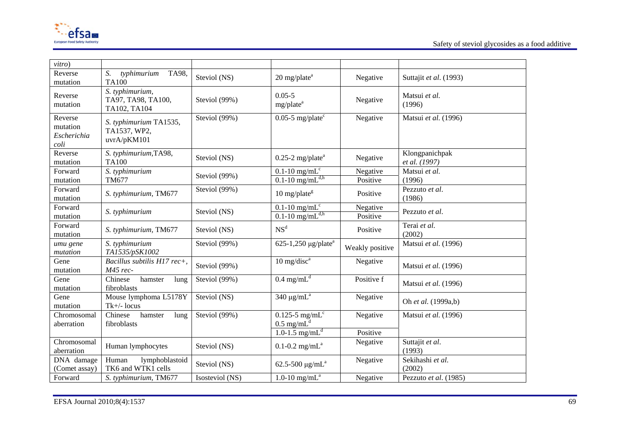

| vitro)                                     |                                                       |                 |                                                                 |                      |                                 |
|--------------------------------------------|-------------------------------------------------------|-----------------|-----------------------------------------------------------------|----------------------|---------------------------------|
| Reverse<br>mutation                        | TA98,<br>S.<br>typhimurium<br><b>TA100</b>            | Steviol (NS)    | $20$ mg/plate <sup>a</sup>                                      | Negative             | Suttajit et al. (1993)          |
| Reverse<br>mutation                        | S. typhimurium,<br>TA97, TA98, TA100,<br>TA102, TA104 | Steviol (99%)   | $0.05 - 5$<br>mg/plate <sup>a</sup>                             | Negative             | Matsui et al.<br>(1996)         |
| Reverse<br>mutation<br>Escherichia<br>coli | S. typhimurium TA1535,<br>TA1537, WP2,<br>uvrA/pKM101 | Steviol (99%)   | $0.05$ -5 mg/plate <sup>c</sup>                                 | Negative             | Matsui et al. (1996)            |
| Reverse<br>mutation                        | S. typhimurium, TA98,<br><b>TA100</b>                 | Steviol (NS)    | $0.25$ -2 mg/plate <sup>a</sup>                                 | Negative             | Klongpanichpak<br>et al. (1997) |
| Forward<br>mutation                        | S. typhimurium<br>TM677                               | Steviol (99%)   | $0.1 - 10$ mg/mL <sup>c</sup><br>$0.1$ -10 mg/mL <sup>d,h</sup> | Negative<br>Positive | Matsui et al.<br>(1996)         |
| Forward<br>mutation                        | S. typhimurium, TM677                                 | Steviol (99%)   | $10$ mg/plate <sup>g</sup>                                      | Positive             | Pezzuto et al.<br>(1986)        |
| Forward<br>mutation                        | S. typhimurium                                        | Steviol (NS)    | $0.1$ -10 mg/mL <sup>c</sup><br>$0.1$ -10 mg/mL <sup>d,h</sup>  | Negative<br>Positive | Pezzuto et al.                  |
| Forward<br>mutation                        | S. typhimurium, TM677                                 | Steviol (NS)    | NS <sup>d</sup>                                                 | Positive             | Terai et al.<br>(2002)          |
| umu gene<br>mutation                       | S. typhimurium<br>TA1535/pSK1002                      | Steviol (99%)   | 625-1,250 $\mu$ g/plate <sup>a</sup>                            | Weakly positive      | Matsui et al. (1996)            |
| Gene<br>mutation                           | Bacillus subtilis H17 rec+,<br>M45 rec-               | Steviol (99%)   | $10 \text{ mg/disc}^a$                                          | Negative             | Matsui et al. (1996)            |
| Gene<br>mutation                           | Chinese<br>hamster<br>lung<br>fibroblasts             | Steviol (99%)   | $0.4 \text{ mg/mL}^d$                                           | Positive f           | Matsui et al. (1996)            |
| Gene<br>mutation                           | Mouse lymphoma L5178Y<br>Tk+/- locus                  | Steviol (NS)    | 340 $\mu$ g/m $L^a$                                             | Negative             | Oh et al. (1999a,b)             |
| Chromosomal<br>aberration                  | Chinese<br>hamster<br>lung<br>fibroblasts             | Steviol (99%)   | $0.125$ -5 mg/mL <sup>c</sup><br>$0.5 \text{ mg/mL}^d$          | Negative             | Matsui et al. (1996)            |
|                                            |                                                       |                 | 1.0-1.5 $mg/mL$ <sup>d</sup>                                    | Positive             |                                 |
| Chromosomal<br>aberration                  | Human lymphocytes                                     | Steviol (NS)    | $0.1 - 0.2$ mg/mL <sup>a</sup>                                  | Negative             | Suttajit et al.<br>(1993)       |
| DNA damage<br>(Comet assay)                | lymphoblastoid<br>Human<br>TK6 and WTK1 cells         | Steviol (NS)    | 62.5-500 $\mu$ g/mL <sup>a</sup>                                | Negative             | Sekihashi et al.<br>(2002)      |
| Forward                                    | S. typhimurium, TM677                                 | Isosteviol (NS) | 1.0-10 $mg/mL^a$                                                | Negative             | Pezzuto et al. (1985)           |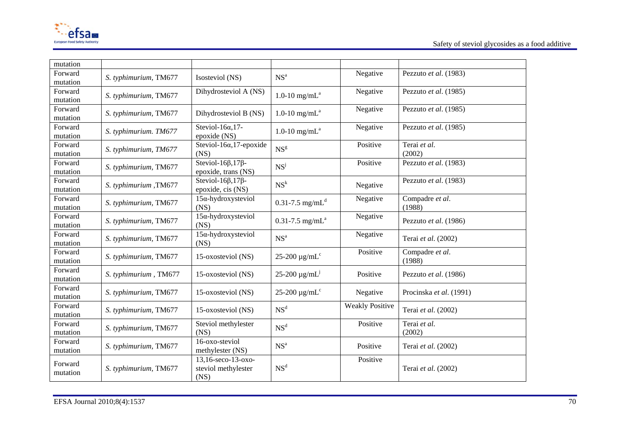

| mutation |                       |                                   |                                 |                        |                         |
|----------|-----------------------|-----------------------------------|---------------------------------|------------------------|-------------------------|
| Forward  |                       |                                   | NS <sup>a</sup>                 | Negative               | Pezzuto et al. (1983)   |
| mutation | S. typhimurium, TM677 | Isosteviol (NS)                   |                                 |                        |                         |
| Forward  |                       | Dihydrosteviol A (NS)             |                                 | Negative               | Pezzuto et al. (1985)   |
|          | S. typhimurium, TM677 |                                   | 1.0-10 $mg/mL^a$                |                        |                         |
| mutation |                       |                                   |                                 |                        |                         |
| Forward  | S. typhimurium, TM677 | Dihydrosteviol B (NS)             | 1.0-10 $mg/mL^a$                | Negative               | Pezzuto et al. (1985)   |
| mutation |                       |                                   |                                 |                        |                         |
| Forward  |                       | Steviol-16 $\alpha$ , 17-         |                                 | Negative               | Pezzuto et al. (1985)   |
|          | S. typhimurium. TM677 |                                   | 1.0-10 mg/m $L^a$               |                        |                         |
| mutation |                       | epoxide (NS)                      |                                 |                        |                         |
| Forward  | S. typhimurium, TM677 | Steviol-16 $\alpha$ , 17-epoxide  | NS <sup>g</sup>                 | Positive               | Terai et al.            |
| mutation |                       | (NS)                              |                                 |                        | (2002)                  |
| Forward  |                       | Steviol-16 $\beta$ , 17 $\beta$ - |                                 | Positive               | Pezzuto et al. (1983)   |
| mutation | S. typhimurium, TM677 | epoxide, trans (NS)               | NS <sup>j</sup>                 |                        |                         |
|          |                       |                                   |                                 |                        |                         |
| Forward  | S. typhimurium, TM677 | Steviol-16 $\beta$ , 17 $\beta$ - | NS <sup>k</sup>                 | Negative               | Pezzuto et al. (1983)   |
| mutation |                       | epoxide, cis (NS)                 |                                 |                        |                         |
| Forward  |                       | $15\alpha$ -hydroxysteviol        |                                 | Negative               | Compadre et al.         |
| mutation | S. typhimurium, TM677 | (NS)                              | $0.31 - 7.5$ mg/mL <sup>d</sup> |                        | (1988)                  |
|          |                       |                                   |                                 |                        |                         |
| Forward  | S. typhimurium, TM677 | $15\alpha$ -hydroxysteviol        | $0.31 - 7.5$ mg/mL <sup>a</sup> | Negative               | Pezzuto et al. (1986)   |
| mutation |                       | (NS)                              |                                 |                        |                         |
| Forward  |                       | $15\alpha$ -hydroxysteviol        |                                 | Negative               |                         |
| mutation | S. typhimurium, TM677 | (NS)                              | NS <sup>a</sup>                 |                        | Terai et al. (2002)     |
|          |                       |                                   |                                 | Positive               | Compadre et al.         |
| Forward  | S. typhimurium, TM677 | 15-oxosteviol (NS)                | 25-200 $\mu\text{g/mL}^c$       |                        |                         |
| mutation |                       |                                   |                                 |                        | (1988)                  |
| Forward  |                       |                                   |                                 |                        |                         |
| mutation | S. typhimurium, TM677 | 15-oxosteviol (NS)                | $25 - 200 \mu g/mL^{j}$         | Positive               | Pezzuto et al. (1986)   |
| Forward  |                       |                                   |                                 |                        |                         |
|          | S. typhimurium, TM677 | 15-oxosteviol (NS)                | $25-200 \mu g/mLc$              | Negative               | Procinska et al. (1991) |
| mutation |                       |                                   |                                 |                        |                         |
| Forward  |                       |                                   | NS <sup>d</sup>                 | <b>Weakly Positive</b> |                         |
| mutation | S. typhimurium, TM677 | 15-oxosteviol (NS)                |                                 |                        | Terai et al. (2002)     |
| Forward  |                       | Steviol methylester               |                                 | Positive               | Terai et al.            |
|          | S. typhimurium, TM677 |                                   | NS <sup>d</sup>                 |                        |                         |
| mutation |                       | (NS)                              |                                 |                        | (2002)                  |
| Forward  |                       | 16-oxo-steviol                    |                                 |                        |                         |
| mutation | S. typhimurium, TM677 | methylester (NS)                  | NS <sup>a</sup>                 | Positive               | Terai et al. (2002)     |
|          |                       | 13,16-seco-13-oxo-                |                                 | Positive               |                         |
| Forward  |                       |                                   | NS <sup>d</sup>                 |                        |                         |
| mutation | S. typhimurium, TM677 | steviol methylester               |                                 |                        | Terai et al. (2002)     |
|          |                       | (NS)                              |                                 |                        |                         |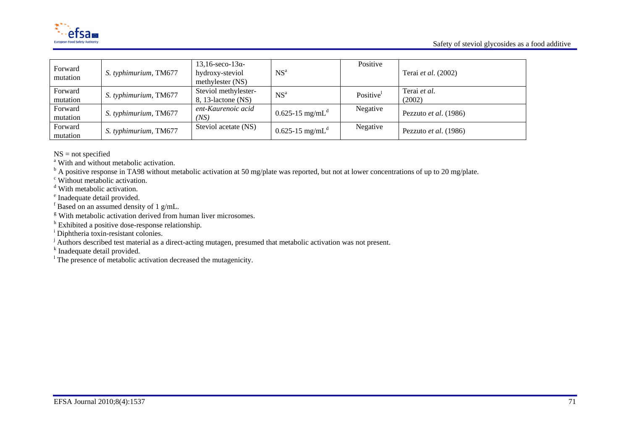



| Forward<br>mutation | S. typhimurium, TM677 | $13,16$ -seco- $13\alpha$ -<br>hydroxy-steviol<br>methylester (NS) | NS <sup>a</sup>                 | Positive | Terai <i>et al.</i> (2002)   |
|---------------------|-----------------------|--------------------------------------------------------------------|---------------------------------|----------|------------------------------|
| Forward<br>mutation | S. typhimurium, TM677 | Steviol methylester-<br>$8, 13$ -lactone (NS)                      | NS <sup>a</sup>                 | Positive | Terai et al.<br>(2002)       |
| Forward<br>mutation | S. typhimurium, TM677 | ent-Kaurenoic acid<br>(NS)                                         | $0.625 - 15$ mg/mL <sup>d</sup> | Negative | Pezzuto et al. (1986)        |
| Forward<br>mutation | S. typhimurium, TM677 | Steviol acetate (NS)                                               | $0.625 - 15$ mg/mL <sup>d</sup> | Negative | Pezzuto <i>et al.</i> (1986) |

NS = not specified

<sup>a</sup> With and without metabolic activation.<br><sup>b</sup> A positive response in TA98 without metabolic activation at 50 mg/plate was reported, but not at lower concentrations of up to 20 mg/plate.

c Without metabolic activation.

<sup>d</sup> With metabolic activation.

e Inadequate detail provided.

 $\frac{1}{f}$  Based on an assumed density of 1 g/mL.

<sup>g</sup> With metabolic activation derived from human liver microsomes.

h Exhibited a positive dose-response relationship.

<sup>i</sup> Diphtheria toxin-resistant colonies.

j Authors described test material as a direct-acting mutagen, presumed that metabolic activation was not present.

k Inadequate detail provided.

<sup>1</sup> The presence of metabolic activation decreased the mutagenicity.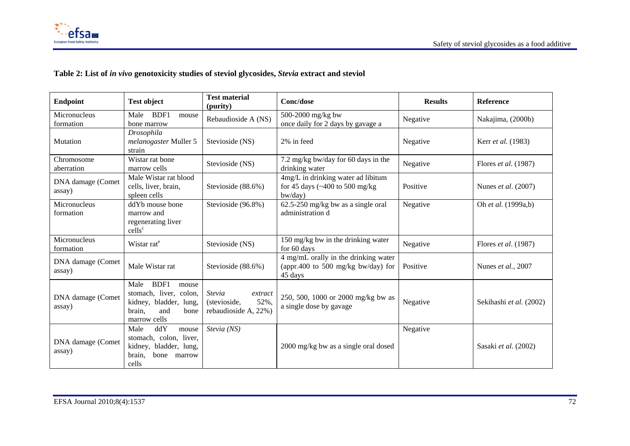

# **Table 2: List of** *in vivo* **genotoxicity studies of steviol glycosides,** *Stevia* **extract and steviol**

| <b>Endpoint</b>             | <b>Test object</b>                                                                                                 |                                                                   | Conc/dose                                                                                                               | <b>Results</b> | Reference               |
|-----------------------------|--------------------------------------------------------------------------------------------------------------------|-------------------------------------------------------------------|-------------------------------------------------------------------------------------------------------------------------|----------------|-------------------------|
| Micronucleus<br>formation   | BDF1<br>Male<br>mouse<br>bone marrow                                                                               | Rebaudioside A (NS)                                               | 500-2000 mg/kg bw<br>once daily for 2 days by gavage a                                                                  | Negative       | Nakajima, (2000b)       |
| Mutation                    | Drosophila<br>melanogaster Muller 5<br>strain                                                                      | Stevioside (NS)                                                   | 2% in feed                                                                                                              | Negative       | Kerr et al. (1983)      |
| Chromosome<br>aberration    | Wistar rat bone<br>marrow cells                                                                                    | Stevioside (NS)                                                   | 7.2 mg/kg bw/day for 60 days in the<br>drinking water                                                                   | Negative       | Flores et al. (1987)    |
| DNA damage (Comet<br>assay) | Male Wistar rat blood<br>cells, liver, brain,<br>spleen cells                                                      | Stevioside (88.6%)                                                | 4mg/L in drinking water ad libitum<br>for 45 days $\left(\frac{400 \text{ to } 500 \text{ mg/kg}}{2}\right)$<br>bw/day) | Positive       | Nunes et al. (2007)     |
| Micronucleus<br>formation   | ddYb mouse bone<br>marrow and<br>regenerating liver<br>cells <sup>c</sup>                                          | Stevioside (96.8%)                                                | $62.5 - 250$ mg/kg bw as a single oral<br>administration d                                                              | Negative       | Oh et al. (1999a,b)     |
| Micronucleus<br>formation   | Wistar rat <sup>e</sup>                                                                                            | Stevioside (NS)                                                   | 150 mg/kg bw in the drinking water<br>for 60 days                                                                       | Negative       | Flores et al. (1987)    |
| DNA damage (Comet<br>assay) | Male Wistar rat                                                                                                    | Stevioside (88.6%)                                                | 4 mg/mL orally in the drinking water<br>(appr.400 to 500 mg/kg bw/day) for<br>45 days                                   | Positive       | Nunes et al., 2007      |
| DNA damage (Comet<br>assay) | BDF1<br>Male<br>mouse<br>stomach, liver, colon,<br>kidney, bladder, lung,<br>brain,<br>and<br>bone<br>marrow cells | Stevia<br>extract<br>52%,<br>(stevioside,<br>rebaudioside A, 22%) | 250, 500, 1000 or 2000 mg/kg bw as<br>a single dose by gavage                                                           | Negative       | Sekihashi et al. (2002) |
| DNA damage (Comet<br>assay) | Male<br>ddY<br>mouse<br>stomach, colon, liver,<br>kidney, bladder, lung,<br>brain,<br>bone<br>marrow<br>cells      | Stevia (NS)                                                       | 2000 mg/kg bw as a single oral dosed                                                                                    | Negative       | Sasaki et al. (2002)    |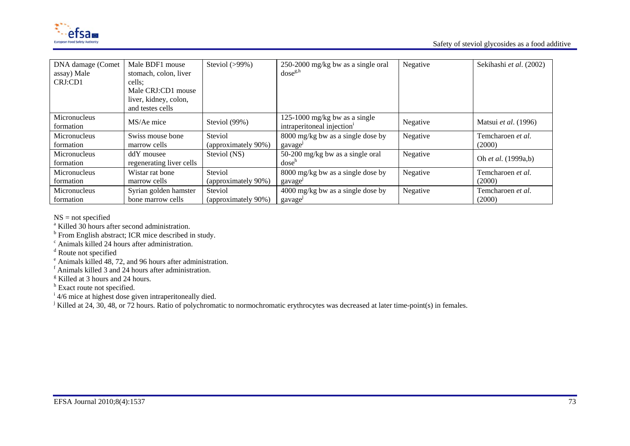

| DNA damage (Comet<br>assay) Male<br>CRJ:CD1 | Male BDF1 mouse<br>stomach, colon, liver<br>cells:<br>Male CRJ:CD1 mouse<br>liver, kidney, colon,<br>and testes cells | Steviol $(>99\%)$   | 250-2000 mg/kg bw as a single oral<br>$dose^{g,h}$                      | Negative | Sekihashi et al. (2002) |
|---------------------------------------------|-----------------------------------------------------------------------------------------------------------------------|---------------------|-------------------------------------------------------------------------|----------|-------------------------|
| Micronucleus<br>formation                   | MS/Ae mice                                                                                                            | Steviol (99%)       | 125-1000 mg/kg bw as a single<br>intraperitoneal injection <sup>1</sup> | Negative | Matsui et al. (1996)    |
| Micronucleus                                | Swiss mouse bone                                                                                                      | Steviol             | 8000 mg/kg bw as a single dose by                                       | Negative | Temcharoen et al.       |
| formation                                   | marrow cells                                                                                                          | (approximately 90%) | gavage                                                                  |          | (2000)                  |
| Micronucleus<br>formation                   | ddY mousee<br>regenerating liver cells                                                                                | Steviol (NS)        | $50-200$ mg/kg bw as a single oral<br>dose <sup>n</sup>                 | Negative | Oh et al. (1999a,b)     |
| Micronucleus                                | Wistar rat bone                                                                                                       | Steviol             | 8000 mg/kg bw as a single dose by                                       | Negative | Temcharoen et al.       |
| formation                                   | marrow cells                                                                                                          | (approximately 90%) | gavage                                                                  |          | (2000)                  |
| Micronucleus                                | Syrian golden hamster                                                                                                 | Steviol             | $4000 \text{ mg/kg}$ bw as a single dose by                             | Negative | Temcharoen et al.       |
| formation                                   | bone marrow cells                                                                                                     | (approximately 90%) | gavage                                                                  |          | (2000)                  |

NS = not specified

<sup>a</sup> Killed 30 hours after second administration.

b From English abstract; ICR mice described in study.

 $\alpha$ <sup>d</sup> Route not specified<br>d Route not specified

e Animals killed 48, 72, and 96 hours after administration.

f Animals killed 3 and 24 hours after administration.

<sup>g</sup> Killed at 3 hours and 24 hours.

<sup>h</sup> Exact route not specified.

 $\frac{1}{4}$  4/6 mice at highest dose given intraperitoneally died.

<sup>j</sup> Killed at 24, 30, 48, or 72 hours. Ratio of polychromatic to normochromatic erythrocytes was decreased at later time-point(s) in females.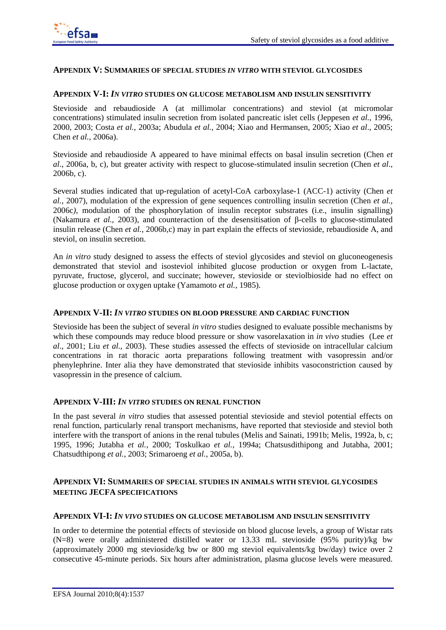

#### **APPENDIX V: SUMMARIES OF SPECIAL STUDIES** *IN VITRO* **WITH STEVIOL GLYCOSIDES**

#### **APPENDIX V-I:** *IN VITRO* **STUDIES ON GLUCOSE METABOLISM AND INSULIN SENSITIVITY**

Stevioside and rebaudioside A (at millimolar concentrations) and steviol (at micromolar concentrations) stimulated insulin secretion from isolated pancreatic islet cells (Jeppesen *et al.*, 1996, 2000, 2003; Costa *et al.*, 2003a; Abudula *et al.*, 2004; Xiao and Hermansen, 2005; Xiao *et al*., 2005; Chen *et al.*, 2006a).

Stevioside and rebaudioside A appeared to have minimal effects on basal insulin secretion (Chen *et al*., 2006a, b, c), but greater activity with respect to glucose-stimulated insulin secretion (Chen *et al*., 2006b, c).

Several studies indicated that up-regulation of acetyl-CoA carboxylase-1 (ACC-1) activity (Chen *et al.*, 2007), modulation of the expression of gene sequences controlling insulin secretion (Chen *et al.*, 2006c*)*, modulation of the phosphorylation of insulin receptor substrates (i.e*.*, insulin signalling) (Nakamura *et al.*, 2003), and counteraction of the desensitisation of β-cells to glucose-stimulated insulin release (Chen *et al.*, 2006b,c) may in part explain the effects of stevioside, rebaudioside A, and steviol, on insulin secretion.

An *in vitro* study designed to assess the effects of steviol glycosides and steviol on gluconeogenesis demonstrated that steviol and isosteviol inhibited glucose production or oxygen from L-lactate, pyruvate, fructose, glycerol, and succinate; however, stevioside or steviolbioside had no effect on glucose production or oxygen uptake (Yamamoto *et al.*, 1985).

#### **APPENDIX V-II:** *IN VITRO* **STUDIES ON BLOOD PRESSURE AND CARDIAC FUNCTION**

Stevioside has been the subject of several *in vitro* studies designed to evaluate possible mechanisms by which these compounds may reduce blood pressure or show vasorelaxation in *in vivo* studies (Lee *et al*., 2001; Liu *et al.*, 2003). These studies assessed the effects of stevioside on intracellular calcium concentrations in rat thoracic aorta preparations following treatment with vasopressin and/or phenylephrine. Inter alia they have demonstrated that stevioside inhibits vasoconstriction caused by vasopressin in the presence of calcium.

#### **APPENDIX V-III:** *IN VITRO* **STUDIES ON RENAL FUNCTION**

In the past several *in vitro* studies that assessed potential stevioside and steviol potential effects on renal function, particularly renal transport mechanisms, have reported that stevioside and steviol both interfere with the transport of anions in the renal tubules (Melis and Sainati, 1991b; Melis, 1992a, b, c; 1995, 1996; Jutabha *et al.*, 2000; Toskulkao *et al.*, 1994a; Chatsusdithipong and Jutabha, 2001; Chatsudthipong *et al.*, 2003; Srimaroeng *et al.*, 2005a, b).

### **APPENDIX VI: SUMMARIES OF SPECIAL STUDIES IN ANIMALS WITH STEVIOL GLYCOSIDES MEETING JECFA SPECIFICATIONS**

#### **APPENDIX VI-I:** *IN VIVO* **STUDIES ON GLUCOSE METABOLISM AND INSULIN SENSITIVITY**

In order to determine the potential effects of stevioside on blood glucose levels, a group of Wistar rats (N=8) were orally administered distilled water or 13.33 mL stevioside (95% purity)/kg bw (approximately 2000 mg stevioside/kg bw or 800 mg steviol equivalents/kg bw/day) twice over 2 consecutive 45-minute periods. Six hours after administration, plasma glucose levels were measured.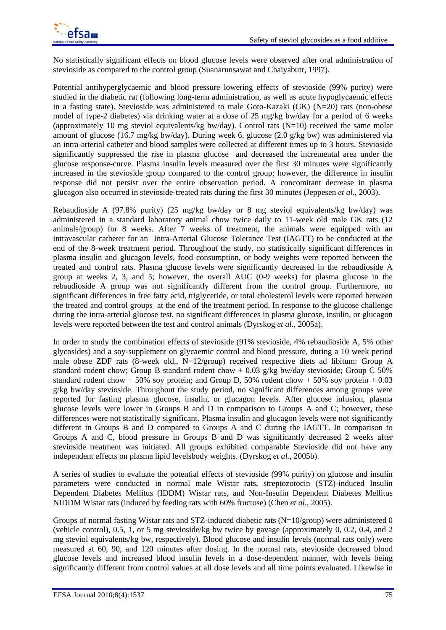

No statistically significant effects on blood glucose levels were observed after oral administration of stevioside as compared to the control group (Suanarunsawat and Chaiyabutr, 1997).

Potential antihyperglycaemic and blood pressure lowering effects of stevioside (99% purity) were studied in the diabetic rat (following long-term administration, as well as acute hypoglycaemic effects in a fasting state). Stevioside was administered to male Goto-Kazaki (GK) (N=20) rats (non-obese model of type-2 diabetes) via drinking water at a dose of 25 mg/kg bw/day for a period of 6 weeks (approximately 10 mg steviol equivalents/kg bw/day). Control rats  $(N=10)$  received the same molar amount of glucose (16.7 mg/kg bw/day). During week 6, glucose (2.0 g/kg bw) was administered via an intra-arterial catheter and blood samples were collected at different times up to 3 hours. Stevioside significantly suppressed the rise in plasma glucose and decreased the incremental area under the glucose response-curve. Plasma insulin levels measured over the first 30 minutes were significantly increased in the stevioside group compared to the control group; however, the difference in insulin response did not persist over the entire observation period. A concomitant decrease in plasma glucagon also occurred in stevioside-treated rats during the first 30 minutes (Jeppesen *et al.*, 2003).

Rebaudioside A (97.8% purity) (25 mg/kg bw/day or 8 mg steviol equivalents/kg bw/day) was administered in a standard laboratory animal chow twice daily to 11-week old male GK rats (12 animals/group) for 8 weeks. After 7 weeks of treatment, the animals were equipped with an intravascular catheter for an Intra-Arterial Glucose Tolerance Test (IAGTT) to be conducted at the end of the 8-week treatment period. Throughout the study, no statistically significant differences in plasma insulin and glucagon levels, food consumption, or body weights were reported between the treated and control rats. Plasma glucose levels were significantly decreased in the rebaudioside A group at weeks 2, 3, and 5; however, the overall AUC (0-9 weeks) for plasma glucose in the rebaudioside A group was not significantly different from the control group. Furthermore, no significant differences in free fatty acid, triglyceride, or total cholesterol levels were reported between the treated and control groups at the end of the treatment period. In response to the glucose challenge during the intra-arterial glucose test, no significant differences in plasma glucose, insulin, or glucagon levels were reported between the test and control animals (Dyrskog *et al.*, 2005a).

In order to study the combination effects of stevioside (91% stevioside, 4% rebaudioside A, 5% other glycosides) and a soy-supplement on glycaemic control and blood pressure, during a 10 week period male obese ZDF rats  $(8$ -week old,, N=12/group) received respective diets ad libitum: Group A standard rodent chow; Group B standard rodent chow  $+ 0.03$  g/kg bw/day stevioside; Group C 50% standard rodent chow + 50% soy protein; and Group D, 50% rodent chow + 50% soy protein + 0.03 g/kg bw/day stevioside. Throughout the study period, no significant differences among groups were reported for fasting plasma glucose, insulin, or glucagon levels. After glucose infusion, plasma glucose levels were lower in Groups B and D in comparison to Groups A and C; however, these differences were not statistically significant. Plasma insulin and glucagon levels were not significantly different in Groups B and D compared to Groups A and C during the IAGTT. In comparison to Groups A and C, blood pressure in Groups B and D was significantly decreased 2 weeks after stevioside treatment was initiated. All groups exhibited comparable Stevioside did not have any independent effects on plasma lipid levelsbody weights. (Dyrskog *et al.*, 2005b).

A series of studies to evaluate the potential effects of stevioside (99% purity) on glucose and insulin parameters were conducted in normal male Wistar rats, streptozotocin (STZ)-induced Insulin Dependent Diabetes Mellitus (IDDM) Wistar rats, and Non-Insulin Dependent Diabetes Mellitus NIDDM Wistar rats (induced by feeding rats with 60% fructose) (Chen *et al.*, 2005).

Groups of normal fasting Wistar rats and STZ-induced diabetic rats (N=10/group) were administered 0 (vehicle control), 0.5, 1, or 5 mg stevioside/kg bw twice by gavage (approximately 0, 0.2, 0.4, and 2 mg steviol equivalents/kg bw, respectively). Blood glucose and insulin levels (normal rats only) were measured at 60, 90, and 120 minutes after dosing. In the normal rats, stevioside decreased blood glucose levels and increased blood insulin levels in a dose-dependent manner, with levels being significantly different from control values at all dose levels and all time points evaluated. Likewise in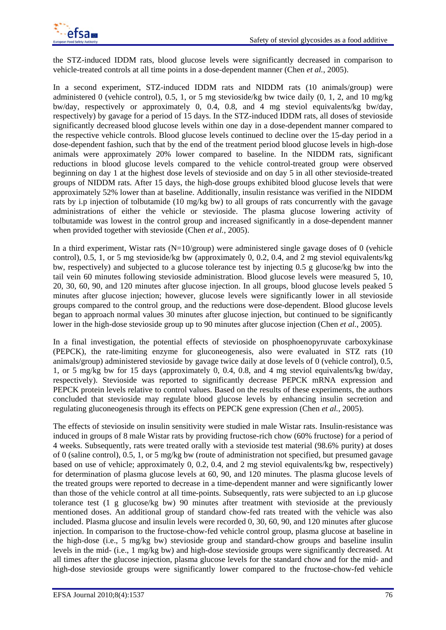

the STZ-induced IDDM rats, blood glucose levels were significantly decreased in comparison to vehicle-treated controls at all time points in a dose-dependent manner (Chen *et al.*, 2005).

In a second experiment, STZ-induced IDDM rats and NIDDM rats (10 animals/group) were administered 0 (vehicle control), 0.5, 1, or 5 mg stevioside/kg bw twice daily (0, 1, 2, and 10 mg/kg bw/day, respectively or approximately 0, 0.4, 0.8, and 4 mg steviol equivalents/kg bw/day, respectively) by gavage for a period of 15 days. In the STZ-induced IDDM rats, all doses of stevioside significantly decreased blood glucose levels within one day in a dose-dependent manner compared to the respective vehicle controls. Blood glucose levels continued to decline over the 15-day period in a dose-dependent fashion, such that by the end of the treatment period blood glucose levels in high-dose animals were approximately 20% lower compared to baseline. In the NIDDM rats, significant reductions in blood glucose levels compared to the vehicle control-treated group were observed beginning on day 1 at the highest dose levels of stevioside and on day 5 in all other stevioside-treated groups of NIDDM rats. After 15 days, the high-dose groups exhibited blood glucose levels that were approximately 52% lower than at baseline. Additionally, insulin resistance was verified in the NIDDM rats by i.p injection of tolbutamide (10 mg/kg bw) to all groups of rats concurrently with the gavage administrations of either the vehicle or stevioside. The plasma glucose lowering activity of tolbutamide was lowest in the control group and increased significantly in a dose-dependent manner when provided together with stevioside (Chen *et al.*, 2005).

In a third experiment, Wistar rats (N=10/group) were administered single gavage doses of 0 (vehicle control), 0.5, 1, or 5 mg stevioside/kg bw (approximately 0, 0.2, 0.4, and 2 mg steviol equivalents/kg bw, respectively) and subjected to a glucose tolerance test by injecting 0.5 g glucose/kg bw into the tail vein 60 minutes following stevioside administration. Blood glucose levels were measured 5, 10, 20, 30, 60, 90, and 120 minutes after glucose injection. In all groups, blood glucose levels peaked 5 minutes after glucose injection; however, glucose levels were significantly lower in all stevioside groups compared to the control group, and the reductions were dose-dependent. Blood glucose levels began to approach normal values 30 minutes after glucose injection, but continued to be significantly lower in the high-dose stevioside group up to 90 minutes after glucose injection (Chen *et al.*, 2005).

In a final investigation, the potential effects of stevioside on phosphoenopyruvate carboxykinase (PEPCK), the rate-limiting enzyme for gluconeogenesis, also were evaluated in STZ rats (10 animals/group) administered stevioside by gavage twice daily at dose levels of 0 (vehicle control), 0.5, 1, or 5 mg/kg bw for 15 days (approximately 0, 0.4, 0.8, and 4 mg steviol equivalents/kg bw/day, respectively). Stevioside was reported to significantly decrease PEPCK mRNA expression and PEPCK protein levels relative to control values. Based on the results of these experiments, the authors concluded that stevioside may regulate blood glucose levels by enhancing insulin secretion and regulating gluconeogenesis through its effects on PEPCK gene expression (Chen *et al.*, 2005).

The effects of stevioside on insulin sensitivity were studied in male Wistar rats. Insulin-resistance was induced in groups of 8 male Wistar rats by providing fructose-rich chow (60% fructose) for a period of 4 weeks. Subsequently, rats were treated orally with a stevioside test material (98.6% purity) at doses of 0 (saline control), 0.5, 1, or 5 mg/kg bw (route of administration not specified, but presumed gavage based on use of vehicle; approximately 0, 0.2, 0.4, and 2 mg steviol equivalents/kg bw, respectively) for determination of plasma glucose levels at 60, 90, and 120 minutes. The plasma glucose levels of the treated groups were reported to decrease in a time-dependent manner and were significantly lower than those of the vehicle control at all time-points. Subsequently, rats were subjected to an i.p glucose tolerance test (1 g glucose/kg bw) 90 minutes after treatment with stevioside at the previously mentioned doses. An additional group of standard chow-fed rats treated with the vehicle was also included. Plasma glucose and insulin levels were recorded 0, 30, 60, 90, and 120 minutes after glucose injection. In comparison to the fructose-chow-fed vehicle control group, plasma glucose at baseline in the high-dose (i.e., 5 mg/kg bw) stevioside group and standard-chow groups and baseline insulin levels in the mid- (i.e., 1 mg/kg bw) and high-dose stevioside groups were significantly decreased. At all times after the glucose injection, plasma glucose levels for the standard chow and for the mid- and high-dose stevioside groups were significantly lower compared to the fructose-chow-fed vehicle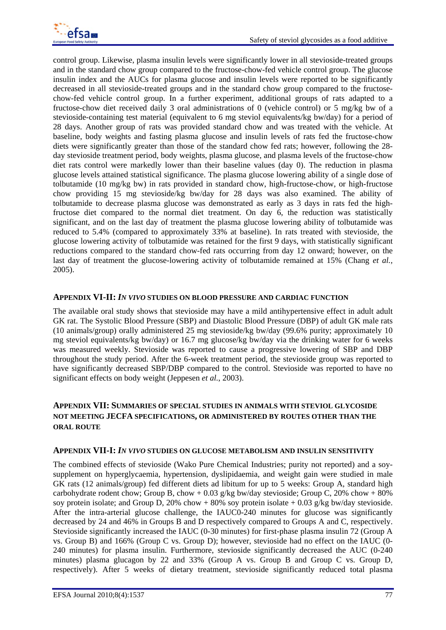

control group. Likewise, plasma insulin levels were significantly lower in all stevioside-treated groups and in the standard chow group compared to the fructose-chow-fed vehicle control group. The glucose insulin index and the AUCs for plasma glucose and insulin levels were reported to be significantly decreased in all stevioside-treated groups and in the standard chow group compared to the fructosechow-fed vehicle control group. In a further experiment, additional groups of rats adapted to a fructose-chow diet received daily 3 oral administrations of 0 (vehicle control) or 5 mg/kg bw of a stevioside-containing test material (equivalent to 6 mg steviol equivalents/kg bw/day) for a period of 28 days. Another group of rats was provided standard chow and was treated with the vehicle. At baseline, body weights and fasting plasma glucose and insulin levels of rats fed the fructose-chow diets were significantly greater than those of the standard chow fed rats; however, following the 28 day stevioside treatment period, body weights, plasma glucose, and plasma levels of the fructose-chow diet rats control were markedly lower than their baseline values (day 0). The reduction in plasma glucose levels attained statistical significance. The plasma glucose lowering ability of a single dose of tolbutamide (10 mg/kg bw) in rats provided in standard chow, high-fructose-chow, or high-fructose chow providing 15 mg stevioside/kg bw/day for 28 days was also examined. The ability of tolbutamide to decrease plasma glucose was demonstrated as early as 3 days in rats fed the highfructose diet compared to the normal diet treatment. On day 6, the reduction was statistically significant, and on the last day of treatment the plasma glucose lowering ability of tolbutamide was reduced to 5.4% (compared to approximately 33% at baseline). In rats treated with stevioside, the glucose lowering activity of tolbutamide was retained for the first 9 days, with statistically significant reductions compared to the standard chow-fed rats occurring from day 12 onward; however, on the last day of treatment the glucose-lowering activity of tolbutamide remained at 15% (Chang *et al.,* 2005).

### **APPENDIX VI-II:** *IN VIVO* **STUDIES ON BLOOD PRESSURE AND CARDIAC FUNCTION**

The available oral study shows that stevioside may have a mild antihypertensive effect in adult adult GK rat. The Systolic Blood Pressure (SBP) and Diastolic Blood Pressure (DBP) of adult GK male rats (10 animals/group) orally administered 25 mg stevioside/kg bw/day (99.6% purity; approximately 10 mg steviol equivalents/kg bw/day) or 16.7 mg glucose/kg bw/day via the drinking water for 6 weeks was measured weekly. Stevioside was reported to cause a progressive lowering of SBP and DBP throughout the study period. After the 6-week treatment period, the stevioside group was reported to have significantly decreased SBP/DBP compared to the control. Stevioside was reported to have no significant effects on body weight (Jeppesen *et al.*, 2003).

## **APPENDIX VII: SUMMARIES OF SPECIAL STUDIES IN ANIMALS WITH STEVIOL GLYCOSIDE NOT MEETING JECFA SPECIFICATIONS, OR ADMINISTERED BY ROUTES OTHER THAN THE ORAL ROUTE**

### **APPENDIX VII-I:** *IN VIVO* **STUDIES ON GLUCOSE METABOLISM AND INSULIN SENSITIVITY**

The combined effects of stevioside (Wako Pure Chemical Industries; purity not reported) and a soysupplement on hyperglycaemia, hypertension, dyslipidaemia, and weight gain were studied in male GK rats (12 animals/group) fed different diets ad libitum for up to 5 weeks: Group A, standard high carbohydrate rodent chow; Group B, chow  $+0.03$  g/kg bw/day stevioside; Group C, 20% chow  $+80\%$ soy protein isolate; and Group D, 20% chow + 80% soy protein isolate + 0.03 g/kg bw/day stevioside. After the intra-arterial glucose challenge, the IAUC0-240 minutes for glucose was significantly decreased by 24 and 46% in Groups B and D respectively compared to Groups A and C, respectively. Stevioside significantly increased the IAUC (0-30 minutes) for first-phase plasma insulin 72 (Group A vs. Group B) and 166% (Group C vs. Group D); however, stevioside had no effect on the IAUC (0- 240 minutes) for plasma insulin. Furthermore, stevioside significantly decreased the AUC (0-240 minutes) plasma glucagon by 22 and 33% (Group A vs. Group B and Group C vs. Group D, respectively). After 5 weeks of dietary treatment, stevioside significantly reduced total plasma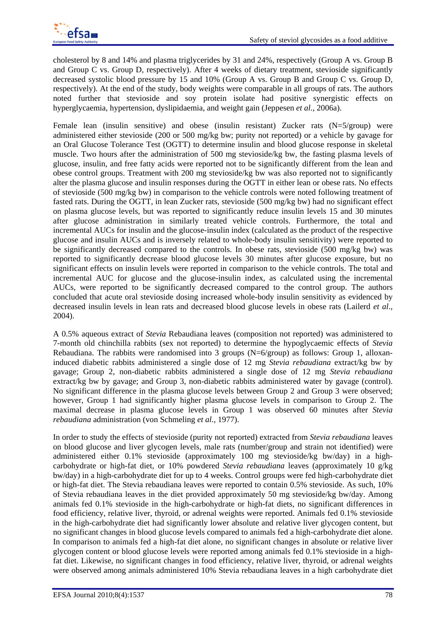cholesterol by 8 and 14% and plasma triglycerides by 31 and 24%, respectively (Group A vs. Group B and Group C vs. Group D, respectively). After 4 weeks of dietary treatment, stevioside significantly decreased systolic blood pressure by 15 and 10% (Group A vs. Group B and Group C vs. Group D, respectively). At the end of the study, body weights were comparable in all groups of rats. The authors noted further that stevioside and soy protein isolate had positive synergistic effects on hyperglycaemia, hypertension, dyslipidaemia, and weight gain (Jeppesen *et al.*, 2006a).

Female lean (insulin sensitive) and obese (insulin resistant) Zucker rats (N=5/group) were administered either stevioside (200 or 500 mg/kg bw; purity not reported) or a vehicle by gavage for an Oral Glucose Tolerance Test (OGTT) to determine insulin and blood glucose response in skeletal muscle. Two hours after the administration of 500 mg stevioside/kg bw, the fasting plasma levels of glucose, insulin, and free fatty acids were reported not to be significantly different from the lean and obese control groups. Treatment with 200 mg stevioside/kg bw was also reported not to significantly alter the plasma glucose and insulin responses during the OGTT in either lean or obese rats. No effects of stevioside (500 mg/kg bw) in comparison to the vehicle controls were noted following treatment of fasted rats. During the OGTT, in lean Zucker rats, stevioside (500 mg/kg bw) had no significant effect on plasma glucose levels, but was reported to significantly reduce insulin levels 15 and 30 minutes after glucose administration in similarly treated vehicle controls. Furthermore, the total and incremental AUCs for insulin and the glucose-insulin index (calculated as the product of the respective glucose and insulin AUCs and is inversely related to whole-body insulin sensitivity) were reported to be significantly decreased compared to the controls. In obese rats, stevioside (500 mg/kg bw) was reported to significantly decrease blood glucose levels 30 minutes after glucose exposure, but no significant effects on insulin levels were reported in comparison to the vehicle controls. The total and incremental AUC for glucose and the glucose-insulin index, as calculated using the incremental AUCs, were reported to be significantly decreased compared to the control group. The authors concluded that acute oral stevioside dosing increased whole-body insulin sensitivity as evidenced by decreased insulin levels in lean rats and decreased blood glucose levels in obese rats (Lailerd *et al*., 2004).

A 0.5% aqueous extract of *Stevia* Rebaudiana leaves (composition not reported) was administered to 7-month old chinchilla rabbits (sex not reported) to determine the hypoglycaemic effects of *Stevia* Rebaudiana. The rabbits were randomised into 3 groups (N=6/group) as follows: Group 1, alloxaninduced diabetic rabbits administered a single dose of 12 mg *Stevia rebaudiana* extract/kg bw by gavage; Group 2, non-diabetic rabbits administered a single dose of 12 mg *Stevia rebaudiana* extract/kg bw by gavage; and Group 3, non-diabetic rabbits administered water by gavage (control). No significant difference in the plasma glucose levels between Group 2 and Group 3 were observed; however, Group 1 had significantly higher plasma glucose levels in comparison to Group 2. The maximal decrease in plasma glucose levels in Group 1 was observed 60 minutes after *Stevia rebaudiana* administration (von Schmeling *et al.*, 1977).

In order to study the effects of stevioside (purity not reported) extracted from *Stevia rebaudiana* leaves on blood glucose and liver glycogen levels, male rats (number/group and strain not identified) were administered either 0.1% stevioside (approximately 100 mg stevioside/kg bw/day) in a highcarbohydrate or high-fat diet, or 10% powdered *Stevia rebaudiana* leaves (approximately 10 g/kg bw/day) in a high-carbohydrate diet for up to 4 weeks. Control groups were fed high-carbohydrate diet or high-fat diet. The Stevia rebaudiana leaves were reported to contain 0.5% stevioside. As such, 10% of Stevia rebaudiana leaves in the diet provided approximately 50 mg stevioside/kg bw/day. Among animals fed 0.1% stevioside in the high-carbohydrate or high-fat diets, no significant differences in food efficiency, relative liver, thyroid, or adrenal weights were reported. Animals fed 0.1% stevioside in the high-carbohydrate diet had significantly lower absolute and relative liver glycogen content, but no significant changes in blood glucose levels compared to animals fed a high-carbohydrate diet alone. In comparison to animals fed a high-fat diet alone, no significant changes in absolute or relative liver glycogen content or blood glucose levels were reported among animals fed 0.1% stevioside in a highfat diet. Likewise, no significant changes in food efficiency, relative liver, thyroid, or adrenal weights were observed among animals administered 10% Stevia rebaudiana leaves in a high carbohydrate diet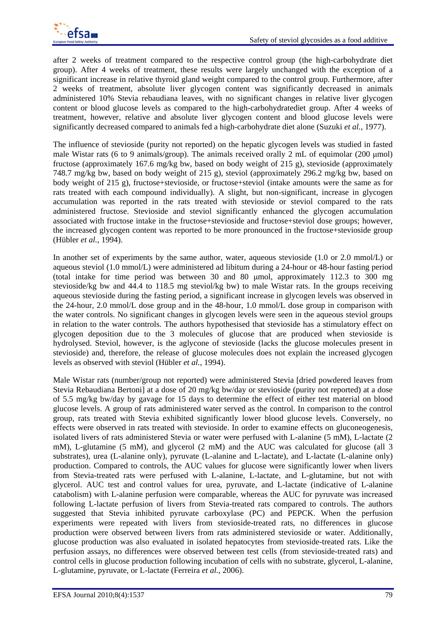after 2 weeks of treatment compared to the respective control group (the high-carbohydrate diet group). After 4 weeks of treatment, these results were largely unchanged with the exception of a significant increase in relative thyroid gland weight compared to the control group. Furthermore, after 2 weeks of treatment, absolute liver glycogen content was significantly decreased in animals administered 10% Stevia rebaudiana leaves, with no significant changes in relative liver glycogen content or blood glucose levels as compared to the high-carbohydratediet group. After 4 weeks of treatment, however, relative and absolute liver glycogen content and blood glucose levels were significantly decreased compared to animals fed a high-carbohydrate diet alone (Suzuki *et al.*, 1977).

The influence of stevioside (purity not reported) on the hepatic glycogen levels was studied in fasted male Wistar rats (6 to 9 animals/group). The animals received orally 2 mL of equimolar (200 μmol) fructose (approximately 167.6 mg/kg bw, based on body weight of 215 g), stevioside (approximately 748.7 mg/kg bw, based on body weight of 215 g), steviol (approximately 296.2 mg/kg bw, based on body weight of 215 g), fructose+stevioside, or fructose+steviol (intake amounts were the same as for rats treated with each compound individually). A slight, but non-significant, increase in glycogen accumulation was reported in the rats treated with stevioside or steviol compared to the rats administered fructose. Stevioside and steviol significantly enhanced the glycogen accumulation associated with fructose intake in the fructose+stevioside and fructose+steviol dose groups; however, the increased glycogen content was reported to be more pronounced in the fructose+stevioside group (Hübler *et al.*, 1994).

In another set of experiments by the same author, water, aqueous stevioside (1.0 or 2.0 mmol/L) or aqueous steviol (1.0 mmol/L) were administered ad libitum during a 24-hour or 48-hour fasting period (total intake for time period was between 30 and 80 μmol, approximately 112.3 to 300 mg stevioside/kg bw and 44.4 to 118.5 mg steviol/kg bw) to male Wistar rats. In the groups receiving aqueous stevioside during the fasting period, a significant increase in glycogen levels was observed in the 24-hour, 2.0 mmol/L dose group and in the 48-hour, 1.0 mmol/L dose group in comparison with the water controls. No significant changes in glycogen levels were seen in the aqueous steviol groups in relation to the water controls. The authors hypothesised that stevioside has a stimulatory effect on glycogen deposition due to the 3 molecules of glucose that are produced when stevioside is hydrolysed. Steviol, however, is the aglycone of stevioside (lacks the glucose molecules present in stevioside) and, therefore, the release of glucose molecules does not explain the increased glycogen levels as observed with steviol (Hübler *et al.*, 1994).

Male Wistar rats (number/group not reported) were administered Stevia [dried powdered leaves from Stevia Rebaudiana Bertoni] at a dose of 20 mg/kg bw/day or stevioside (purity not reported) at a dose of 5.5 mg/kg bw/day by gavage for 15 days to determine the effect of either test material on blood glucose levels. A group of rats administered water served as the control. In comparison to the control group, rats treated with Stevia exhibited significantly lower blood glucose levels. Conversely, no effects were observed in rats treated with stevioside. In order to examine effects on gluconeogenesis, isolated livers of rats administered Stevia or water were perfused with L-alanine (5 mM), L-lactate (2 mM), L-glutamine (5 mM), and glycerol (2 mM) and the AUC was calculated for glucose (all 3 substrates), urea (L-alanine only), pyruvate (L-alanine and L-lactate), and L-lactate (L-alanine only) production. Compared to controls, the AUC values for glucose were significantly lower when livers from Stevia-treated rats were perfused with L-alanine, L-lactate, and L-glutamine, but not with glycerol. AUC test and control values for urea, pyruvate, and L-lactate (indicative of L-alanine catabolism) with L-alanine perfusion were comparable, whereas the AUC for pyruvate was increased following L-lactate perfusion of livers from Stevia-treated rats compared to controls. The authors suggested that Stevia inhibited pyruvate carboxylase (PC) and PEPCK. When the perfusion experiments were repeated with livers from stevioside-treated rats, no differences in glucose production were observed between livers from rats administered stevioside or water. Additionally, glucose production was also evaluated in isolated hepatocytes from stevioside-treated rats. Like the perfusion assays, no differences were observed between test cells (from stevioside-treated rats) and control cells in glucose production following incubation of cells with no substrate, glycerol, L-alanine, L-glutamine, pyruvate, or L-lactate (Ferreira *et al.*, 2006).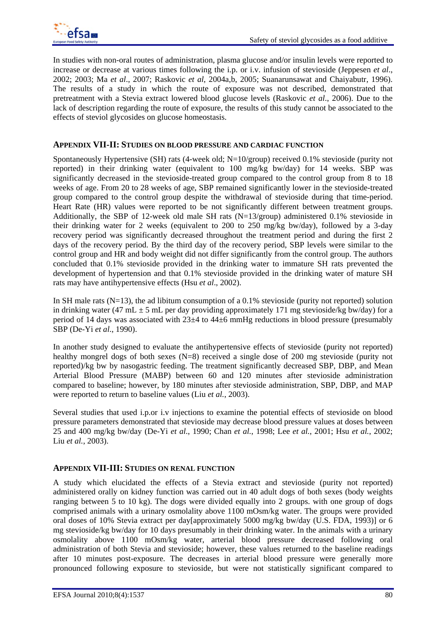

In studies with non-oral routes of administration, plasma glucose and/or insulin levels were reported to increase or decrease at various times following the i.p. or i.v. infusion of stevioside (Jeppesen *et al*., 2002; 2003; Ma *et al*., 2007; Raskovic *et al*, 2004a,b, 2005; Suanarunsawat and Chaiyabutr, 1996). The results of a study in which the route of exposure was not described, demonstrated that pretreatment with a Stevia extract lowered blood glucose levels (Raskovic *et al*., 2006). Due to the lack of description regarding the route of exposure, the results of this study cannot be associated to the effects of steviol glycosides on glucose homeostasis.

### **APPENDIX VII-II: STUDIES ON BLOOD PRESSURE AND CARDIAC FUNCTION**

Spontaneously Hypertensive (SH) rats (4-week old; N=10/group) received 0.1% stevioside (purity not reported) in their drinking water (equivalent to 100 mg/kg bw/day) for 14 weeks. SBP was significantly decreased in the stevioside-treated group compared to the control group from 8 to 18 weeks of age. From 20 to 28 weeks of age, SBP remained significantly lower in the stevioside-treated group compared to the control group despite the withdrawal of stevioside during that time-period. Heart Rate (HR) values were reported to be not significantly different between treatment groups. Additionally, the SBP of 12-week old male SH rats  $(N=13/$ group) administered 0.1% stevioside in their drinking water for 2 weeks (equivalent to 200 to 250 mg/kg bw/day), followed by a 3-day recovery period was significantly decreased throughout the treatment period and during the first 2 days of the recovery period. By the third day of the recovery period, SBP levels were similar to the control group and HR and body weight did not differ significantly from the control group. The authors concluded that 0.1% stevioside provided in the drinking water to immature SH rats prevented the development of hypertension and that 0.1% stevioside provided in the drinking water of mature SH rats may have antihypertensive effects (Hsu *et al*., 2002).

In SH male rats ( $N=13$ ), the ad libitum consumption of a 0.1% stevioside (purity not reported) solution in drinking water (47 mL  $\pm$  5 mL per day providing approximately 171 mg stevioside/kg bw/day) for a period of 14 days was associated with 23±4 to 44±6 mmHg reductions in blood pressure (presumably SBP (De-Yi *et al*., 1990).

In another study designed to evaluate the antihypertensive effects of stevioside (purity not reported) healthy mongrel dogs of both sexes (N=8) received a single dose of 200 mg stevioside (purity not reported)/kg bw by nasogastric feeding. The treatment significantly decreased SBP, DBP, and Mean Arterial Blood Pressure (MABP) between 60 and 120 minutes after stevioside administration compared to baseline; however, by 180 minutes after stevioside administration, SBP, DBP, and MAP were reported to return to baseline values (Liu *et al.*, 2003).

Several studies that used i.p.or i.v injections to examine the potential effects of stevioside on blood pressure parameters demonstrated that stevioside may decrease blood pressure values at doses between 25 and 400 mg/kg bw/day (De-Yi *et al*., 1990; Chan *et al.*, 1998; Lee *et al.*, 2001; Hsu *et al.*, 2002; Liu *et al.*, 2003).

### **APPENDIX VII-III: STUDIES ON RENAL FUNCTION**

A study which elucidated the effects of a Stevia extract and stevioside (purity not reported) administered orally on kidney function was carried out in 40 adult dogs of both sexes (body weights ranging between 5 to 10 kg). The dogs were divided equally into 2 groups. with one group of dogs comprised animals with a urinary osmolality above 1100 mOsm/kg water. The groups were provided oral doses of 10% Stevia extract per day[approximately 5000 mg/kg bw/day (U.S. FDA, 1993)] or 6 mg stevioside/kg bw/day for 10 days presumably in their drinking water. In the animals with a urinary osmolality above 1100 mOsm/kg water, arterial blood pressure decreased following oral administration of both Stevia and stevioside; however, these values returned to the baseline readings after 10 minutes post-exposure. The decreases in arterial blood pressure were generally more pronounced following exposure to stevioside, but were not statistically significant compared to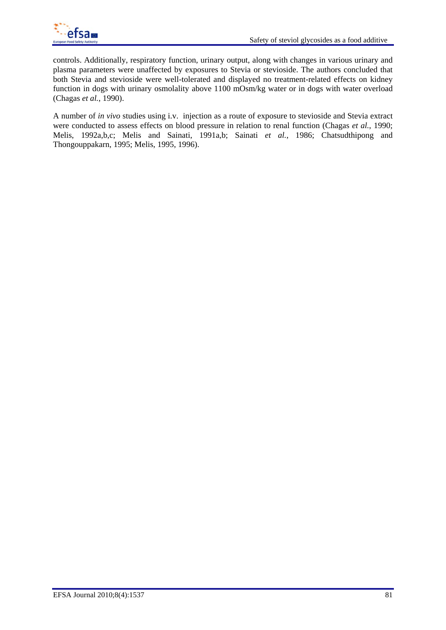

controls. Additionally, respiratory function, urinary output, along with changes in various urinary and plasma parameters were unaffected by exposures to Stevia or stevioside. The authors concluded that both Stevia and stevioside were well-tolerated and displayed no treatment-related effects on kidney function in dogs with urinary osmolality above 1100 mOsm/kg water or in dogs with water overload (Chagas *et al.*, 1990).

A number of *in vivo* studies using i.v. injection as a route of exposure to stevioside and Stevia extract were conducted to assess effects on blood pressure in relation to renal function (Chagas *et al.*, 1990; Melis, 1992a,b,c; Melis and Sainati, 1991a,b; Sainati *et al.*, 1986; Chatsudthipong and Thongouppakarn, 1995; Melis, 1995, 1996).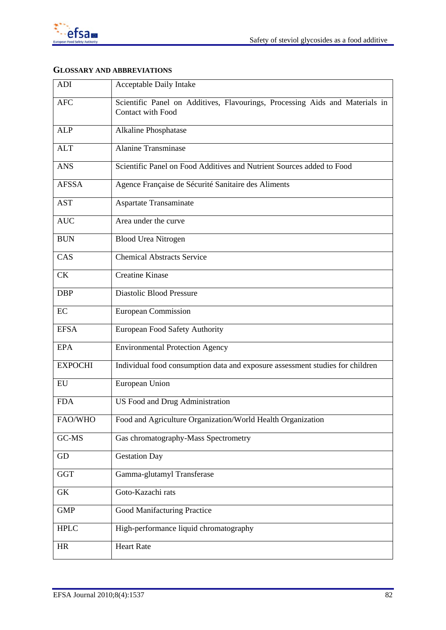

# **GLOSSARY AND ABBREVIATIONS**

| ADI            | Acceptable Daily Intake                                                                           |  |  |  |
|----------------|---------------------------------------------------------------------------------------------------|--|--|--|
| <b>AFC</b>     | Scientific Panel on Additives, Flavourings, Processing Aids and Materials in<br>Contact with Food |  |  |  |
| <b>ALP</b>     | Alkaline Phosphatase                                                                              |  |  |  |
| <b>ALT</b>     | <b>Alanine Transminase</b>                                                                        |  |  |  |
| <b>ANS</b>     | Scientific Panel on Food Additives and Nutrient Sources added to Food                             |  |  |  |
| <b>AFSSA</b>   | Agence Française de Sécurité Sanitaire des Aliments                                               |  |  |  |
| <b>AST</b>     | <b>Aspartate Transaminate</b>                                                                     |  |  |  |
| <b>AUC</b>     | Area under the curve                                                                              |  |  |  |
| <b>BUN</b>     | <b>Blood Urea Nitrogen</b>                                                                        |  |  |  |
| CAS            | <b>Chemical Abstracts Service</b>                                                                 |  |  |  |
| <b>CK</b>      | <b>Creatine Kinase</b>                                                                            |  |  |  |
| <b>DBP</b>     | <b>Diastolic Blood Pressure</b>                                                                   |  |  |  |
| EC             | <b>European Commission</b>                                                                        |  |  |  |
| <b>EFSA</b>    | <b>European Food Safety Authority</b>                                                             |  |  |  |
| <b>EPA</b>     | <b>Environmental Protection Agency</b>                                                            |  |  |  |
| <b>EXPOCHI</b> | Individual food consumption data and exposure assessment studies for children                     |  |  |  |
| ${\rm EU}$     | European Union                                                                                    |  |  |  |
| <b>FDA</b>     | <b>US Food and Drug Administration</b>                                                            |  |  |  |
| FAO/WHO        | Food and Agriculture Organization/World Health Organization                                       |  |  |  |
| GC-MS          | Gas chromatography-Mass Spectrometry                                                              |  |  |  |
| GD             | <b>Gestation Day</b>                                                                              |  |  |  |
| <b>GGT</b>     | Gamma-glutamyl Transferase                                                                        |  |  |  |
| ${\rm GK}$     | Goto-Kazachi rats                                                                                 |  |  |  |
| <b>GMP</b>     | Good Manifacturing Practice                                                                       |  |  |  |
| <b>HPLC</b>    | High-performance liquid chromatography                                                            |  |  |  |
| HR             | <b>Heart Rate</b>                                                                                 |  |  |  |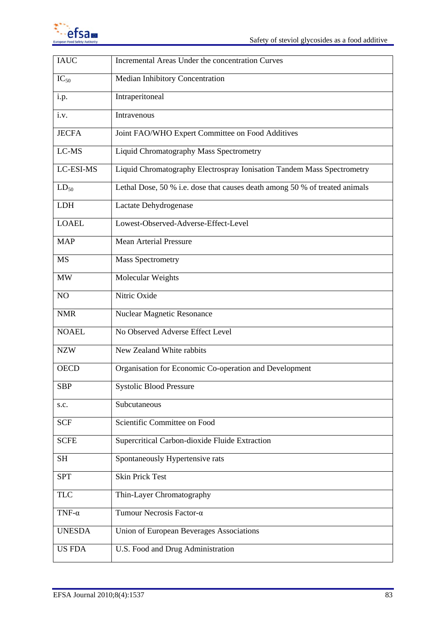

| Incremental Areas Under the concentration Curves                            |  |  |  |
|-----------------------------------------------------------------------------|--|--|--|
| Median Inhibitory Concentration                                             |  |  |  |
| Intraperitoneal                                                             |  |  |  |
| Intravenous                                                                 |  |  |  |
| Joint FAO/WHO Expert Committee on Food Additives                            |  |  |  |
| Liquid Chromatography Mass Spectrometry                                     |  |  |  |
| Liquid Chromatography Electrospray Ionisation Tandem Mass Spectrometry      |  |  |  |
| Lethal Dose, 50 % i.e. dose that causes death among 50 % of treated animals |  |  |  |
| Lactate Dehydrogenase                                                       |  |  |  |
| Lowest-Observed-Adverse-Effect-Level                                        |  |  |  |
| Mean Arterial Pressure                                                      |  |  |  |
| <b>Mass Spectrometry</b>                                                    |  |  |  |
| Molecular Weights                                                           |  |  |  |
| Nitric Oxide                                                                |  |  |  |
| <b>Nuclear Magnetic Resonance</b>                                           |  |  |  |
| No Observed Adverse Effect Level                                            |  |  |  |
| New Zealand White rabbits                                                   |  |  |  |
| Organisation for Economic Co-operation and Development                      |  |  |  |
| <b>Systolic Blood Pressure</b>                                              |  |  |  |
| Subcutaneous                                                                |  |  |  |
| Scientific Committee on Food                                                |  |  |  |
| Supercritical Carbon-dioxide Fluide Extraction                              |  |  |  |
| Spontaneously Hypertensive rats                                             |  |  |  |
| <b>Skin Prick Test</b>                                                      |  |  |  |
| Thin-Layer Chromatography                                                   |  |  |  |
| Tumour Necrosis Factor-α                                                    |  |  |  |
| Union of European Beverages Associations                                    |  |  |  |
| U.S. Food and Drug Administration                                           |  |  |  |
|                                                                             |  |  |  |